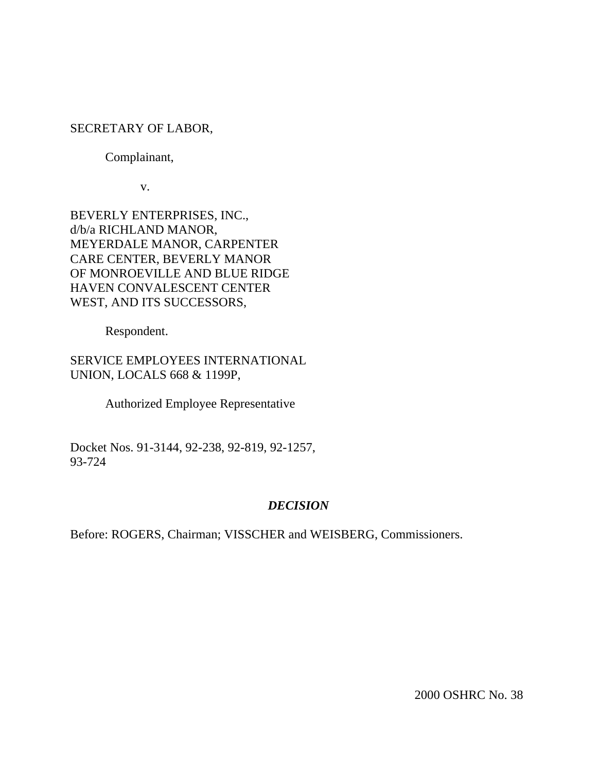## SECRETARY OF LABOR,

## Complainant,

v.

BEVERLY ENTERPRISES, INC., d/b/a RICHLAND MANOR, MEYERDALE MANOR, CARPENTER CARE CENTER, BEVERLY MANOR OF MONROEVILLE AND BLUE RIDGE HAVEN CONVALESCENT CENTER WEST, AND ITS SUCCESSORS,

Respondent.

SERVICE EMPLOYEES INTERNATIONAL UNION, LOCALS 668 & 1199P,

Authorized Employee Representative

Docket Nos. 91-3144, 92-238, 92-819, 92-1257, 93-724

# *DECISION*

Before: ROGERS, Chairman; VISSCHER and WEISBERG, Commissioners.

2000 OSHRC No. 38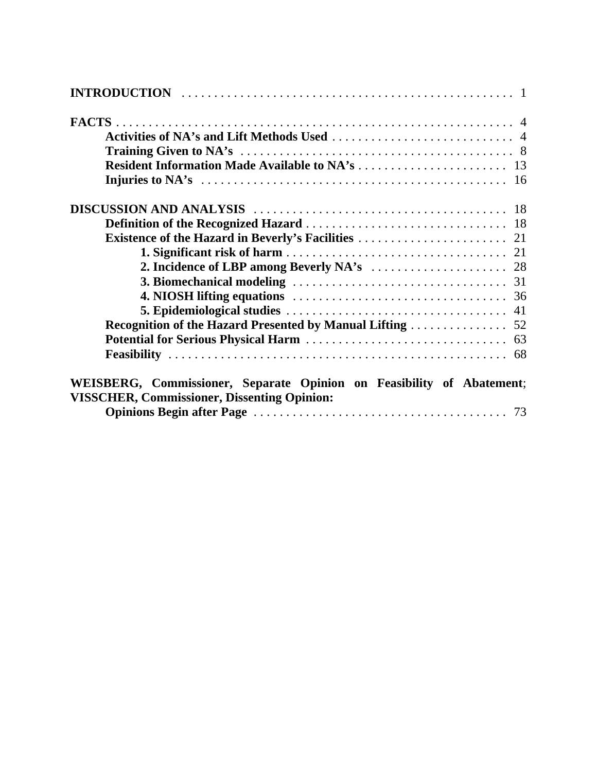| Recognition of the Hazard Presented by Manual Lifting 52                                                                    |  |
|-----------------------------------------------------------------------------------------------------------------------------|--|
|                                                                                                                             |  |
|                                                                                                                             |  |
| WEISBERG, Commissioner, Separate Opinion on Feasibility of Abatement;<br><b>VISSCHER, Commissioner, Dissenting Opinion:</b> |  |
|                                                                                                                             |  |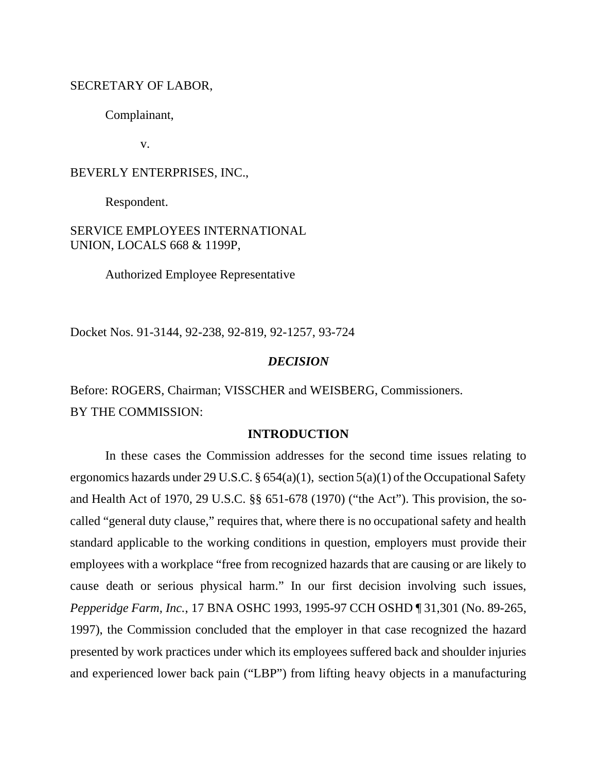#### SECRETARY OF LABOR,

Complainant,

v.

#### BEVERLY ENTERPRISES, INC.,

Respondent.

SERVICE EMPLOYEES INTERNATIONAL UNION, LOCALS 668 & 1199P,

Authorized Employee Representative

Docket Nos. 91-3144, 92-238, 92-819, 92-1257, 93-724

#### *DECISION*

Before: ROGERS, Chairman; VISSCHER and WEISBERG, Commissioners. BY THE COMMISSION:

#### **INTRODUCTION**

In these cases the Commission addresses for the second time issues relating to ergonomics hazards under 29 U.S.C.  $\S 654(a)(1)$ , section  $5(a)(1)$  of the Occupational Safety and Health Act of 1970, 29 U.S.C. §§ 651-678 (1970) ("the Act"). This provision, the socalled "general duty clause," requires that, where there is no occupational safety and health standard applicable to the working conditions in question, employers must provide their employees with a workplace "free from recognized hazards that are causing or are likely to cause death or serious physical harm." In our first decision involving such issues, *Pepperidge Farm, Inc.*, 17 BNA OSHC 1993, 1995-97 CCH OSHD ¶ 31,301 (No. 89-265, 1997), the Commission concluded that the employer in that case recognized the hazard presented by work practices under which its employees suffered back and shoulder injuries and experienced lower back pain ("LBP") from lifting heavy objects in a manufacturing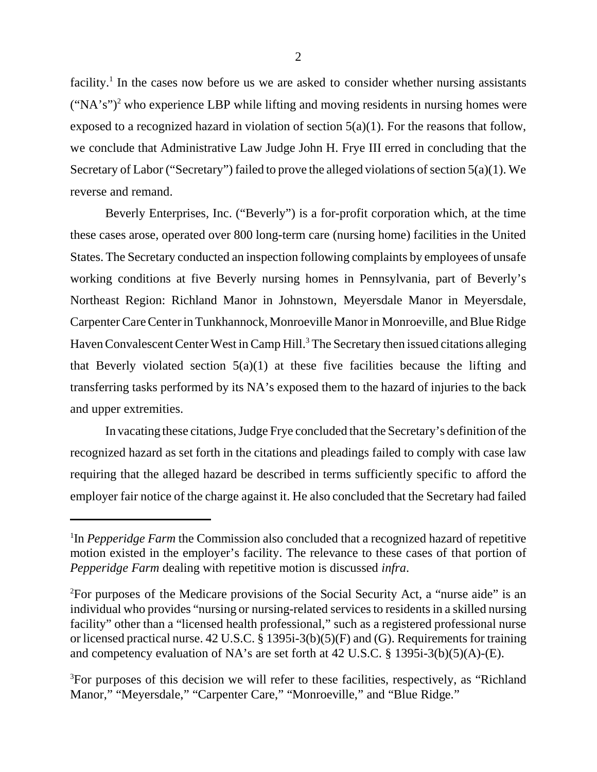facility.<sup>1</sup> In the cases now before us we are asked to consider whether nursing assistants  $("NA's")^2$  who experience LBP while lifting and moving residents in nursing homes were exposed to a recognized hazard in violation of section  $5(a)(1)$ . For the reasons that follow, we conclude that Administrative Law Judge John H. Frye III erred in concluding that the Secretary of Labor ("Secretary") failed to prove the alleged violations of section 5(a)(1). We reverse and remand.

Beverly Enterprises, Inc. ("Beverly") is a for-profit corporation which, at the time these cases arose, operated over 800 long-term care (nursing home) facilities in the United States. The Secretary conducted an inspection following complaints by employees of unsafe working conditions at five Beverly nursing homes in Pennsylvania, part of Beverly's Northeast Region: Richland Manor in Johnstown, Meyersdale Manor in Meyersdale, Carpenter Care Center in Tunkhannock, Monroeville Manor in Monroeville, and Blue Ridge Haven Convalescent Center West in Camp Hill.<sup>3</sup> The Secretary then issued citations alleging that Beverly violated section  $5(a)(1)$  at these five facilities because the lifting and transferring tasks performed by its NA's exposed them to the hazard of injuries to the back and upper extremities.

In vacating these citations, Judge Frye concluded that the Secretary's definition of the recognized hazard as set forth in the citations and pleadings failed to comply with case law requiring that the alleged hazard be described in terms sufficiently specific to afford the employer fair notice of the charge against it. He also concluded that the Secretary had failed

<sup>&</sup>lt;sup>1</sup>In *Pepperidge Farm* the Commission also concluded that a recognized hazard of repetitive motion existed in the employer's facility. The relevance to these cases of that portion of *Pepperidge Farm* dealing with repetitive motion is discussed *infra*.

<sup>2</sup> For purposes of the Medicare provisions of the Social Security Act, a "nurse aide" is an individual who provides "nursing or nursing-related services to residents in a skilled nursing facility" other than a "licensed health professional," such as a registered professional nurse or licensed practical nurse. 42 U.S.C. § 1395i-3(b)(5)(F) and (G). Requirements for training and competency evaluation of NA's are set forth at 42 U.S.C. § 1395i-3(b)(5)(A)-(E).

<sup>&</sup>lt;sup>3</sup>For purposes of this decision we will refer to these facilities, respectively, as "Richland Manor," "Meyersdale," "Carpenter Care," "Monroeville," and "Blue Ridge."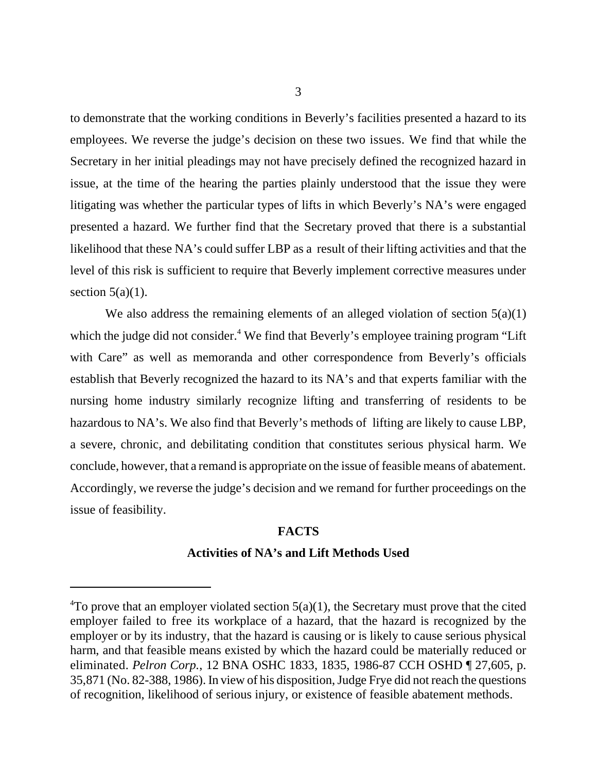to demonstrate that the working conditions in Beverly's facilities presented a hazard to its employees. We reverse the judge's decision on these two issues. We find that while the Secretary in her initial pleadings may not have precisely defined the recognized hazard in issue, at the time of the hearing the parties plainly understood that the issue they were litigating was whether the particular types of lifts in which Beverly's NA's were engaged presented a hazard. We further find that the Secretary proved that there is a substantial likelihood that these NA's could suffer LBP as a result of their lifting activities and that the level of this risk is sufficient to require that Beverly implement corrective measures under section  $5(a)(1)$ .

We also address the remaining elements of an alleged violation of section  $5(a)(1)$ which the judge did not consider.<sup>4</sup> We find that Beverly's employee training program "Lift with Care" as well as memoranda and other correspondence from Beverly's officials establish that Beverly recognized the hazard to its NA's and that experts familiar with the nursing home industry similarly recognize lifting and transferring of residents to be hazardous to NA's. We also find that Beverly's methods of lifting are likely to cause LBP, a severe, chronic, and debilitating condition that constitutes serious physical harm. We conclude, however, that a remand is appropriate on the issue of feasible means of abatement. Accordingly, we reverse the judge's decision and we remand for further proceedings on the issue of feasibility.

# **FACTS Activities of NA's and Lift Methods Used**

 ${}^{4}$ To prove that an employer violated section 5(a)(1), the Secretary must prove that the cited employer failed to free its workplace of a hazard, that the hazard is recognized by the employer or by its industry, that the hazard is causing or is likely to cause serious physical harm, and that feasible means existed by which the hazard could be materially reduced or eliminated. *Pelron Corp.*, 12 BNA OSHC 1833, 1835, 1986-87 CCH OSHD ¶ 27,605, p. 35,871 (No. 82-388, 1986). In view of his disposition, Judge Frye did not reach the questions of recognition, likelihood of serious injury, or existence of feasible abatement methods.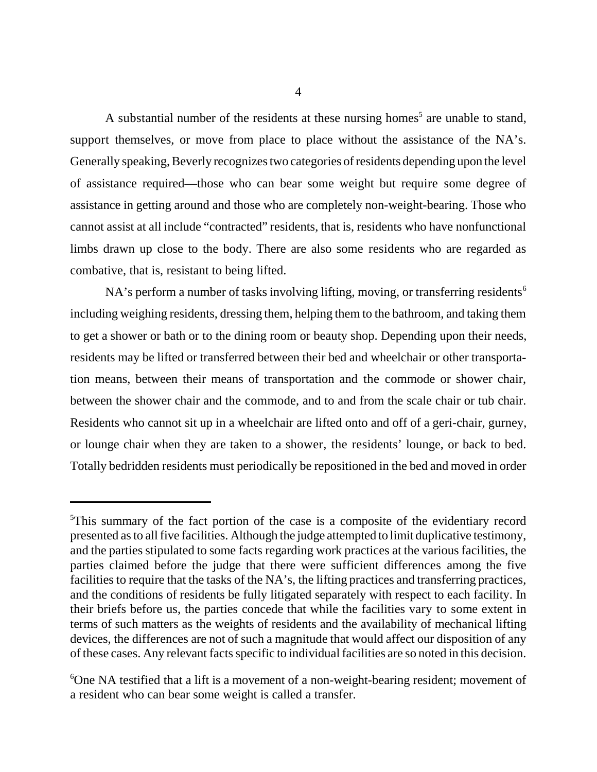4

A substantial number of the residents at these nursing homes<sup>5</sup> are unable to stand, support themselves, or move from place to place without the assistance of the NA's. Generally speaking, Beverly recognizes two categories of residents depending upon the level of assistance required—those who can bear some weight but require some degree of assistance in getting around and those who are completely non-weight-bearing. Those who cannot assist at all include "contracted" residents, that is, residents who have nonfunctional limbs drawn up close to the body. There are also some residents who are regarded as combative, that is, resistant to being lifted.

NA's perform a number of tasks involving lifting, moving, or transferring residents<sup>6</sup> including weighing residents, dressing them, helping them to the bathroom, and taking them to get a shower or bath or to the dining room or beauty shop. Depending upon their needs, residents may be lifted or transferred between their bed and wheelchair or other transportation means, between their means of transportation and the commode or shower chair, between the shower chair and the commode, and to and from the scale chair or tub chair. Residents who cannot sit up in a wheelchair are lifted onto and off of a geri-chair, gurney, or lounge chair when they are taken to a shower, the residents' lounge, or back to bed. Totally bedridden residents must periodically be repositioned in the bed and moved in order

<sup>&</sup>lt;sup>5</sup>This summary of the fact portion of the case is a composite of the evidentiary record presented as to all five facilities. Although the judge attempted to limit duplicative testimony, and the parties stipulated to some facts regarding work practices at the various facilities, the parties claimed before the judge that there were sufficient differences among the five facilities to require that the tasks of the NA's, the lifting practices and transferring practices, and the conditions of residents be fully litigated separately with respect to each facility. In their briefs before us, the parties concede that while the facilities vary to some extent in terms of such matters as the weights of residents and the availability of mechanical lifting devices, the differences are not of such a magnitude that would affect our disposition of any of these cases. Any relevant facts specific to individual facilities are so noted in this decision.

<sup>6</sup> One NA testified that a lift is a movement of a non-weight-bearing resident; movement of a resident who can bear some weight is called a transfer.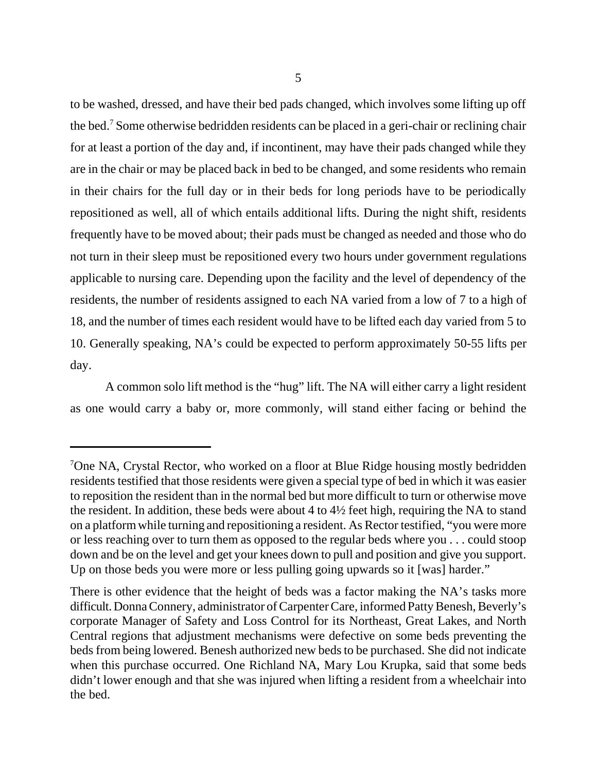to be washed, dressed, and have their bed pads changed, which involves some lifting up off the bed.<sup>7</sup> Some otherwise bedridden residents can be placed in a geri-chair or reclining chair for at least a portion of the day and, if incontinent, may have their pads changed while they are in the chair or may be placed back in bed to be changed, and some residents who remain in their chairs for the full day or in their beds for long periods have to be periodically repositioned as well, all of which entails additional lifts. During the night shift, residents frequently have to be moved about; their pads must be changed as needed and those who do not turn in their sleep must be repositioned every two hours under government regulations applicable to nursing care. Depending upon the facility and the level of dependency of the residents, the number of residents assigned to each NA varied from a low of 7 to a high of 18, and the number of times each resident would have to be lifted each day varied from 5 to 10. Generally speaking, NA's could be expected to perform approximately 50-55 lifts per day.

A common solo lift method is the "hug" lift. The NA will either carry a light resident as one would carry a baby or, more commonly, will stand either facing or behind the

<sup>&</sup>lt;sup>7</sup>One NA, Crystal Rector, who worked on a floor at Blue Ridge housing mostly bedridden residents testified that those residents were given a special type of bed in which it was easier to reposition the resident than in the normal bed but more difficult to turn or otherwise move the resident. In addition, these beds were about 4 to 4½ feet high, requiring the NA to stand on a platform while turning and repositioning a resident. As Rector testified, "you were more or less reaching over to turn them as opposed to the regular beds where you . . . could stoop down and be on the level and get your knees down to pull and position and give you support. Up on those beds you were more or less pulling going upwards so it [was] harder."

There is other evidence that the height of beds was a factor making the NA's tasks more difficult. Donna Connery, administrator of Carpenter Care, informed Patty Benesh, Beverly's corporate Manager of Safety and Loss Control for its Northeast, Great Lakes, and North Central regions that adjustment mechanisms were defective on some beds preventing the beds from being lowered. Benesh authorized new beds to be purchased. She did not indicate when this purchase occurred. One Richland NA, Mary Lou Krupka, said that some beds didn't lower enough and that she was injured when lifting a resident from a wheelchair into the bed.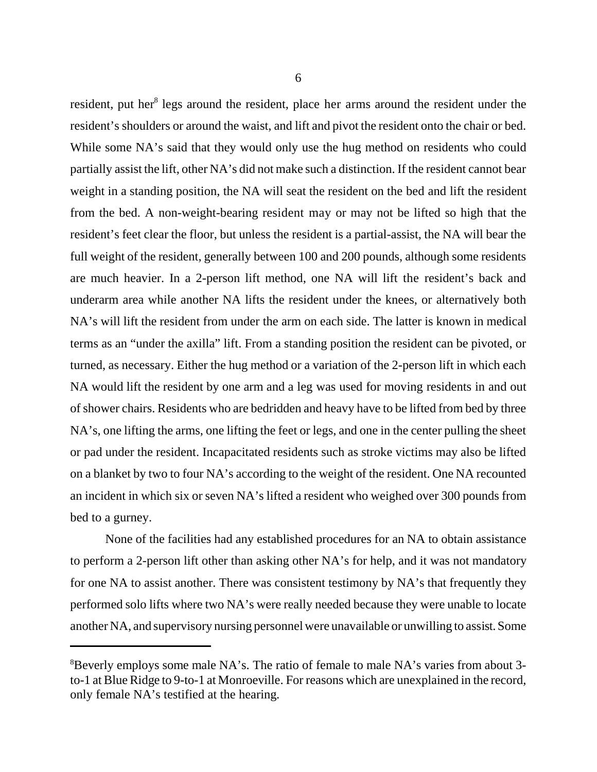resident, put her<sup>8</sup> legs around the resident, place her arms around the resident under the resident's shoulders or around the waist, and lift and pivot the resident onto the chair or bed. While some NA's said that they would only use the hug method on residents who could partially assist the lift, other NA's did not make such a distinction. If the resident cannot bear weight in a standing position, the NA will seat the resident on the bed and lift the resident from the bed. A non-weight-bearing resident may or may not be lifted so high that the resident's feet clear the floor, but unless the resident is a partial-assist, the NA will bear the full weight of the resident, generally between 100 and 200 pounds, although some residents are much heavier. In a 2-person lift method, one NA will lift the resident's back and underarm area while another NA lifts the resident under the knees, or alternatively both NA's will lift the resident from under the arm on each side. The latter is known in medical terms as an "under the axilla" lift. From a standing position the resident can be pivoted, or turned, as necessary. Either the hug method or a variation of the 2-person lift in which each NA would lift the resident by one arm and a leg was used for moving residents in and out of shower chairs. Residents who are bedridden and heavy have to be lifted from bed by three NA's, one lifting the arms, one lifting the feet or legs, and one in the center pulling the sheet or pad under the resident. Incapacitated residents such as stroke victims may also be lifted on a blanket by two to four NA's according to the weight of the resident. One NA recounted an incident in which six or seven NA's lifted a resident who weighed over 300 pounds from bed to a gurney.

None of the facilities had any established procedures for an NA to obtain assistance to perform a 2-person lift other than asking other NA's for help, and it was not mandatory for one NA to assist another. There was consistent testimony by NA's that frequently they performed solo lifts where two NA's were really needed because they were unable to locate another NA, and supervisory nursing personnel were unavailable or unwilling to assist. Some

<sup>&</sup>lt;sup>8</sup>Beverly employs some male NA's. The ratio of female to male NA's varies from about 3to-1 at Blue Ridge to 9-to-1 at Monroeville. For reasons which are unexplained in the record, only female NA's testified at the hearing.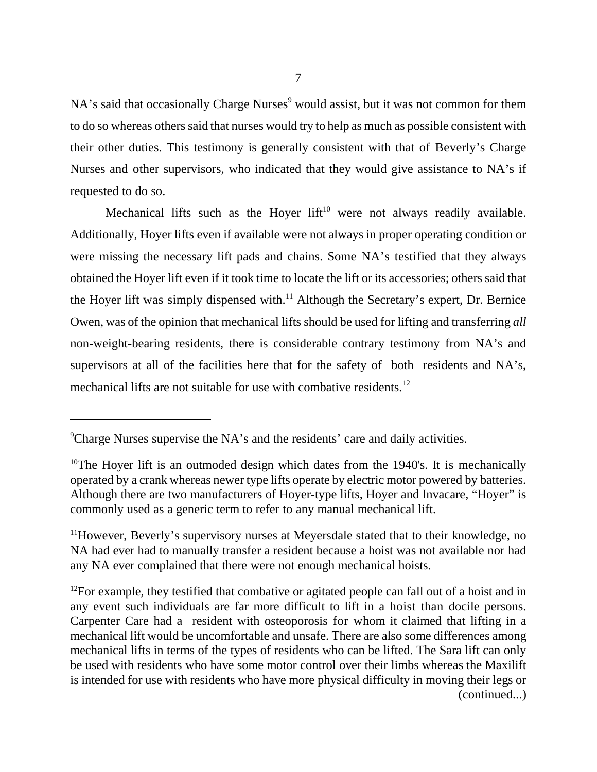NA's said that occasionally Charge Nurses<sup>9</sup> would assist, but it was not common for them to do so whereas others said that nurses would try to help as much as possible consistent with their other duties. This testimony is generally consistent with that of Beverly's Charge Nurses and other supervisors, who indicated that they would give assistance to NA's if requested to do so.

Mechanical lifts such as the Hoyer  $lift^{10}$  were not always readily available. Additionally, Hoyer lifts even if available were not always in proper operating condition or were missing the necessary lift pads and chains. Some NA's testified that they always obtained the Hoyer lift even if it took time to locate the lift or its accessories; others said that the Hoyer lift was simply dispensed with.<sup>11</sup> Although the Secretary's expert, Dr. Bernice Owen, was of the opinion that mechanical lifts should be used for lifting and transferring *all* non-weight-bearing residents, there is considerable contrary testimony from NA's and supervisors at all of the facilities here that for the safety of both residents and NA's, mechanical lifts are not suitable for use with combative residents.<sup>12</sup>

<sup>&</sup>lt;sup>9</sup>Charge Nurses supervise the NA's and the residents' care and daily activities.

<sup>&</sup>lt;sup>10</sup>The Hoyer lift is an outmoded design which dates from the 1940's. It is mechanically operated by a crank whereas newer type lifts operate by electric motor powered by batteries. Although there are two manufacturers of Hoyer-type lifts, Hoyer and Invacare, "Hoyer" is commonly used as a generic term to refer to any manual mechanical lift.

<sup>&</sup>lt;sup>11</sup>However, Beverly's supervisory nurses at Meyersdale stated that to their knowledge, no NA had ever had to manually transfer a resident because a hoist was not available nor had any NA ever complained that there were not enough mechanical hoists.

 $12$ For example, they testified that combative or agitated people can fall out of a hoist and in any event such individuals are far more difficult to lift in a hoist than docile persons. Carpenter Care had a resident with osteoporosis for whom it claimed that lifting in a mechanical lift would be uncomfortable and unsafe. There are also some differences among mechanical lifts in terms of the types of residents who can be lifted. The Sara lift can only be used with residents who have some motor control over their limbs whereas the Maxilift is intended for use with residents who have more physical difficulty in moving their legs or (continued...)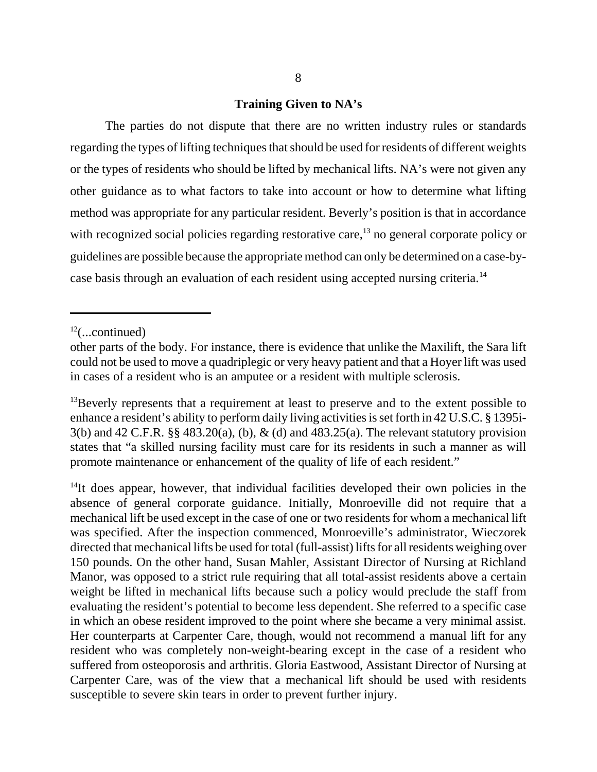#### **Training Given to NA's**

The parties do not dispute that there are no written industry rules or standards regarding the types of lifting techniques that should be used for residents of different weights or the types of residents who should be lifted by mechanical lifts. NA's were not given any other guidance as to what factors to take into account or how to determine what lifting method was appropriate for any particular resident. Beverly's position is that in accordance with recognized social policies regarding restorative care,<sup>13</sup> no general corporate policy or guidelines are possible because the appropriate method can only be determined on a case-bycase basis through an evaluation of each resident using accepted nursing criteria.<sup>14</sup>

<sup>14</sup>It does appear, however, that individual facilities developed their own policies in the absence of general corporate guidance. Initially, Monroeville did not require that a mechanical lift be used except in the case of one or two residents for whom a mechanical lift was specified. After the inspection commenced, Monroeville's administrator, Wieczorek directed that mechanical lifts be used for total (full-assist) lifts for all residents weighing over 150 pounds. On the other hand, Susan Mahler, Assistant Director of Nursing at Richland Manor, was opposed to a strict rule requiring that all total-assist residents above a certain weight be lifted in mechanical lifts because such a policy would preclude the staff from evaluating the resident's potential to become less dependent. She referred to a specific case in which an obese resident improved to the point where she became a very minimal assist. Her counterparts at Carpenter Care, though, would not recommend a manual lift for any resident who was completely non-weight-bearing except in the case of a resident who suffered from osteoporosis and arthritis. Gloria Eastwood, Assistant Director of Nursing at Carpenter Care, was of the view that a mechanical lift should be used with residents susceptible to severe skin tears in order to prevent further injury.

 $12$ (...continued)

other parts of the body. For instance, there is evidence that unlike the Maxilift, the Sara lift could not be used to move a quadriplegic or very heavy patient and that a Hoyer lift was used in cases of a resident who is an amputee or a resident with multiple sclerosis.

<sup>&</sup>lt;sup>13</sup>Beverly represents that a requirement at least to preserve and to the extent possible to enhance a resident's ability to perform daily living activities is set forth in 42 U.S.C. § 1395i-3(b) and 42 C.F.R. §§ 483.20(a), (b), & (d) and 483.25(a). The relevant statutory provision states that "a skilled nursing facility must care for its residents in such a manner as will promote maintenance or enhancement of the quality of life of each resident."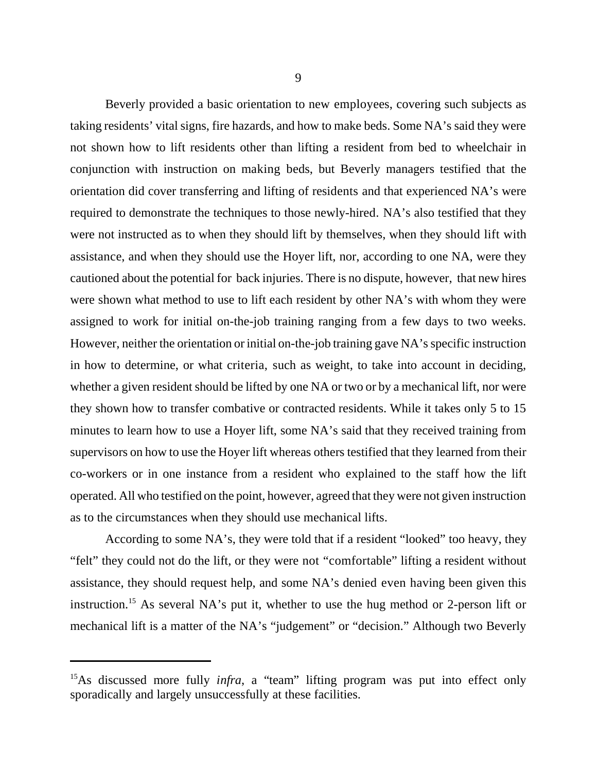9

Beverly provided a basic orientation to new employees, covering such subjects as taking residents' vital signs, fire hazards, and how to make beds. Some NA's said they were not shown how to lift residents other than lifting a resident from bed to wheelchair in conjunction with instruction on making beds, but Beverly managers testified that the orientation did cover transferring and lifting of residents and that experienced NA's were required to demonstrate the techniques to those newly-hired. NA's also testified that they were not instructed as to when they should lift by themselves, when they should lift with assistance, and when they should use the Hoyer lift, nor, according to one NA, were they cautioned about the potential for back injuries. There is no dispute, however, that new hires were shown what method to use to lift each resident by other NA's with whom they were assigned to work for initial on-the-job training ranging from a few days to two weeks. However, neither the orientation or initial on-the-job training gave NA's specific instruction in how to determine, or what criteria, such as weight, to take into account in deciding, whether a given resident should be lifted by one NA or two or by a mechanical lift, nor were they shown how to transfer combative or contracted residents. While it takes only 5 to 15 minutes to learn how to use a Hoyer lift, some NA's said that they received training from supervisors on how to use the Hoyer lift whereas others testified that they learned from their co-workers or in one instance from a resident who explained to the staff how the lift operated. All who testified on the point, however, agreed that they were not given instruction as to the circumstances when they should use mechanical lifts.

According to some NA's, they were told that if a resident "looked" too heavy, they "felt" they could not do the lift, or they were not "comfortable" lifting a resident without assistance, they should request help, and some NA's denied even having been given this instruction.15 As several NA's put it, whether to use the hug method or 2-person lift or mechanical lift is a matter of the NA's "judgement" or "decision." Although two Beverly

<sup>&</sup>lt;sup>15</sup>As discussed more fully *infra*, a "team" lifting program was put into effect only sporadically and largely unsuccessfully at these facilities.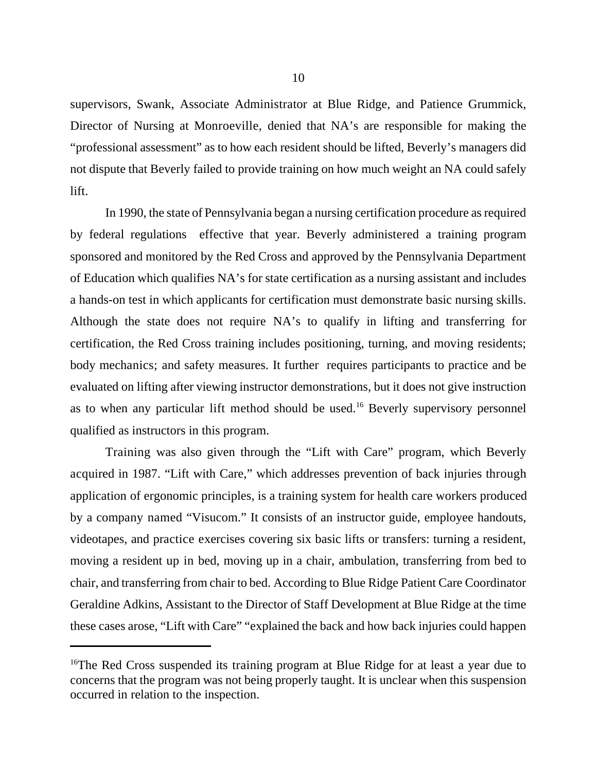supervisors, Swank, Associate Administrator at Blue Ridge, and Patience Grummick, Director of Nursing at Monroeville, denied that NA's are responsible for making the "professional assessment" as to how each resident should be lifted, Beverly's managers did not dispute that Beverly failed to provide training on how much weight an NA could safely lift.

In 1990, the state of Pennsylvania began a nursing certification procedure as required by federal regulations effective that year. Beverly administered a training program sponsored and monitored by the Red Cross and approved by the Pennsylvania Department of Education which qualifies NA's for state certification as a nursing assistant and includes a hands-on test in which applicants for certification must demonstrate basic nursing skills. Although the state does not require NA's to qualify in lifting and transferring for certification, the Red Cross training includes positioning, turning, and moving residents; body mechanics; and safety measures. It further requires participants to practice and be evaluated on lifting after viewing instructor demonstrations, but it does not give instruction as to when any particular lift method should be used.<sup>16</sup> Beverly supervisory personnel qualified as instructors in this program.

Training was also given through the "Lift with Care" program, which Beverly acquired in 1987. "Lift with Care," which addresses prevention of back injuries through application of ergonomic principles, is a training system for health care workers produced by a company named "Visucom." It consists of an instructor guide, employee handouts, videotapes, and practice exercises covering six basic lifts or transfers: turning a resident, moving a resident up in bed, moving up in a chair, ambulation, transferring from bed to chair, and transferring from chair to bed. According to Blue Ridge Patient Care Coordinator Geraldine Adkins, Assistant to the Director of Staff Development at Blue Ridge at the time these cases arose, "Lift with Care" "explained the back and how back injuries could happen

<sup>&</sup>lt;sup>16</sup>The Red Cross suspended its training program at Blue Ridge for at least a year due to concerns that the program was not being properly taught. It is unclear when this suspension occurred in relation to the inspection.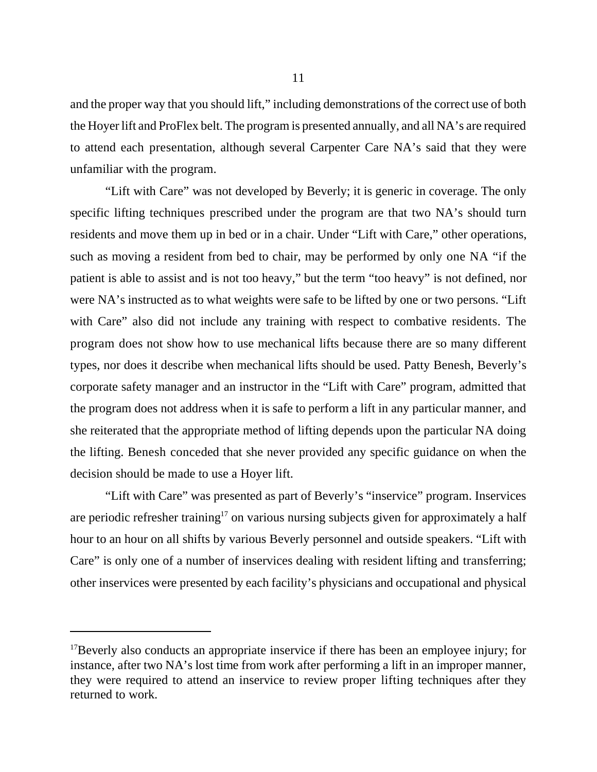and the proper way that you should lift," including demonstrations of the correct use of both the Hoyer lift and ProFlex belt. The program is presented annually, and all NA's are required to attend each presentation, although several Carpenter Care NA's said that they were unfamiliar with the program.

"Lift with Care" was not developed by Beverly; it is generic in coverage. The only specific lifting techniques prescribed under the program are that two NA's should turn residents and move them up in bed or in a chair. Under "Lift with Care," other operations, such as moving a resident from bed to chair, may be performed by only one NA "if the patient is able to assist and is not too heavy," but the term "too heavy" is not defined, nor were NA's instructed as to what weights were safe to be lifted by one or two persons. "Lift with Care" also did not include any training with respect to combative residents. The program does not show how to use mechanical lifts because there are so many different types, nor does it describe when mechanical lifts should be used. Patty Benesh, Beverly's corporate safety manager and an instructor in the "Lift with Care" program, admitted that the program does not address when it is safe to perform a lift in any particular manner, and she reiterated that the appropriate method of lifting depends upon the particular NA doing the lifting. Benesh conceded that she never provided any specific guidance on when the decision should be made to use a Hoyer lift.

"Lift with Care" was presented as part of Beverly's "inservice" program. Inservices are periodic refresher training<sup>17</sup> on various nursing subjects given for approximately a half hour to an hour on all shifts by various Beverly personnel and outside speakers. "Lift with Care" is only one of a number of inservices dealing with resident lifting and transferring; other inservices were presented by each facility's physicians and occupational and physical

<sup>&</sup>lt;sup>17</sup>Beverly also conducts an appropriate inservice if there has been an employee injury; for instance, after two NA's lost time from work after performing a lift in an improper manner, they were required to attend an inservice to review proper lifting techniques after they returned to work.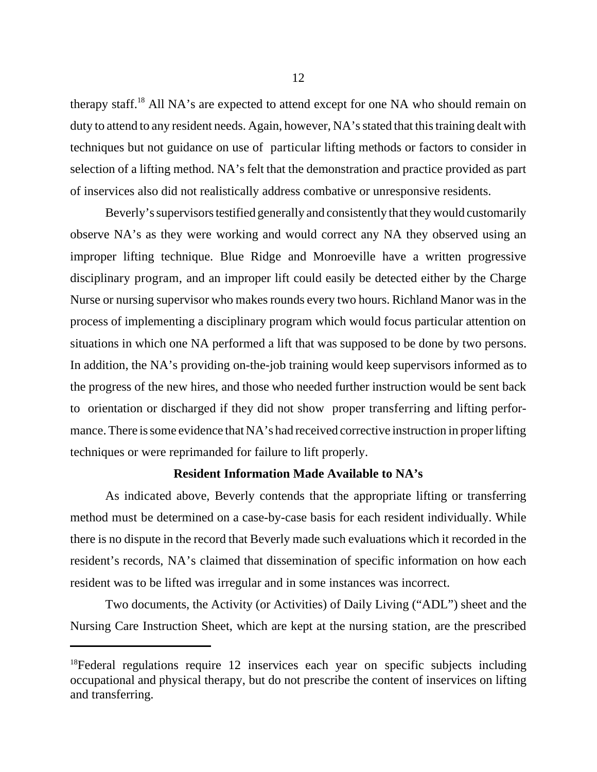therapy staff.<sup>18</sup> All NA's are expected to attend except for one NA who should remain on duty to attend to any resident needs. Again, however, NA's stated that this training dealt with techniques but not guidance on use of particular lifting methods or factors to consider in selection of a lifting method. NA's felt that the demonstration and practice provided as part of inservices also did not realistically address combative or unresponsive residents.

Beverly's supervisors testified generally and consistently that they would customarily observe NA's as they were working and would correct any NA they observed using an improper lifting technique. Blue Ridge and Monroeville have a written progressive disciplinary program, and an improper lift could easily be detected either by the Charge Nurse or nursing supervisor who makes rounds every two hours. Richland Manor was in the process of implementing a disciplinary program which would focus particular attention on situations in which one NA performed a lift that was supposed to be done by two persons. In addition, the NA's providing on-the-job training would keep supervisors informed as to the progress of the new hires, and those who needed further instruction would be sent back to orientation or discharged if they did not show proper transferring and lifting performance. There is some evidence that NA's had received corrective instruction in proper lifting techniques or were reprimanded for failure to lift properly.

#### **Resident Information Made Available to NA's**

As indicated above, Beverly contends that the appropriate lifting or transferring method must be determined on a case-by-case basis for each resident individually. While there is no dispute in the record that Beverly made such evaluations which it recorded in the resident's records, NA's claimed that dissemination of specific information on how each resident was to be lifted was irregular and in some instances was incorrect.

Two documents, the Activity (or Activities) of Daily Living ("ADL") sheet and the Nursing Care Instruction Sheet, which are kept at the nursing station, are the prescribed

<sup>&</sup>lt;sup>18</sup>Federal regulations require 12 inservices each year on specific subjects including occupational and physical therapy, but do not prescribe the content of inservices on lifting and transferring.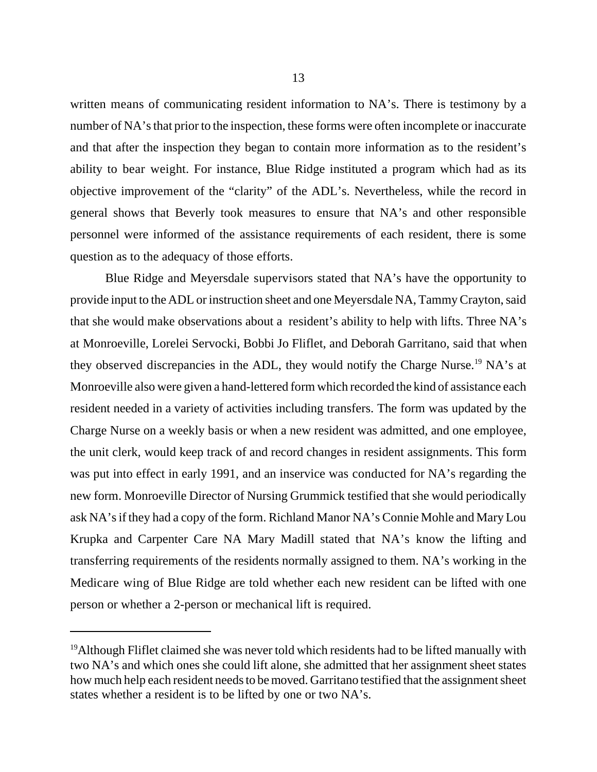written means of communicating resident information to NA's. There is testimony by a number of NA's that prior to the inspection, these forms were often incomplete or inaccurate and that after the inspection they began to contain more information as to the resident's ability to bear weight. For instance, Blue Ridge instituted a program which had as its objective improvement of the "clarity" of the ADL's. Nevertheless, while the record in general shows that Beverly took measures to ensure that NA's and other responsible personnel were informed of the assistance requirements of each resident, there is some question as to the adequacy of those efforts.

Blue Ridge and Meyersdale supervisors stated that NA's have the opportunity to provide input to the ADL or instruction sheet and one Meyersdale NA, Tammy Crayton, said that she would make observations about a resident's ability to help with lifts. Three NA's at Monroeville, Lorelei Servocki, Bobbi Jo Fliflet, and Deborah Garritano, said that when they observed discrepancies in the ADL, they would notify the Charge Nurse.<sup>19</sup> NA's at Monroeville also were given a hand-lettered form which recorded the kind of assistance each resident needed in a variety of activities including transfers. The form was updated by the Charge Nurse on a weekly basis or when a new resident was admitted, and one employee, the unit clerk, would keep track of and record changes in resident assignments. This form was put into effect in early 1991, and an inservice was conducted for NA's regarding the new form. Monroeville Director of Nursing Grummick testified that she would periodically ask NA's if they had a copy of the form. Richland Manor NA's Connie Mohle and Mary Lou Krupka and Carpenter Care NA Mary Madill stated that NA's know the lifting and transferring requirements of the residents normally assigned to them. NA's working in the Medicare wing of Blue Ridge are told whether each new resident can be lifted with one person or whether a 2-person or mechanical lift is required.

 $19$ Although Fliflet claimed she was never told which residents had to be lifted manually with two NA's and which ones she could lift alone, she admitted that her assignment sheet states how much help each resident needs to be moved. Garritano testified that the assignment sheet states whether a resident is to be lifted by one or two NA's.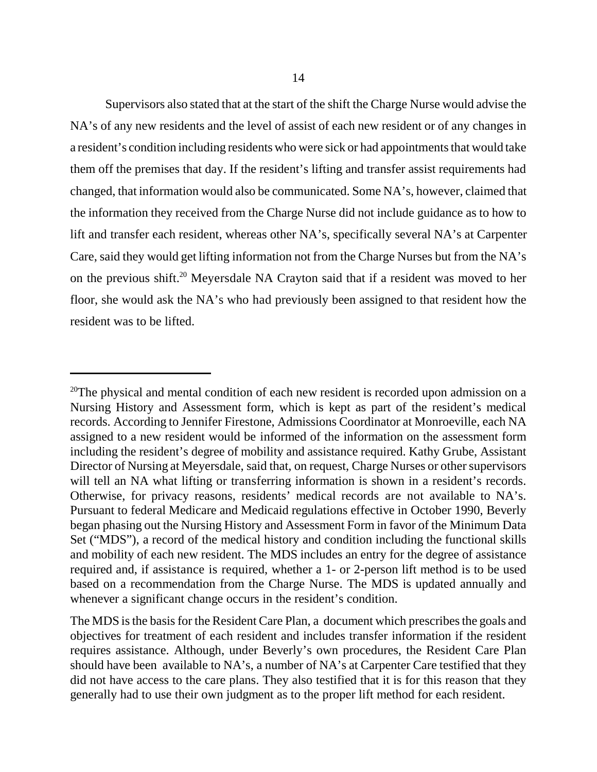Supervisors also stated that at the start of the shift the Charge Nurse would advise the NA's of any new residents and the level of assist of each new resident or of any changes in a resident's condition including residents who were sick or had appointments that would take them off the premises that day. If the resident's lifting and transfer assist requirements had changed, that information would also be communicated. Some NA's, however, claimed that the information they received from the Charge Nurse did not include guidance as to how to lift and transfer each resident, whereas other NA's, specifically several NA's at Carpenter Care, said they would get lifting information not from the Charge Nurses but from the NA's on the previous shift.<sup>20</sup> Meyersdale NA Crayton said that if a resident was moved to her floor, she would ask the NA's who had previously been assigned to that resident how the resident was to be lifted.

<sup>&</sup>lt;sup>20</sup>The physical and mental condition of each new resident is recorded upon admission on a Nursing History and Assessment form, which is kept as part of the resident's medical records. According to Jennifer Firestone, Admissions Coordinator at Monroeville, each NA assigned to a new resident would be informed of the information on the assessment form including the resident's degree of mobility and assistance required. Kathy Grube, Assistant Director of Nursing at Meyersdale, said that, on request, Charge Nurses or other supervisors will tell an NA what lifting or transferring information is shown in a resident's records. Otherwise, for privacy reasons, residents' medical records are not available to NA's. Pursuant to federal Medicare and Medicaid regulations effective in October 1990, Beverly began phasing out the Nursing History and Assessment Form in favor of the Minimum Data Set ("MDS"), a record of the medical history and condition including the functional skills and mobility of each new resident. The MDS includes an entry for the degree of assistance required and, if assistance is required, whether a 1- or 2-person lift method is to be used based on a recommendation from the Charge Nurse. The MDS is updated annually and whenever a significant change occurs in the resident's condition.

The MDS is the basis for the Resident Care Plan, a document which prescribes the goals and objectives for treatment of each resident and includes transfer information if the resident requires assistance. Although, under Beverly's own procedures, the Resident Care Plan should have been available to NA's, a number of NA's at Carpenter Care testified that they did not have access to the care plans. They also testified that it is for this reason that they generally had to use their own judgment as to the proper lift method for each resident.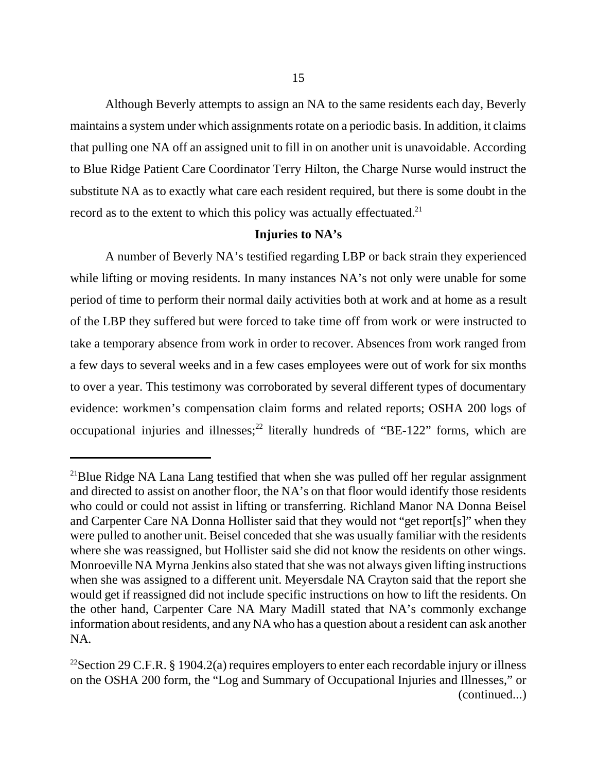Although Beverly attempts to assign an NA to the same residents each day, Beverly maintains a system under which assignments rotate on a periodic basis. In addition, it claims that pulling one NA off an assigned unit to fill in on another unit is unavoidable. According to Blue Ridge Patient Care Coordinator Terry Hilton, the Charge Nurse would instruct the substitute NA as to exactly what care each resident required, but there is some doubt in the record as to the extent to which this policy was actually effectuated.<sup>21</sup>

#### **Injuries to NA's**

A number of Beverly NA's testified regarding LBP or back strain they experienced while lifting or moving residents. In many instances NA's not only were unable for some period of time to perform their normal daily activities both at work and at home as a result of the LBP they suffered but were forced to take time off from work or were instructed to take a temporary absence from work in order to recover. Absences from work ranged from a few days to several weeks and in a few cases employees were out of work for six months to over a year. This testimony was corroborated by several different types of documentary evidence: workmen's compensation claim forms and related reports; OSHA 200 logs of occupational injuries and illnesses;<sup>22</sup> literally hundreds of "BE-122" forms, which are

<sup>&</sup>lt;sup>21</sup>Blue Ridge NA Lana Lang testified that when she was pulled off her regular assignment and directed to assist on another floor, the NA's on that floor would identify those residents who could or could not assist in lifting or transferring. Richland Manor NA Donna Beisel and Carpenter Care NA Donna Hollister said that they would not "get report[s]" when they were pulled to another unit. Beisel conceded that she was usually familiar with the residents where she was reassigned, but Hollister said she did not know the residents on other wings. Monroeville NA Myrna Jenkins also stated that she was not always given lifting instructions when she was assigned to a different unit. Meyersdale NA Crayton said that the report she would get if reassigned did not include specific instructions on how to lift the residents. On the other hand, Carpenter Care NA Mary Madill stated that NA's commonly exchange information about residents, and any NA who has a question about a resident can ask another NA.

<sup>&</sup>lt;sup>22</sup>Section 29 C.F.R. § 1904.2(a) requires employers to enter each recordable injury or illness on the OSHA 200 form, the "Log and Summary of Occupational Injuries and Illnesses," or (continued...)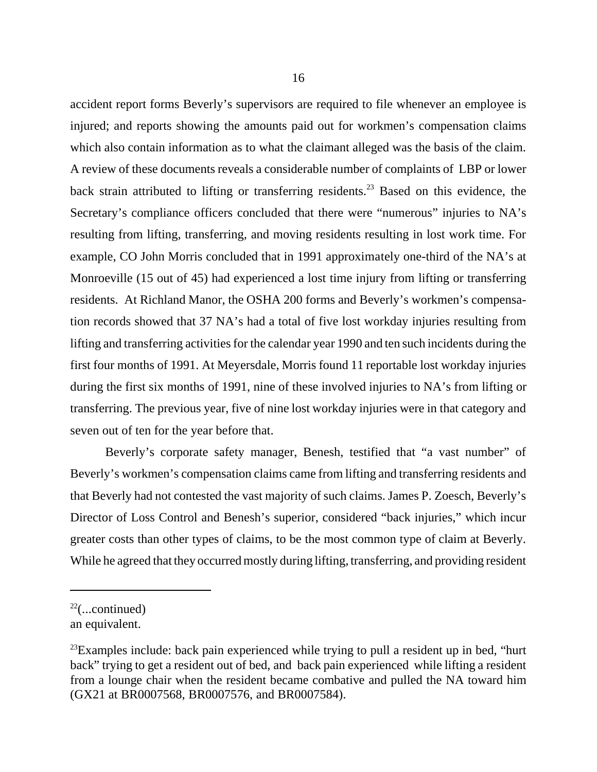accident report forms Beverly's supervisors are required to file whenever an employee is injured; and reports showing the amounts paid out for workmen's compensation claims which also contain information as to what the claimant alleged was the basis of the claim. A review of these documents reveals a considerable number of complaints of LBP or lower back strain attributed to lifting or transferring residents.<sup>23</sup> Based on this evidence, the Secretary's compliance officers concluded that there were "numerous" injuries to NA's resulting from lifting, transferring, and moving residents resulting in lost work time. For example, CO John Morris concluded that in 1991 approximately one-third of the NA's at Monroeville (15 out of 45) had experienced a lost time injury from lifting or transferring residents. At Richland Manor, the OSHA 200 forms and Beverly's workmen's compensation records showed that 37 NA's had a total of five lost workday injuries resulting from lifting and transferring activities for the calendar year 1990 and ten such incidents during the first four months of 1991. At Meyersdale, Morris found 11 reportable lost workday injuries during the first six months of 1991, nine of these involved injuries to NA's from lifting or transferring. The previous year, five of nine lost workday injuries were in that category and seven out of ten for the year before that.

Beverly's corporate safety manager, Benesh, testified that "a vast number" of Beverly's workmen's compensation claims came from lifting and transferring residents and that Beverly had not contested the vast majority of such claims. James P. Zoesch, Beverly's Director of Loss Control and Benesh's superior, considered "back injuries," which incur greater costs than other types of claims, to be the most common type of claim at Beverly. While he agreed that they occurred mostly during lifting, transferring, and providing resident

 $22$ (...continued)

an equivalent.

 $^{23}$ Examples include: back pain experienced while trying to pull a resident up in bed, "hurt" back" trying to get a resident out of bed, and back pain experienced while lifting a resident from a lounge chair when the resident became combative and pulled the NA toward him (GX21 at BR0007568, BR0007576, and BR0007584).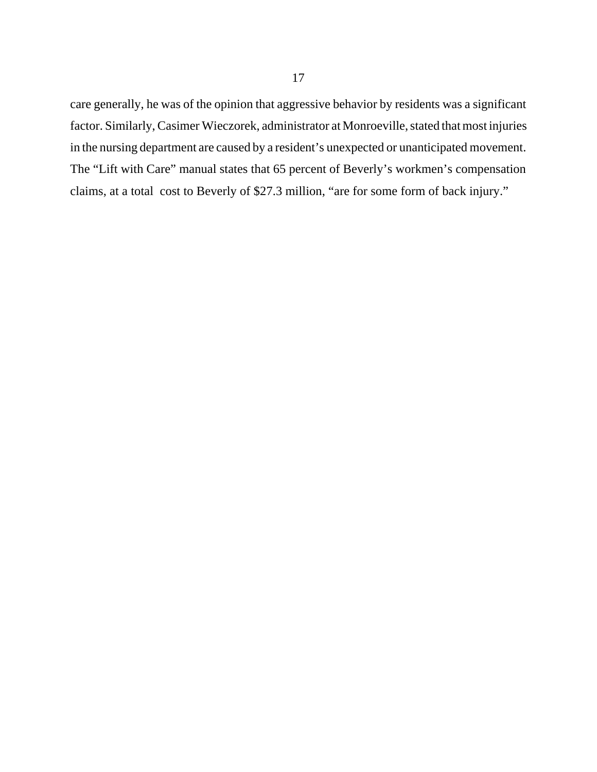care generally, he was of the opinion that aggressive behavior by residents was a significant factor. Similarly, Casimer Wieczorek, administrator at Monroeville, stated that most injuries in the nursing department are caused by a resident's unexpected or unanticipated movement. The "Lift with Care" manual states that 65 percent of Beverly's workmen's compensation claims, at a total cost to Beverly of \$27.3 million, "are for some form of back injury."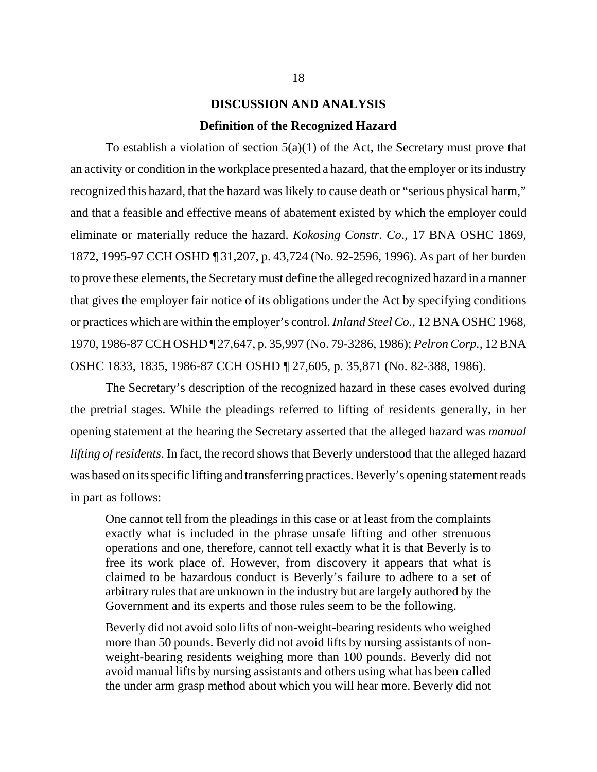# **DISCUSSION AND ANALYSIS Definition of the Recognized Hazard**

To establish a violation of section  $5(a)(1)$  of the Act, the Secretary must prove that an activity or condition in the workplace presented a hazard, that the employer or its industry recognized this hazard, that the hazard was likely to cause death or "serious physical harm," and that a feasible and effective means of abatement existed by which the employer could eliminate or materially reduce the hazard. *Kokosing Constr. Co*., 17 BNA OSHC 1869, 1872, 1995-97 CCH OSHD ¶ 31,207, p. 43,724 (No. 92-2596, 1996). As part of her burden to prove these elements, the Secretary must define the alleged recognized hazard in a manner that gives the employer fair notice of its obligations under the Act by specifying conditions or practices which are within the employer's control. *Inland Steel Co.*, 12 BNA OSHC 1968, 1970, 1986-87 CCH OSHD ¶ 27,647, p. 35,997 (No. 79-3286, 1986); *Pelron Corp.*, 12 BNA OSHC 1833, 1835, 1986-87 CCH OSHD ¶ 27,605, p. 35,871 (No. 82-388, 1986).

The Secretary's description of the recognized hazard in these cases evolved during the pretrial stages. While the pleadings referred to lifting of residents generally, in her opening statement at the hearing the Secretary asserted that the alleged hazard was *manual lifting of residents*. In fact, the record shows that Beverly understood that the alleged hazard was based on its specific lifting and transferring practices. Beverly's opening statement reads in part as follows:

One cannot tell from the pleadings in this case or at least from the complaints exactly what is included in the phrase unsafe lifting and other strenuous operations and one, therefore, cannot tell exactly what it is that Beverly is to free its work place of. However, from discovery it appears that what is claimed to be hazardous conduct is Beverly's failure to adhere to a set of arbitrary rules that are unknown in the industry but are largely authored by the Government and its experts and those rules seem to be the following.

Beverly did not avoid solo lifts of non-weight-bearing residents who weighed more than 50 pounds. Beverly did not avoid lifts by nursing assistants of nonweight-bearing residents weighing more than 100 pounds. Beverly did not avoid manual lifts by nursing assistants and others using what has been called the under arm grasp method about which you will hear more. Beverly did not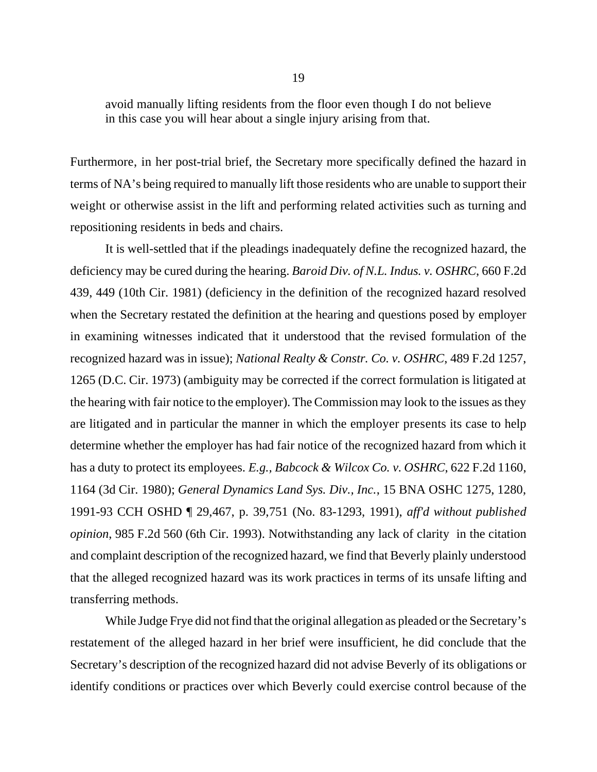avoid manually lifting residents from the floor even though I do not believe in this case you will hear about a single injury arising from that.

Furthermore, in her post-trial brief, the Secretary more specifically defined the hazard in terms of NA's being required to manually lift those residents who are unable to support their weight or otherwise assist in the lift and performing related activities such as turning and repositioning residents in beds and chairs.

It is well-settled that if the pleadings inadequately define the recognized hazard, the deficiency may be cured during the hearing. *Baroid Div. of N.L. Indus. v. OSHRC*, 660 F.2d 439, 449 (10th Cir. 1981) (deficiency in the definition of the recognized hazard resolved when the Secretary restated the definition at the hearing and questions posed by employer in examining witnesses indicated that it understood that the revised formulation of the recognized hazard was in issue); *National Realty & Constr. Co. v. OSHRC*, 489 F.2d 1257, 1265 (D.C. Cir. 1973) (ambiguity may be corrected if the correct formulation is litigated at the hearing with fair notice to the employer). The Commission may look to the issues as they are litigated and in particular the manner in which the employer presents its case to help determine whether the employer has had fair notice of the recognized hazard from which it has a duty to protect its employees. *E.g., Babcock & Wilcox Co. v. OSHRC*, 622 F.2d 1160, 1164 (3d Cir. 1980); *General Dynamics Land Sys. Div., Inc.*, 15 BNA OSHC 1275, 1280, 1991-93 CCH OSHD ¶ 29,467, p. 39,751 (No. 83-1293, 1991), *aff'd without published opinion*, 985 F.2d 560 (6th Cir. 1993). Notwithstanding any lack of clarity in the citation and complaint description of the recognized hazard, we find that Beverly plainly understood that the alleged recognized hazard was its work practices in terms of its unsafe lifting and transferring methods.

While Judge Frye did not find that the original allegation as pleaded or the Secretary's restatement of the alleged hazard in her brief were insufficient, he did conclude that the Secretary's description of the recognized hazard did not advise Beverly of its obligations or identify conditions or practices over which Beverly could exercise control because of the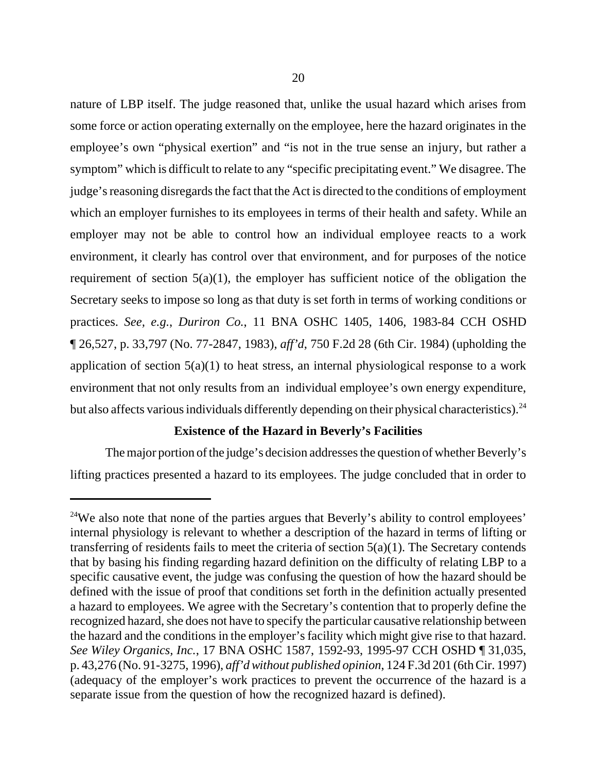nature of LBP itself. The judge reasoned that, unlike the usual hazard which arises from some force or action operating externally on the employee, here the hazard originates in the employee's own "physical exertion" and "is not in the true sense an injury, but rather a symptom" which is difficult to relate to any "specific precipitating event." We disagree. The judge's reasoning disregards the fact that the Act is directed to the conditions of employment which an employer furnishes to its employees in terms of their health and safety. While an employer may not be able to control how an individual employee reacts to a work environment, it clearly has control over that environment, and for purposes of the notice requirement of section  $5(a)(1)$ , the employer has sufficient notice of the obligation the Secretary seeks to impose so long as that duty is set forth in terms of working conditions or practices. *See, e.g.*, *Duriron Co.*, 11 BNA OSHC 1405, 1406, 1983-84 CCH OSHD ¶ 26,527, p. 33,797 (No. 77-2847, 1983), *aff'd*, 750 F.2d 28 (6th Cir. 1984) (upholding the application of section 5(a)(1) to heat stress, an internal physiological response to a work environment that not only results from an individual employee's own energy expenditure, but also affects various individuals differently depending on their physical characteristics).<sup>24</sup>

## **Existence of the Hazard in Beverly's Facilities**

The major portion of the judge's decision addresses the question of whether Beverly's lifting practices presented a hazard to its employees. The judge concluded that in order to

<sup>&</sup>lt;sup>24</sup>We also note that none of the parties argues that Beverly's ability to control employees' internal physiology is relevant to whether a description of the hazard in terms of lifting or transferring of residents fails to meet the criteria of section  $5(a)(1)$ . The Secretary contends that by basing his finding regarding hazard definition on the difficulty of relating LBP to a specific causative event, the judge was confusing the question of how the hazard should be defined with the issue of proof that conditions set forth in the definition actually presented a hazard to employees. We agree with the Secretary's contention that to properly define the recognized hazard, she does not have to specify the particular causative relationship between the hazard and the conditions in the employer's facility which might give rise to that hazard. *See Wiley Organics, Inc.*, 17 BNA OSHC 1587, 1592-93, 1995-97 CCH OSHD ¶ 31,035, p. 43,276 (No. 91-3275, 1996), *aff'd without published opinion*, 124 F.3d 201 (6th Cir. 1997) (adequacy of the employer's work practices to prevent the occurrence of the hazard is a separate issue from the question of how the recognized hazard is defined).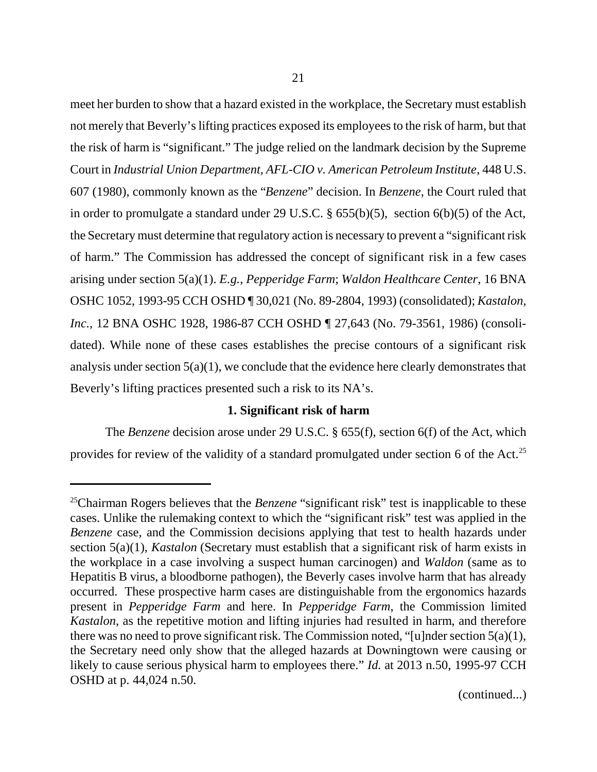meet her burden to show that a hazard existed in the workplace, the Secretary must establish not merely that Beverly's lifting practices exposed its employees to the risk of harm, but that the risk of harm is "significant." The judge relied on the landmark decision by the Supreme Court in *Industrial Union Department, AFL-CIO v. American Petroleum Institute*, 448 U.S. 607 (1980), commonly known as the "*Benzene*" decision. In *Benzene*, the Court ruled that in order to promulgate a standard under 29 U.S.C. § 655(b)(5), section 6(b)(5) of the Act, the Secretary must determine that regulatory action is necessary to prevent a "significant risk of harm." The Commission has addressed the concept of significant risk in a few cases arising under section 5(a)(1). *E.g.*, *Pepperidge Farm*; *Waldon Healthcare Center*, 16 BNA OSHC 1052, 1993-95 CCH OSHD ¶ 30,021 (No. 89-2804, 1993) (consolidated); *Kastalon, Inc.*, 12 BNA OSHC 1928, 1986-87 CCH OSHD ¶ 27,643 (No. 79-3561, 1986) (consolidated). While none of these cases establishes the precise contours of a significant risk analysis under section  $5(a)(1)$ , we conclude that the evidence here clearly demonstrates that Beverly's lifting practices presented such a risk to its NA's.

#### **1. Significant risk of harm**

The *Benzene* decision arose under 29 U.S.C. § 655(f), section 6(f) of the Act, which provides for review of the validity of a standard promulgated under section 6 of the Act.<sup>25</sup>

(continued...)

<sup>&</sup>lt;sup>25</sup>Chairman Rogers believes that the *Benzene* "significant risk" test is inapplicable to these cases. Unlike the rulemaking context to which the "significant risk" test was applied in the *Benzene* case, and the Commission decisions applying that test to health hazards under section 5(a)(1), *Kastalon* (Secretary must establish that a significant risk of harm exists in the workplace in a case involving a suspect human carcinogen) and *Waldon* (same as to Hepatitis B virus, a bloodborne pathogen), the Beverly cases involve harm that has already occurred. These prospective harm cases are distinguishable from the ergonomics hazards present in *Pepperidge Farm* and here. In *Pepperidge Farm*, the Commission limited *Kastalon*, as the repetitive motion and lifting injuries had resulted in harm, and therefore there was no need to prove significant risk. The Commission noted, "[u]nder section  $5(a)(1)$ , the Secretary need only show that the alleged hazards at Downingtown were causing or likely to cause serious physical harm to employees there." *Id.* at 2013 n.50, 1995-97 CCH OSHD at p. 44,024 n.50.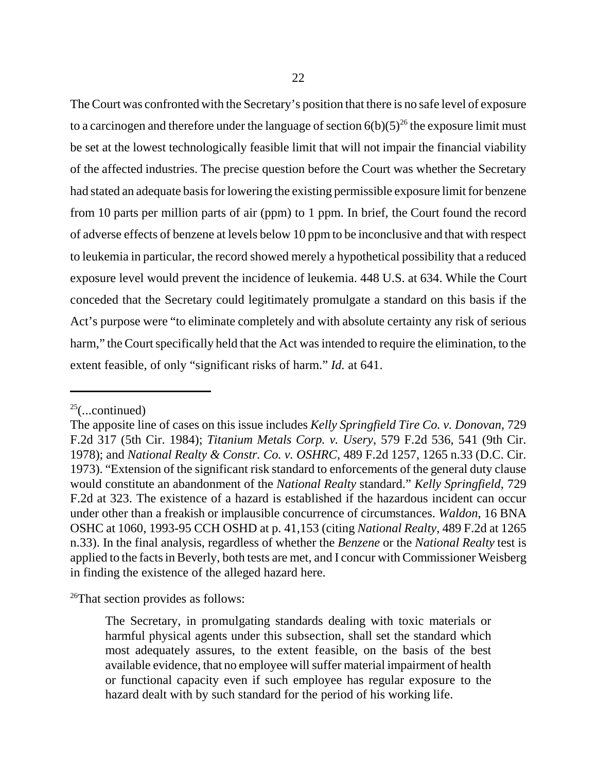The Court was confronted with the Secretary's position that there is no safe level of exposure to a carcinogen and therefore under the language of section  $6(b)(5)^{26}$  the exposure limit must be set at the lowest technologically feasible limit that will not impair the financial viability of the affected industries. The precise question before the Court was whether the Secretary had stated an adequate basis for lowering the existing permissible exposure limit for benzene from 10 parts per million parts of air (ppm) to 1 ppm. In brief, the Court found the record of adverse effects of benzene at levels below 10 ppm to be inconclusive and that with respect to leukemia in particular, the record showed merely a hypothetical possibility that a reduced exposure level would prevent the incidence of leukemia. 448 U.S. at 634. While the Court conceded that the Secretary could legitimately promulgate a standard on this basis if the Act's purpose were "to eliminate completely and with absolute certainty any risk of serious harm," the Court specifically held that the Act was intended to require the elimination, to the extent feasible, of only "significant risks of harm." *Id.* at 641.

<sup>26</sup>That section provides as follows:

 $25$ (...continued)

The apposite line of cases on this issue includes *Kelly Springfield Tire Co. v. Donovan*, 729 F.2d 317 (5th Cir. 1984); *Titanium Metals Corp. v. Usery*, 579 F.2d 536, 541 (9th Cir. 1978); and *National Realty & Constr. Co. v. OSHRC*, 489 F.2d 1257, 1265 n.33 (D.C. Cir. 1973). "Extension of the significant risk standard to enforcements of the general duty clause would constitute an abandonment of the *National Realty* standard." *Kelly Springfield*, 729 F.2d at 323. The existence of a hazard is established if the hazardous incident can occur under other than a freakish or implausible concurrence of circumstances. *Waldon*, 16 BNA OSHC at 1060, 1993-95 CCH OSHD at p. 41,153 (citing *National Realty*, 489 F.2d at 1265 n.33). In the final analysis, regardless of whether the *Benzene* or the *National Realty* test is applied to the facts in Beverly, both tests are met, and I concur with Commissioner Weisberg in finding the existence of the alleged hazard here.

The Secretary, in promulgating standards dealing with toxic materials or harmful physical agents under this subsection, shall set the standard which most adequately assures, to the extent feasible, on the basis of the best available evidence, that no employee will suffer material impairment of health or functional capacity even if such employee has regular exposure to the hazard dealt with by such standard for the period of his working life.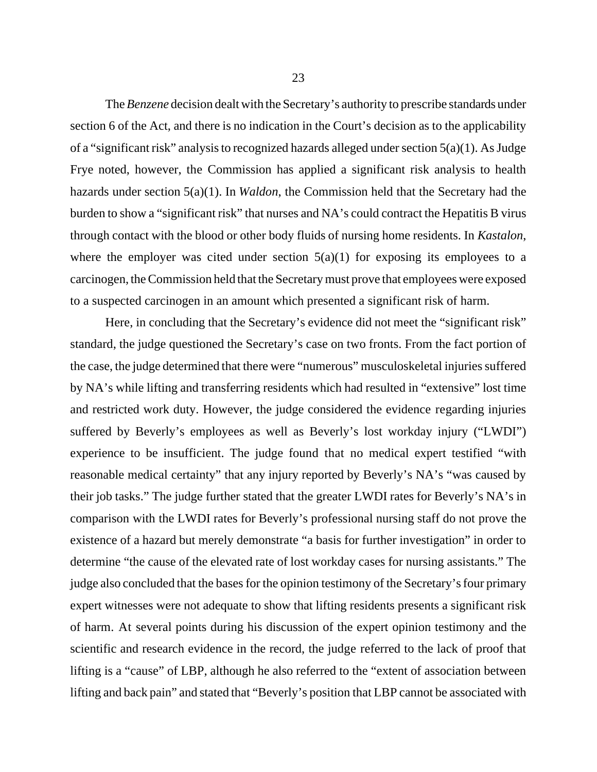The *Benzene* decision dealt with the Secretary's authority to prescribe standards under section 6 of the Act, and there is no indication in the Court's decision as to the applicability of a "significant risk" analysis to recognized hazards alleged under section 5(a)(1). As Judge Frye noted, however, the Commission has applied a significant risk analysis to health hazards under section 5(a)(1). In *Waldon*, the Commission held that the Secretary had the burden to show a "significant risk" that nurses and NA's could contract the Hepatitis B virus through contact with the blood or other body fluids of nursing home residents. In *Kastalon*, where the employer was cited under section  $5(a)(1)$  for exposing its employees to a carcinogen, the Commission held that the Secretary must prove that employees were exposed to a suspected carcinogen in an amount which presented a significant risk of harm.

Here, in concluding that the Secretary's evidence did not meet the "significant risk" standard, the judge questioned the Secretary's case on two fronts. From the fact portion of the case, the judge determined that there were "numerous" musculoskeletal injuries suffered by NA's while lifting and transferring residents which had resulted in "extensive" lost time and restricted work duty. However, the judge considered the evidence regarding injuries suffered by Beverly's employees as well as Beverly's lost workday injury ("LWDI") experience to be insufficient. The judge found that no medical expert testified "with reasonable medical certainty" that any injury reported by Beverly's NA's "was caused by their job tasks." The judge further stated that the greater LWDI rates for Beverly's NA's in comparison with the LWDI rates for Beverly's professional nursing staff do not prove the existence of a hazard but merely demonstrate "a basis for further investigation" in order to determine "the cause of the elevated rate of lost workday cases for nursing assistants." The judge also concluded that the bases for the opinion testimony of the Secretary's four primary expert witnesses were not adequate to show that lifting residents presents a significant risk of harm. At several points during his discussion of the expert opinion testimony and the scientific and research evidence in the record, the judge referred to the lack of proof that lifting is a "cause" of LBP, although he also referred to the "extent of association between lifting and back pain" and stated that "Beverly's position that LBP cannot be associated with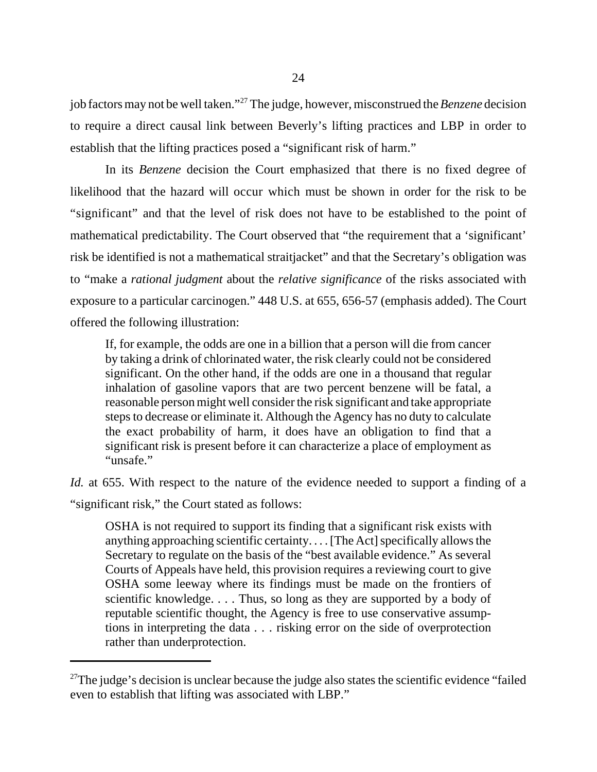job factors may not be well taken."27 The judge, however, misconstrued the *Benzene* decision to require a direct causal link between Beverly's lifting practices and LBP in order to establish that the lifting practices posed a "significant risk of harm."

In its *Benzene* decision the Court emphasized that there is no fixed degree of likelihood that the hazard will occur which must be shown in order for the risk to be "significant" and that the level of risk does not have to be established to the point of mathematical predictability. The Court observed that "the requirement that a 'significant' risk be identified is not a mathematical straitjacket" and that the Secretary's obligation was to "make a *rational judgment* about the *relative significance* of the risks associated with exposure to a particular carcinogen." 448 U.S. at 655, 656-57 (emphasis added). The Court offered the following illustration:

If, for example, the odds are one in a billion that a person will die from cancer by taking a drink of chlorinated water, the risk clearly could not be considered significant. On the other hand, if the odds are one in a thousand that regular inhalation of gasoline vapors that are two percent benzene will be fatal, a reasonable person might well consider the risk significant and take appropriate steps to decrease or eliminate it. Although the Agency has no duty to calculate the exact probability of harm, it does have an obligation to find that a significant risk is present before it can characterize a place of employment as "unsafe."

*Id.* at 655. With respect to the nature of the evidence needed to support a finding of a

"significant risk," the Court stated as follows:

OSHA is not required to support its finding that a significant risk exists with anything approaching scientific certainty. . . . [The Act] specifically allows the Secretary to regulate on the basis of the "best available evidence." As several Courts of Appeals have held, this provision requires a reviewing court to give OSHA some leeway where its findings must be made on the frontiers of scientific knowledge. . . . Thus, so long as they are supported by a body of reputable scientific thought, the Agency is free to use conservative assumptions in interpreting the data . . . risking error on the side of overprotection rather than underprotection.

<sup>&</sup>lt;sup>27</sup>The judge's decision is unclear because the judge also states the scientific evidence "failed" even to establish that lifting was associated with LBP."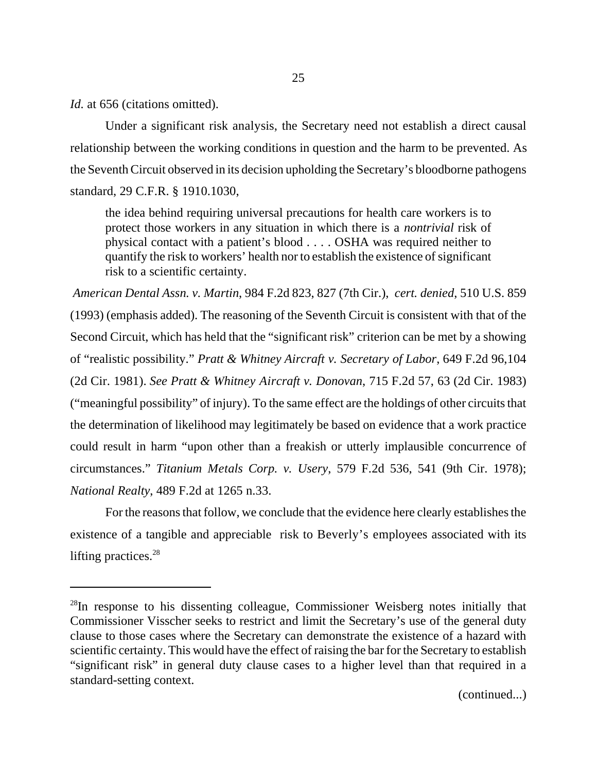*Id.* at 656 (citations omitted).

Under a significant risk analysis, the Secretary need not establish a direct causal relationship between the working conditions in question and the harm to be prevented. As the Seventh Circuit observed in its decision upholding the Secretary's bloodborne pathogens standard, 29 C.F.R. § 1910.1030,

the idea behind requiring universal precautions for health care workers is to protect those workers in any situation in which there is a *nontrivial* risk of physical contact with a patient's blood . . . . OSHA was required neither to quantify the risk to workers' health nor to establish the existence of significant risk to a scientific certainty.

*American Dental Assn. v. Martin*, 984 F.2d 823, 827 (7th Cir.), *cert. denied*, 510 U.S. 859 (1993) (emphasis added). The reasoning of the Seventh Circuit is consistent with that of the Second Circuit, which has held that the "significant risk" criterion can be met by a showing of "realistic possibility." *Pratt & Whitney Aircraft v. Secretary of Labor*, 649 F.2d 96,104 (2d Cir. 1981). *See Pratt & Whitney Aircraft v. Donovan*, 715 F.2d 57, 63 (2d Cir. 1983) ("meaningful possibility" of injury). To the same effect are the holdings of other circuits that the determination of likelihood may legitimately be based on evidence that a work practice could result in harm "upon other than a freakish or utterly implausible concurrence of circumstances." *Titanium Metals Corp. v. Usery*, 579 F.2d 536, 541 (9th Cir. 1978); *National Realty*, 489 F.2d at 1265 n.33.

For the reasons that follow, we conclude that the evidence here clearly establishes the existence of a tangible and appreciable risk to Beverly's employees associated with its lifting practices. $28$ 

<sup>&</sup>lt;sup>28</sup>In response to his dissenting colleague, Commissioner Weisberg notes initially that Commissioner Visscher seeks to restrict and limit the Secretary's use of the general duty clause to those cases where the Secretary can demonstrate the existence of a hazard with scientific certainty. This would have the effect of raising the bar for the Secretary to establish "significant risk" in general duty clause cases to a higher level than that required in a standard-setting context.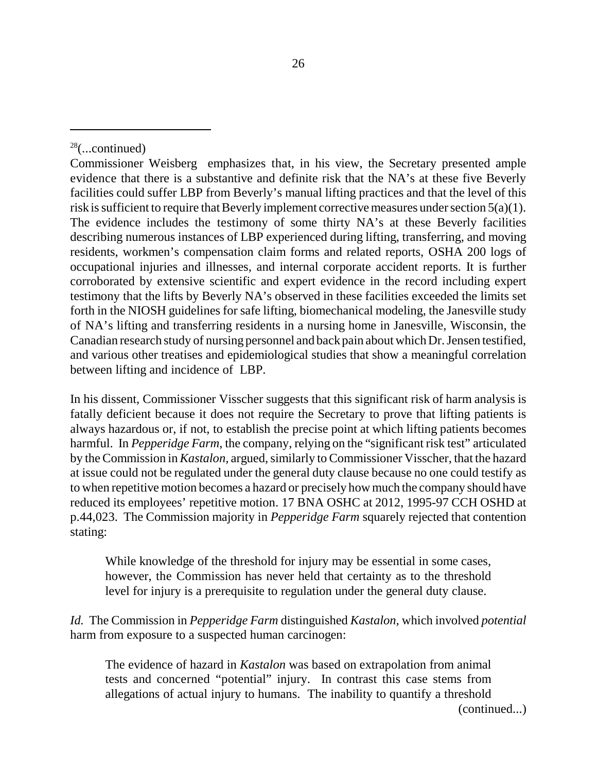In his dissent, Commissioner Visscher suggests that this significant risk of harm analysis is fatally deficient because it does not require the Secretary to prove that lifting patients is always hazardous or, if not, to establish the precise point at which lifting patients becomes harmful. In *Pepperidge Farm*, the company, relying on the "significant risk test" articulated by the Commission in *Kastalon,* argued, similarly to Commissioner Visscher, that the hazard at issue could not be regulated under the general duty clause because no one could testify as to when repetitive motion becomes a hazard or precisely how much the company should have reduced its employees' repetitive motion. 17 BNA OSHC at 2012, 1995-97 CCH OSHD at p.44,023. The Commission majority in *Pepperidge Farm* squarely rejected that contention stating:

While knowledge of the threshold for injury may be essential in some cases, however, the Commission has never held that certainty as to the threshold level for injury is a prerequisite to regulation under the general duty clause.

*Id.* The Commission in *Pepperidge Farm* distinguished *Kastalon,* which involved *potential* harm from exposure to a suspected human carcinogen:

The evidence of hazard in *Kastalon* was based on extrapolation from animal tests and concerned "potential" injury. In contrast this case stems from allegations of actual injury to humans. The inability to quantify a threshold

(continued...)

 $28$ (...continued)

Commissioner Weisberg emphasizes that, in his view, the Secretary presented ample evidence that there is a substantive and definite risk that the NA's at these five Beverly facilities could suffer LBP from Beverly's manual lifting practices and that the level of this risk is sufficient to require that Beverly implement corrective measures under section 5(a)(1). The evidence includes the testimony of some thirty NA's at these Beverly facilities describing numerous instances of LBP experienced during lifting, transferring, and moving residents, workmen's compensation claim forms and related reports, OSHA 200 logs of occupational injuries and illnesses, and internal corporate accident reports. It is further corroborated by extensive scientific and expert evidence in the record including expert testimony that the lifts by Beverly NA's observed in these facilities exceeded the limits set forth in the NIOSH guidelines for safe lifting, biomechanical modeling, the Janesville study of NA's lifting and transferring residents in a nursing home in Janesville, Wisconsin, the Canadian research study of nursing personnel and back pain about which Dr. Jensen testified, and various other treatises and epidemiological studies that show a meaningful correlation between lifting and incidence of LBP.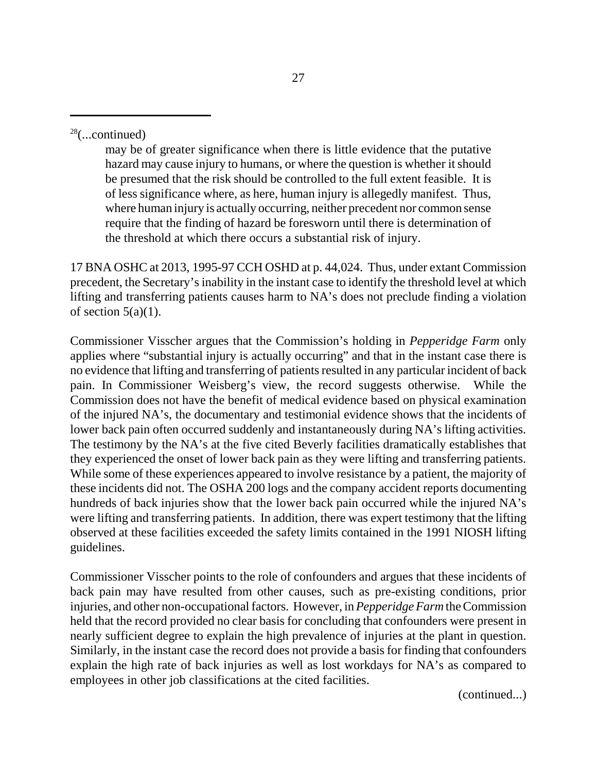may be of greater significance when there is little evidence that the putative hazard may cause injury to humans, or where the question is whether it should be presumed that the risk should be controlled to the full extent feasible. It is of less significance where, as here, human injury is allegedly manifest. Thus, where human injury is actually occurring, neither precedent nor common sense require that the finding of hazard be foresworn until there is determination of the threshold at which there occurs a substantial risk of injury.

17 BNA OSHC at 2013, 1995-97 CCH OSHD at p. 44,024. Thus, under extant Commission precedent, the Secretary's inability in the instant case to identify the threshold level at which lifting and transferring patients causes harm to NA's does not preclude finding a violation of section  $5(a)(1)$ .

Commissioner Visscher argues that the Commission's holding in *Pepperidge Farm* only applies where "substantial injury is actually occurring" and that in the instant case there is no evidence that lifting and transferring of patients resulted in any particular incident of back pain. In Commissioner Weisberg's view, the record suggests otherwise. While the Commission does not have the benefit of medical evidence based on physical examination of the injured NA's, the documentary and testimonial evidence shows that the incidents of lower back pain often occurred suddenly and instantaneously during NA's lifting activities. The testimony by the NA's at the five cited Beverly facilities dramatically establishes that they experienced the onset of lower back pain as they were lifting and transferring patients. While some of these experiences appeared to involve resistance by a patient, the majority of these incidents did not. The OSHA 200 logs and the company accident reports documenting hundreds of back injuries show that the lower back pain occurred while the injured NA's were lifting and transferring patients. In addition, there was expert testimony that the lifting observed at these facilities exceeded the safety limits contained in the 1991 NIOSH lifting guidelines.

Commissioner Visscher points to the role of confounders and argues that these incidents of back pain may have resulted from other causes, such as pre-existing conditions, prior injuries, and other non-occupational factors. However, in *Pepperidge Farm* the Commission held that the record provided no clear basis for concluding that confounders were present in nearly sufficient degree to explain the high prevalence of injuries at the plant in question. Similarly, in the instant case the record does not provide a basis for finding that confounders explain the high rate of back injuries as well as lost workdays for NA's as compared to employees in other job classifications at the cited facilities.

(continued...)

 $28$ (...continued)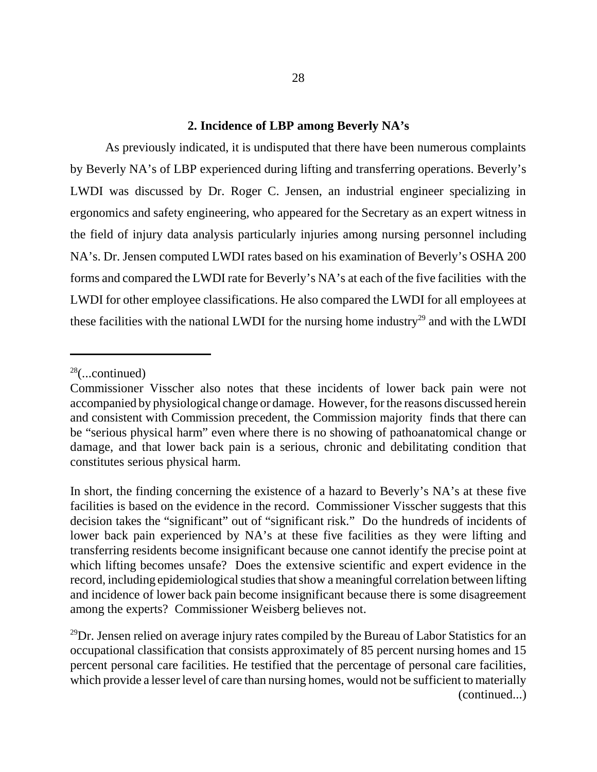#### **2. Incidence of LBP among Beverly NA's**

As previously indicated, it is undisputed that there have been numerous complaints by Beverly NA's of LBP experienced during lifting and transferring operations. Beverly's LWDI was discussed by Dr. Roger C. Jensen, an industrial engineer specializing in ergonomics and safety engineering, who appeared for the Secretary as an expert witness in the field of injury data analysis particularly injuries among nursing personnel including NA's. Dr. Jensen computed LWDI rates based on his examination of Beverly's OSHA 200 forms and compared the LWDI rate for Beverly's NA's at each of the five facilities with the LWDI for other employee classifications. He also compared the LWDI for all employees at these facilities with the national LWDI for the nursing home industry<sup>29</sup> and with the LWDI

 $28$ (...continued)

Commissioner Visscher also notes that these incidents of lower back pain were not accompanied by physiological change or damage. However, for the reasons discussed herein and consistent with Commission precedent, the Commission majority finds that there can be "serious physical harm" even where there is no showing of pathoanatomical change or damage, and that lower back pain is a serious, chronic and debilitating condition that constitutes serious physical harm.

In short, the finding concerning the existence of a hazard to Beverly's NA's at these five facilities is based on the evidence in the record. Commissioner Visscher suggests that this decision takes the "significant" out of "significant risk." Do the hundreds of incidents of lower back pain experienced by NA's at these five facilities as they were lifting and transferring residents become insignificant because one cannot identify the precise point at which lifting becomes unsafe? Does the extensive scientific and expert evidence in the record, including epidemiological studies that show a meaningful correlation between lifting and incidence of lower back pain become insignificant because there is some disagreement among the experts? Commissioner Weisberg believes not.

 $^{29}$ Dr. Jensen relied on average injury rates compiled by the Bureau of Labor Statistics for an occupational classification that consists approximately of 85 percent nursing homes and 15 percent personal care facilities. He testified that the percentage of personal care facilities, which provide a lesser level of care than nursing homes, would not be sufficient to materially (continued...)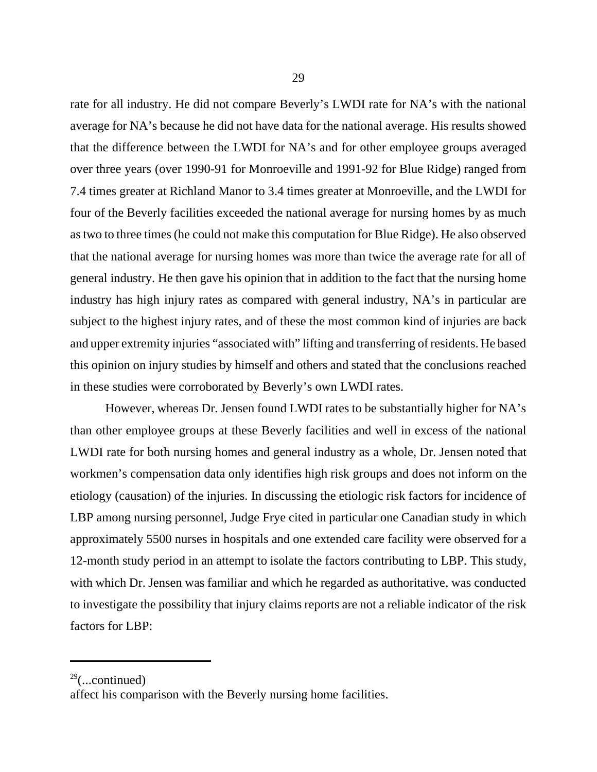rate for all industry. He did not compare Beverly's LWDI rate for NA's with the national average for NA's because he did not have data for the national average. His results showed that the difference between the LWDI for NA's and for other employee groups averaged over three years (over 1990-91 for Monroeville and 1991-92 for Blue Ridge) ranged from 7.4 times greater at Richland Manor to 3.4 times greater at Monroeville, and the LWDI for four of the Beverly facilities exceeded the national average for nursing homes by as much as two to three times (he could not make this computation for Blue Ridge). He also observed that the national average for nursing homes was more than twice the average rate for all of general industry. He then gave his opinion that in addition to the fact that the nursing home industry has high injury rates as compared with general industry, NA's in particular are subject to the highest injury rates, and of these the most common kind of injuries are back and upper extremity injuries "associated with" lifting and transferring of residents. He based this opinion on injury studies by himself and others and stated that the conclusions reached in these studies were corroborated by Beverly's own LWDI rates.

However, whereas Dr. Jensen found LWDI rates to be substantially higher for NA's than other employee groups at these Beverly facilities and well in excess of the national LWDI rate for both nursing homes and general industry as a whole, Dr. Jensen noted that workmen's compensation data only identifies high risk groups and does not inform on the etiology (causation) of the injuries. In discussing the etiologic risk factors for incidence of LBP among nursing personnel, Judge Frye cited in particular one Canadian study in which approximately 5500 nurses in hospitals and one extended care facility were observed for a 12-month study period in an attempt to isolate the factors contributing to LBP. This study, with which Dr. Jensen was familiar and which he regarded as authoritative, was conducted to investigate the possibility that injury claims reports are not a reliable indicator of the risk factors for LBP:

 $29$ (...continued)

affect his comparison with the Beverly nursing home facilities.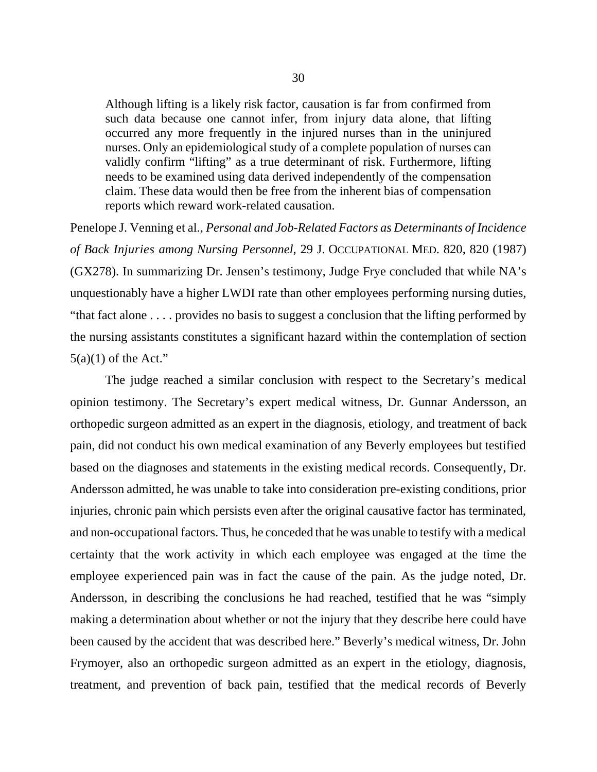Although lifting is a likely risk factor, causation is far from confirmed from such data because one cannot infer, from injury data alone, that lifting occurred any more frequently in the injured nurses than in the uninjured nurses. Only an epidemiological study of a complete population of nurses can validly confirm "lifting" as a true determinant of risk. Furthermore, lifting needs to be examined using data derived independently of the compensation claim. These data would then be free from the inherent bias of compensation reports which reward work-related causation.

Penelope J. Venning et al., *Personal and Job-Related Factors as Determinants of Incidence of Back Injuries among Nursing Personnel*, 29 J. OCCUPATIONAL MED. 820, 820 (1987) (GX278). In summarizing Dr. Jensen's testimony, Judge Frye concluded that while NA's unquestionably have a higher LWDI rate than other employees performing nursing duties, "that fact alone . . . . provides no basis to suggest a conclusion that the lifting performed by the nursing assistants constitutes a significant hazard within the contemplation of section  $5(a)(1)$  of the Act."

The judge reached a similar conclusion with respect to the Secretary's medical opinion testimony. The Secretary's expert medical witness, Dr. Gunnar Andersson, an orthopedic surgeon admitted as an expert in the diagnosis, etiology, and treatment of back pain, did not conduct his own medical examination of any Beverly employees but testified based on the diagnoses and statements in the existing medical records. Consequently, Dr. Andersson admitted, he was unable to take into consideration pre-existing conditions, prior injuries, chronic pain which persists even after the original causative factor has terminated, and non-occupational factors. Thus, he conceded that he was unable to testify with a medical certainty that the work activity in which each employee was engaged at the time the employee experienced pain was in fact the cause of the pain. As the judge noted, Dr. Andersson, in describing the conclusions he had reached, testified that he was "simply making a determination about whether or not the injury that they describe here could have been caused by the accident that was described here." Beverly's medical witness, Dr. John Frymoyer, also an orthopedic surgeon admitted as an expert in the etiology, diagnosis, treatment, and prevention of back pain, testified that the medical records of Beverly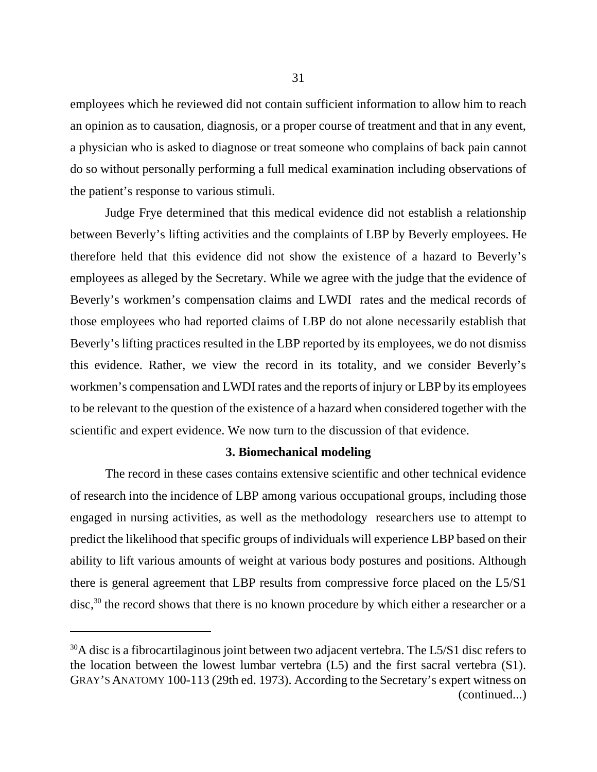employees which he reviewed did not contain sufficient information to allow him to reach an opinion as to causation, diagnosis, or a proper course of treatment and that in any event, a physician who is asked to diagnose or treat someone who complains of back pain cannot do so without personally performing a full medical examination including observations of the patient's response to various stimuli.

Judge Frye determined that this medical evidence did not establish a relationship between Beverly's lifting activities and the complaints of LBP by Beverly employees. He therefore held that this evidence did not show the existence of a hazard to Beverly's employees as alleged by the Secretary. While we agree with the judge that the evidence of Beverly's workmen's compensation claims and LWDI rates and the medical records of those employees who had reported claims of LBP do not alone necessarily establish that Beverly's lifting practices resulted in the LBP reported by its employees, we do not dismiss this evidence. Rather, we view the record in its totality, and we consider Beverly's workmen's compensation and LWDI rates and the reports of injury or LBP by its employees to be relevant to the question of the existence of a hazard when considered together with the scientific and expert evidence. We now turn to the discussion of that evidence.

#### **3. Biomechanical modeling**

The record in these cases contains extensive scientific and other technical evidence of research into the incidence of LBP among various occupational groups, including those engaged in nursing activities, as well as the methodology researchers use to attempt to predict the likelihood that specific groups of individuals will experience LBP based on their ability to lift various amounts of weight at various body postures and positions. Although there is general agreement that LBP results from compressive force placed on the L5/S1 disc,<sup>30</sup> the record shows that there is no known procedure by which either a researcher or a

 $30A$  disc is a fibrocartilaginous joint between two adjacent vertebra. The L5/S1 disc refers to the location between the lowest lumbar vertebra (L5) and the first sacral vertebra (S1). GRAY'S ANATOMY 100-113 (29th ed. 1973). According to the Secretary's expert witness on (continued...)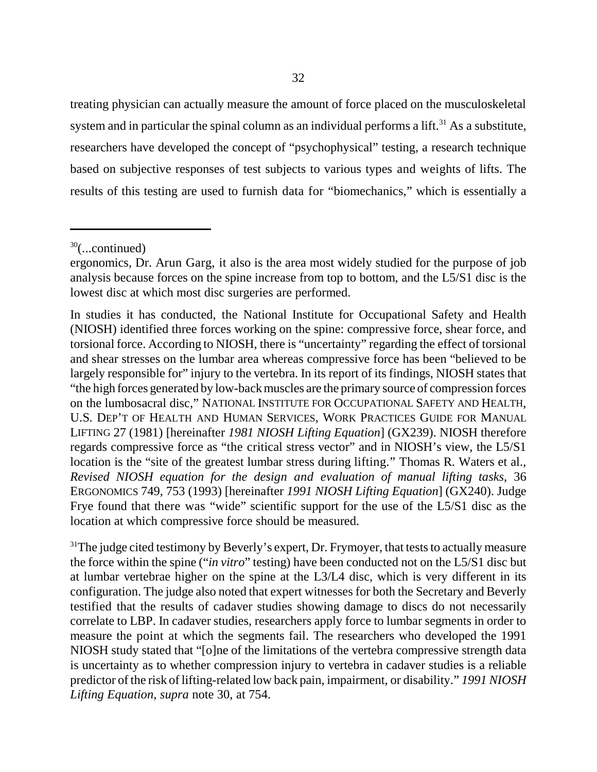treating physician can actually measure the amount of force placed on the musculoskeletal system and in particular the spinal column as an individual performs a lift.<sup>31</sup> As a substitute, researchers have developed the concept of "psychophysical" testing, a research technique based on subjective responses of test subjects to various types and weights of lifts. The results of this testing are used to furnish data for "biomechanics," which is essentially a

 $31$ <sup>31</sup>The judge cited testimony by Beverly's expert, Dr. Frymoyer, that tests to actually measure the force within the spine ("*in vitro*" testing) have been conducted not on the L5/S1 disc but at lumbar vertebrae higher on the spine at the L3/L4 disc, which is very different in its configuration. The judge also noted that expert witnesses for both the Secretary and Beverly testified that the results of cadaver studies showing damage to discs do not necessarily correlate to LBP. In cadaver studies, researchers apply force to lumbar segments in order to measure the point at which the segments fail. The researchers who developed the 1991 NIOSH study stated that "[o]ne of the limitations of the vertebra compressive strength data is uncertainty as to whether compression injury to vertebra in cadaver studies is a reliable predictor of the risk of lifting-related low back pain, impairment, or disability." *1991 NIOSH Lifting Equation*, *supra* note 30, at 754.

 $30$ (...continued)

ergonomics, Dr. Arun Garg, it also is the area most widely studied for the purpose of job analysis because forces on the spine increase from top to bottom, and the L5/S1 disc is the lowest disc at which most disc surgeries are performed.

In studies it has conducted, the National Institute for Occupational Safety and Health (NIOSH) identified three forces working on the spine: compressive force, shear force, and torsional force. According to NIOSH, there is "uncertainty" regarding the effect of torsional and shear stresses on the lumbar area whereas compressive force has been "believed to be largely responsible for" injury to the vertebra. In its report of its findings, NIOSH states that "the high forces generated by low-back muscles are the primary source of compression forces on the lumbosacral disc," NATIONAL INSTITUTE FOR OCCUPATIONAL SAFETY AND HEALTH, U.S. DEP'T OF HEALTH AND HUMAN SERVICES, WORK PRACTICES GUIDE FOR MANUAL LIFTING 27 (1981) [hereinafter *1981 NIOSH Lifting Equation*] (GX239). NIOSH therefore regards compressive force as "the critical stress vector" and in NIOSH's view, the L5/S1 location is the "site of the greatest lumbar stress during lifting." Thomas R. Waters et al., *Revised NIOSH equation for the design and evaluation of manual lifting tasks*, 36 ERGONOMICS 749, 753 (1993) [hereinafter *1991 NIOSH Lifting Equation*] (GX240). Judge Frye found that there was "wide" scientific support for the use of the L5/S1 disc as the location at which compressive force should be measured.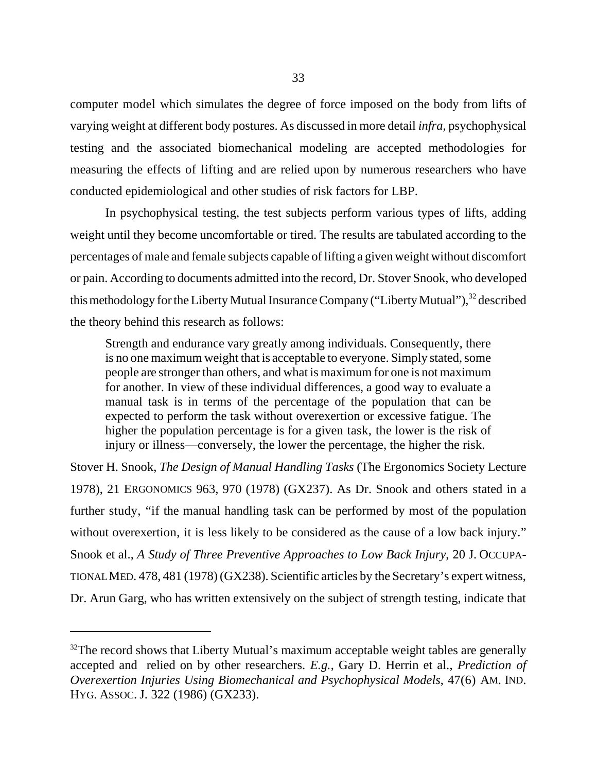computer model which simulates the degree of force imposed on the body from lifts of varying weight at different body postures. As discussed in more detail *infra*, psychophysical testing and the associated biomechanical modeling are accepted methodologies for measuring the effects of lifting and are relied upon by numerous researchers who have conducted epidemiological and other studies of risk factors for LBP.

In psychophysical testing, the test subjects perform various types of lifts, adding weight until they become uncomfortable or tired. The results are tabulated according to the percentages of male and female subjects capable of lifting a given weight without discomfort or pain. According to documents admitted into the record, Dr. Stover Snook, who developed this methodology for the Liberty Mutual Insurance Company ("Liberty Mutual"), $32$  described the theory behind this research as follows:

Strength and endurance vary greatly among individuals. Consequently, there is no one maximum weight that is acceptable to everyone. Simply stated, some people are stronger than others, and what is maximum for one is not maximum for another. In view of these individual differences, a good way to evaluate a manual task is in terms of the percentage of the population that can be expected to perform the task without overexertion or excessive fatigue. The higher the population percentage is for a given task, the lower is the risk of injury or illness—conversely, the lower the percentage, the higher the risk.

Stover H. Snook, *The Design of Manual Handling Tasks* (The Ergonomics Society Lecture 1978), 21 ERGONOMICS 963, 970 (1978) (GX237). As Dr. Snook and others stated in a further study, "if the manual handling task can be performed by most of the population without overexertion, it is less likely to be considered as the cause of a low back injury." Snook et al., *A Study of Three Preventive Approaches to Low Back Injury*, 20 J. OCCUPA-TIONAL MED. 478, 481 (1978) (GX238). Scientific articles by the Secretary's expert witness, Dr. Arun Garg, who has written extensively on the subject of strength testing, indicate that

 $32$ The record shows that Liberty Mutual's maximum acceptable weight tables are generally accepted and relied on by other researchers. *E.g.*, Gary D. Herrin et al., *Prediction of Overexertion Injuries Using Biomechanical and Psychophysical Models*, 47(6) AM. IND. HYG. ASSOC. J. 322 (1986) (GX233).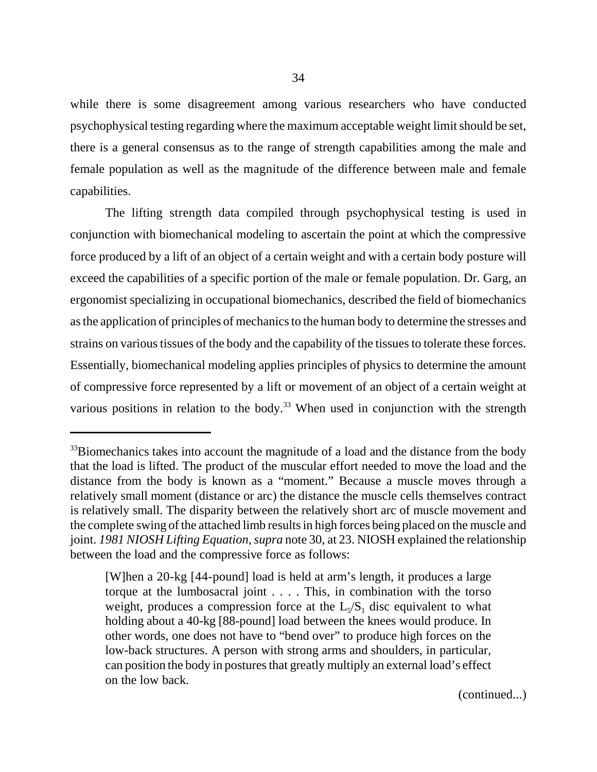while there is some disagreement among various researchers who have conducted psychophysical testing regarding where the maximum acceptable weight limit should be set, there is a general consensus as to the range of strength capabilities among the male and female population as well as the magnitude of the difference between male and female capabilities.

The lifting strength data compiled through psychophysical testing is used in conjunction with biomechanical modeling to ascertain the point at which the compressive force produced by a lift of an object of a certain weight and with a certain body posture will exceed the capabilities of a specific portion of the male or female population. Dr. Garg, an ergonomist specializing in occupational biomechanics, described the field of biomechanics as the application of principles of mechanics to the human body to determine the stresses and strains on various tissues of the body and the capability of the tissues to tolerate these forces. Essentially, biomechanical modeling applies principles of physics to determine the amount of compressive force represented by a lift or movement of an object of a certain weight at various positions in relation to the body.<sup>33</sup> When used in conjunction with the strength

(continued...)

<sup>&</sup>lt;sup>33</sup>Biomechanics takes into account the magnitude of a load and the distance from the body that the load is lifted. The product of the muscular effort needed to move the load and the distance from the body is known as a "moment." Because a muscle moves through a relatively small moment (distance or arc) the distance the muscle cells themselves contract is relatively small. The disparity between the relatively short arc of muscle movement and the complete swing of the attached limb results in high forces being placed on the muscle and joint. *1981 NIOSH Lifting Equation*, *supra* note 30, at 23. NIOSH explained the relationship between the load and the compressive force as follows:

<sup>[</sup>W]hen a 20-kg [44-pound] load is held at arm's length, it produces a large torque at the lumbosacral joint . . . . This, in combination with the torso weight, produces a compression force at the  $L<sub>5</sub>/S<sub>1</sub>$  disc equivalent to what holding about a 40-kg [88-pound] load between the knees would produce. In other words, one does not have to "bend over" to produce high forces on the low-back structures. A person with strong arms and shoulders, in particular, can position the body in postures that greatly multiply an external load's effect on the low back.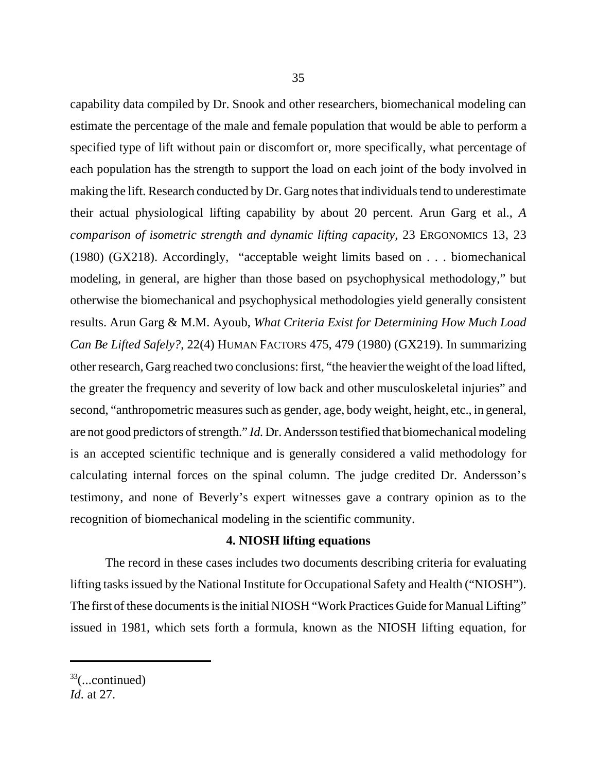capability data compiled by Dr. Snook and other researchers, biomechanical modeling can estimate the percentage of the male and female population that would be able to perform a specified type of lift without pain or discomfort or, more specifically, what percentage of each population has the strength to support the load on each joint of the body involved in making the lift. Research conducted by Dr. Garg notes that individuals tend to underestimate their actual physiological lifting capability by about 20 percent. Arun Garg et al., *A comparison of isometric strength and dynamic lifting capacity*, 23 ERGONOMICS 13, 23 (1980) (GX218). Accordingly, "acceptable weight limits based on . . . biomechanical modeling, in general, are higher than those based on psychophysical methodology," but otherwise the biomechanical and psychophysical methodologies yield generally consistent results. Arun Garg & M.M. Ayoub, *What Criteria Exist for Determining How Much Load Can Be Lifted Safely?*, 22(4) HUMAN FACTORS 475, 479 (1980) (GX219). In summarizing other research, Garg reached two conclusions: first, "the heavier the weight of the load lifted, the greater the frequency and severity of low back and other musculoskeletal injuries" and second, "anthropometric measures such as gender, age, body weight, height, etc., in general, are not good predictors of strength." *Id.* Dr. Andersson testified that biomechanical modeling is an accepted scientific technique and is generally considered a valid methodology for calculating internal forces on the spinal column. The judge credited Dr. Andersson's testimony, and none of Beverly's expert witnesses gave a contrary opinion as to the recognition of biomechanical modeling in the scientific community.

### **4. NIOSH lifting equations**

The record in these cases includes two documents describing criteria for evaluating lifting tasks issued by the National Institute for Occupational Safety and Health ("NIOSH"). The first of these documents is the initial NIOSH "Work Practices Guide for Manual Lifting" issued in 1981, which sets forth a formula, known as the NIOSH lifting equation, for

 $33$ (...continued)

*Id*. at 27.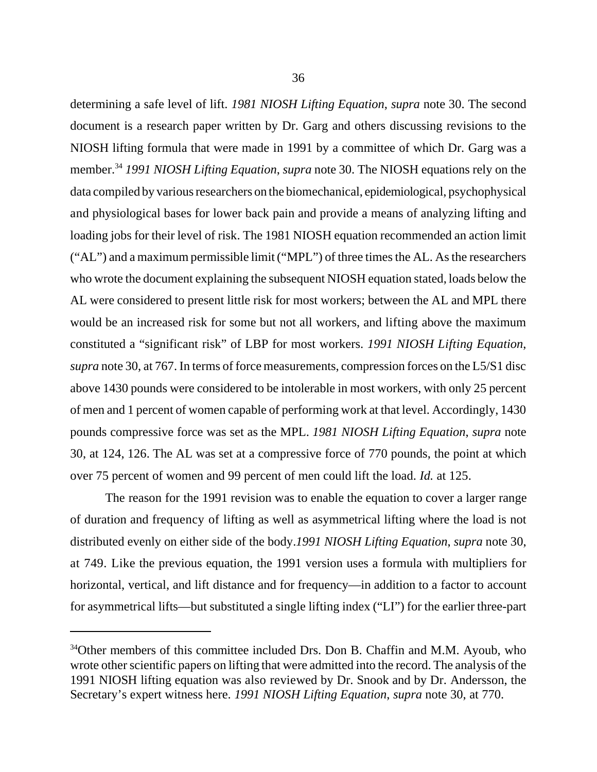determining a safe level of lift. *1981 NIOSH Lifting Equation*, *supra* note 30. The second document is a research paper written by Dr. Garg and others discussing revisions to the NIOSH lifting formula that were made in 1991 by a committee of which Dr. Garg was a member.<sup>34</sup> *1991 NIOSH Lifting Equation*, *supra* note 30. The NIOSH equations rely on the data compiled by various researchers on the biomechanical, epidemiological, psychophysical and physiological bases for lower back pain and provide a means of analyzing lifting and loading jobs for their level of risk. The 1981 NIOSH equation recommended an action limit ("AL") and a maximum permissible limit ("MPL") of three times the AL. As the researchers who wrote the document explaining the subsequent NIOSH equation stated, loads below the AL were considered to present little risk for most workers; between the AL and MPL there would be an increased risk for some but not all workers, and lifting above the maximum constituted a "significant risk" of LBP for most workers. *1991 NIOSH Lifting Equation*, *supra* note 30, at 767. In terms of force measurements, compression forces on the L5/S1 disc above 1430 pounds were considered to be intolerable in most workers, with only 25 percent of men and 1 percent of women capable of performing work at that level. Accordingly, 1430 pounds compressive force was set as the MPL. *1981 NIOSH Lifting Equation*, *supra* note 30, at 124, 126. The AL was set at a compressive force of 770 pounds, the point at which over 75 percent of women and 99 percent of men could lift the load. *Id.* at 125.

The reason for the 1991 revision was to enable the equation to cover a larger range of duration and frequency of lifting as well as asymmetrical lifting where the load is not distributed evenly on either side of the body.*1991 NIOSH Lifting Equation*, *supra* note 30, at 749. Like the previous equation, the 1991 version uses a formula with multipliers for horizontal, vertical, and lift distance and for frequency—in addition to a factor to account for asymmetrical lifts—but substituted a single lifting index ("LI") for the earlier three-part

<sup>&</sup>lt;sup>34</sup>Other members of this committee included Drs. Don B. Chaffin and M.M. Ayoub, who wrote other scientific papers on lifting that were admitted into the record. The analysis of the 1991 NIOSH lifting equation was also reviewed by Dr. Snook and by Dr. Andersson, the Secretary's expert witness here. *1991 NIOSH Lifting Equation*, *supra* note 30, at 770.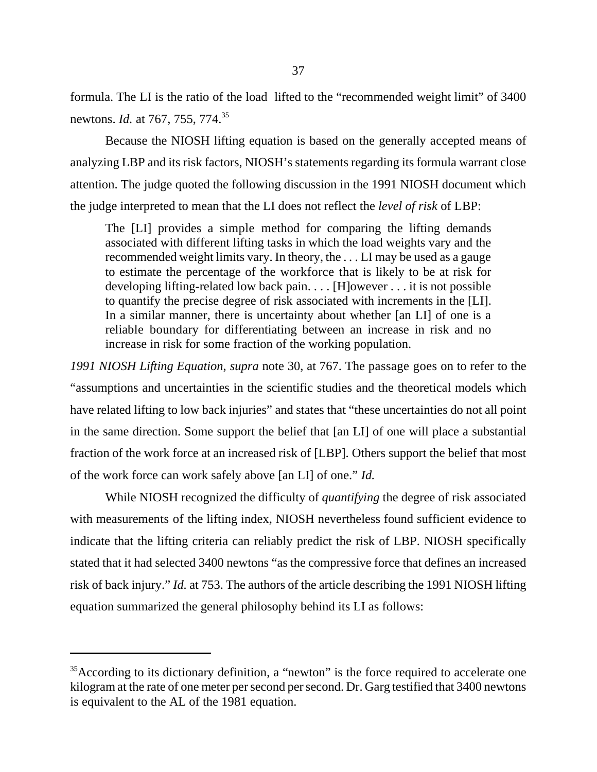formula. The LI is the ratio of the load lifted to the "recommended weight limit" of 3400 newtons. *Id.* at 767, 755, 774.35

Because the NIOSH lifting equation is based on the generally accepted means of analyzing LBP and its risk factors, NIOSH's statements regarding its formula warrant close attention. The judge quoted the following discussion in the 1991 NIOSH document which the judge interpreted to mean that the LI does not reflect the *level of risk* of LBP:

The [LI] provides a simple method for comparing the lifting demands associated with different lifting tasks in which the load weights vary and the recommended weight limits vary. In theory, the . . . LI may be used as a gauge to estimate the percentage of the workforce that is likely to be at risk for developing lifting-related low back pain. . . . [H]owever . . . it is not possible to quantify the precise degree of risk associated with increments in the [LI]. In a similar manner, there is uncertainty about whether [an LI] of one is a reliable boundary for differentiating between an increase in risk and no increase in risk for some fraction of the working population.

*1991 NIOSH Lifting Equation*, *supra* note 30, at 767. The passage goes on to refer to the "assumptions and uncertainties in the scientific studies and the theoretical models which have related lifting to low back injuries" and states that "these uncertainties do not all point in the same direction. Some support the belief that [an LI] of one will place a substantial fraction of the work force at an increased risk of [LBP]. Others support the belief that most of the work force can work safely above [an LI] of one." *Id.*

While NIOSH recognized the difficulty of *quantifying* the degree of risk associated with measurements of the lifting index, NIOSH nevertheless found sufficient evidence to indicate that the lifting criteria can reliably predict the risk of LBP. NIOSH specifically stated that it had selected 3400 newtons "as the compressive force that defines an increased risk of back injury." *Id.* at 753. The authors of the article describing the 1991 NIOSH lifting equation summarized the general philosophy behind its LI as follows:

<sup>&</sup>lt;sup>35</sup>According to its dictionary definition, a "newton" is the force required to accelerate one kilogram at the rate of one meter per second per second. Dr. Garg testified that 3400 newtons is equivalent to the AL of the 1981 equation.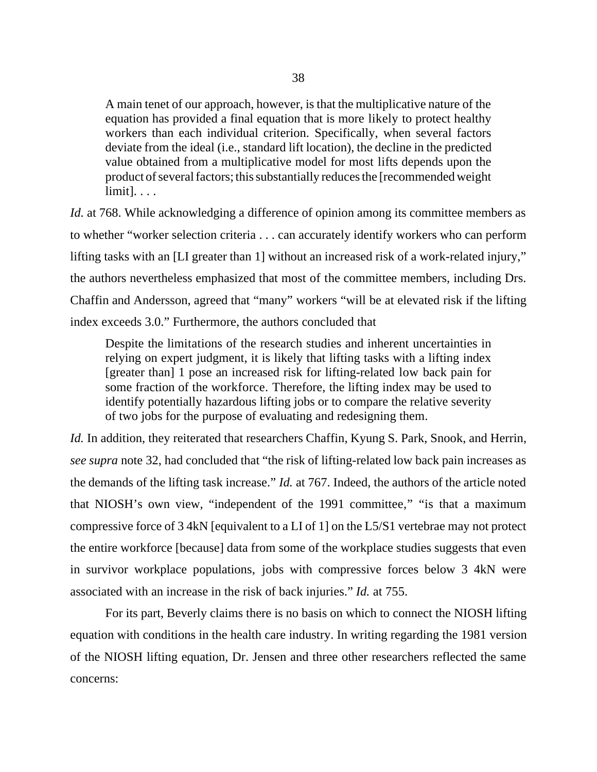A main tenet of our approach, however, is that the multiplicative nature of the equation has provided a final equation that is more likely to protect healthy workers than each individual criterion. Specifically, when several factors deviate from the ideal (i.e., standard lift location), the decline in the predicted value obtained from a multiplicative model for most lifts depends upon the product of several factors; this substantially reduces the [recommended weight limit]. . . .

*Id.* at 768. While acknowledging a difference of opinion among its committee members as to whether "worker selection criteria . . . can accurately identify workers who can perform lifting tasks with an [LI greater than 1] without an increased risk of a work-related injury," the authors nevertheless emphasized that most of the committee members, including Drs. Chaffin and Andersson, agreed that "many" workers "will be at elevated risk if the lifting index exceeds 3.0." Furthermore, the authors concluded that

Despite the limitations of the research studies and inherent uncertainties in relying on expert judgment, it is likely that lifting tasks with a lifting index [greater than] 1 pose an increased risk for lifting-related low back pain for some fraction of the workforce. Therefore, the lifting index may be used to identify potentially hazardous lifting jobs or to compare the relative severity of two jobs for the purpose of evaluating and redesigning them.

*Id.* In addition, they reiterated that researchers Chaffin, Kyung S. Park, Snook, and Herrin, *see supra* note 32, had concluded that "the risk of lifting-related low back pain increases as the demands of the lifting task increase." *Id.* at 767. Indeed, the authors of the article noted that NIOSH's own view, "independent of the 1991 committee," "is that a maximum compressive force of 3 4kN [equivalent to a LI of 1] on the L5/S1 vertebrae may not protect the entire workforce [because] data from some of the workplace studies suggests that even in survivor workplace populations, jobs with compressive forces below 3 4kN were associated with an increase in the risk of back injuries." *Id.* at 755.

For its part, Beverly claims there is no basis on which to connect the NIOSH lifting equation with conditions in the health care industry. In writing regarding the 1981 version of the NIOSH lifting equation, Dr. Jensen and three other researchers reflected the same concerns: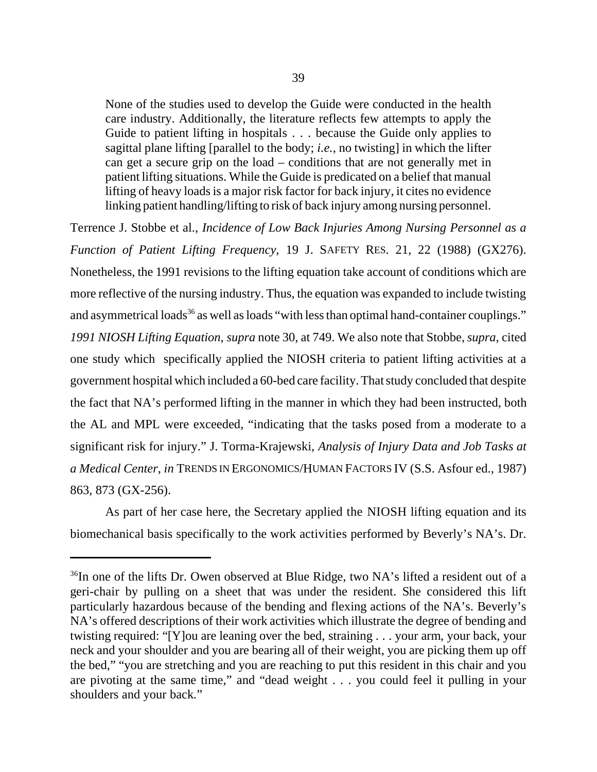None of the studies used to develop the Guide were conducted in the health care industry. Additionally, the literature reflects few attempts to apply the Guide to patient lifting in hospitals . . . because the Guide only applies to sagittal plane lifting [parallel to the body; *i.e.*, no twisting] in which the lifter can get a secure grip on the load – conditions that are not generally met in patient lifting situations. While the Guide is predicated on a belief that manual lifting of heavy loads is a major risk factor for back injury, it cites no evidence linking patient handling/lifting to risk of back injury among nursing personnel.

Terrence J. Stobbe et al., *Incidence of Low Back Injuries Among Nursing Personnel as a Function of Patient Lifting Frequency*, 19 J. SAFETY RES. 21, 22 (1988) (GX276). Nonetheless, the 1991 revisions to the lifting equation take account of conditions which are more reflective of the nursing industry. Thus, the equation was expanded to include twisting and asymmetrical loads<sup>36</sup> as well as loads "with less than optimal hand-container couplings." *1991 NIOSH Lifting Equation*, *supra* note 30, at 749. We also note that Stobbe, *supra*, cited one study which specifically applied the NIOSH criteria to patient lifting activities at a government hospital which included a 60-bed care facility. That study concluded that despite the fact that NA's performed lifting in the manner in which they had been instructed, both the AL and MPL were exceeded, "indicating that the tasks posed from a moderate to a significant risk for injury." J. Torma-Krajewski, *Analysis of Injury Data and Job Tasks at a Medical Center*, *in* TRENDS IN ERGONOMICS/HUMAN FACTORS IV (S.S. Asfour ed., 1987) 863, 873 (GX-256).

As part of her case here, the Secretary applied the NIOSH lifting equation and its biomechanical basis specifically to the work activities performed by Beverly's NA's. Dr.

<sup>&</sup>lt;sup>36</sup>In one of the lifts Dr. Owen observed at Blue Ridge, two NA's lifted a resident out of a geri-chair by pulling on a sheet that was under the resident. She considered this lift particularly hazardous because of the bending and flexing actions of the NA's. Beverly's NA's offered descriptions of their work activities which illustrate the degree of bending and twisting required: "[Y]ou are leaning over the bed, straining . . . your arm, your back, your neck and your shoulder and you are bearing all of their weight, you are picking them up off the bed," "you are stretching and you are reaching to put this resident in this chair and you are pivoting at the same time," and "dead weight . . . you could feel it pulling in your shoulders and your back."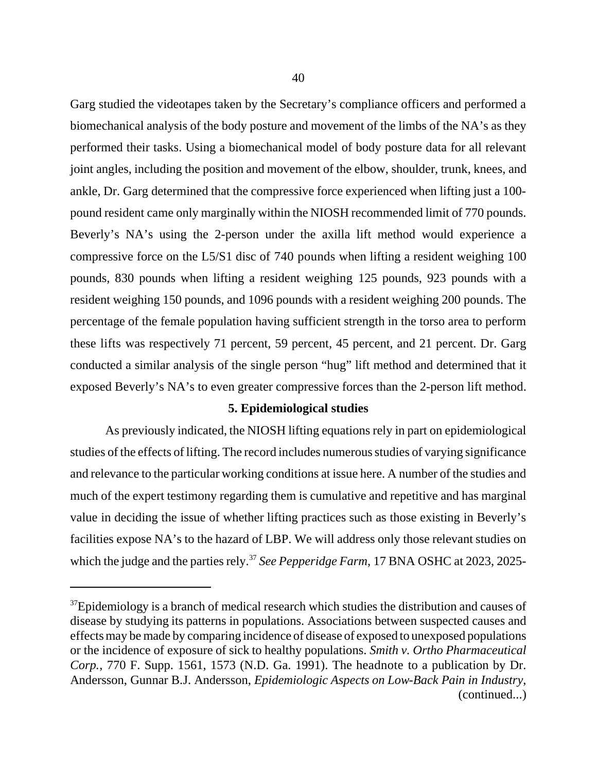Garg studied the videotapes taken by the Secretary's compliance officers and performed a biomechanical analysis of the body posture and movement of the limbs of the NA's as they performed their tasks. Using a biomechanical model of body posture data for all relevant joint angles, including the position and movement of the elbow, shoulder, trunk, knees, and ankle, Dr. Garg determined that the compressive force experienced when lifting just a 100 pound resident came only marginally within the NIOSH recommended limit of 770 pounds. Beverly's NA's using the 2-person under the axilla lift method would experience a compressive force on the L5/S1 disc of 740 pounds when lifting a resident weighing 100 pounds, 830 pounds when lifting a resident weighing 125 pounds, 923 pounds with a resident weighing 150 pounds, and 1096 pounds with a resident weighing 200 pounds. The percentage of the female population having sufficient strength in the torso area to perform these lifts was respectively 71 percent, 59 percent, 45 percent, and 21 percent. Dr. Garg conducted a similar analysis of the single person "hug" lift method and determined that it exposed Beverly's NA's to even greater compressive forces than the 2-person lift method.

# **5. Epidemiological studies**

As previously indicated, the NIOSH lifting equations rely in part on epidemiological studies of the effects of lifting. The record includes numerous studies of varying significance and relevance to the particular working conditions at issue here. A number of the studies and much of the expert testimony regarding them is cumulative and repetitive and has marginal value in deciding the issue of whether lifting practices such as those existing in Beverly's facilities expose NA's to the hazard of LBP. We will address only those relevant studies on which the judge and the parties rely.<sup>37</sup> *See Pepperidge Farm*, 17 BNA OSHC at 2023, 2025-

 $37$ Epidemiology is a branch of medical research which studies the distribution and causes of disease by studying its patterns in populations. Associations between suspected causes and effects may be made by comparing incidence of disease of exposed to unexposed populations or the incidence of exposure of sick to healthy populations. *Smith v. Ortho Pharmaceutical Corp.*, 770 F. Supp. 1561, 1573 (N.D. Ga. 1991). The headnote to a publication by Dr. Andersson, Gunnar B.J. Andersson, *Epidemiologic Aspects on Low-Back Pain in Industry*, (continued...)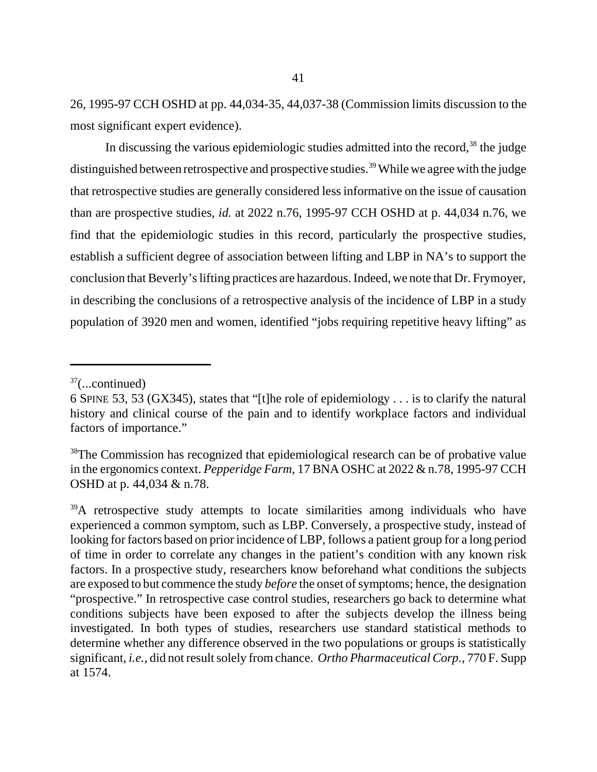26, 1995-97 CCH OSHD at pp. 44,034-35, 44,037-38 (Commission limits discussion to the most significant expert evidence).

In discussing the various epidemiologic studies admitted into the record, $38$  the judge distinguished between retrospective and prospective studies.<sup>39</sup> While we agree with the judge that retrospective studies are generally considered less informative on the issue of causation than are prospective studies, *id.* at 2022 n.76, 1995-97 CCH OSHD at p. 44,034 n.76, we find that the epidemiologic studies in this record, particularly the prospective studies, establish a sufficient degree of association between lifting and LBP in NA's to support the conclusion that Beverly's lifting practices are hazardous. Indeed, we note that Dr. Frymoyer, in describing the conclusions of a retrospective analysis of the incidence of LBP in a study population of 3920 men and women, identified "jobs requiring repetitive heavy lifting" as

 $37$ (...continued)

<sup>6</sup> SPINE 53, 53 (GX345), states that "[t]he role of epidemiology . . . is to clarify the natural history and clinical course of the pain and to identify workplace factors and individual factors of importance."

<sup>&</sup>lt;sup>38</sup>The Commission has recognized that epidemiological research can be of probative value in the ergonomics context. *Pepperidge Farm*, 17 BNA OSHC at 2022 & n.78, 1995-97 CCH OSHD at p. 44,034 & n.78.

<sup>&</sup>lt;sup>39</sup>A retrospective study attempts to locate similarities among individuals who have experienced a common symptom, such as LBP. Conversely, a prospective study, instead of looking for factors based on prior incidence of LBP, follows a patient group for a long period of time in order to correlate any changes in the patient's condition with any known risk factors. In a prospective study, researchers know beforehand what conditions the subjects are exposed to but commence the study *before* the onset of symptoms; hence, the designation "prospective." In retrospective case control studies, researchers go back to determine what conditions subjects have been exposed to after the subjects develop the illness being investigated. In both types of studies, researchers use standard statistical methods to determine whether any difference observed in the two populations or groups is statistically significant, *i.e.*, did not result solely from chance. *Ortho Pharmaceutical Corp.*, 770 F. Supp at 1574.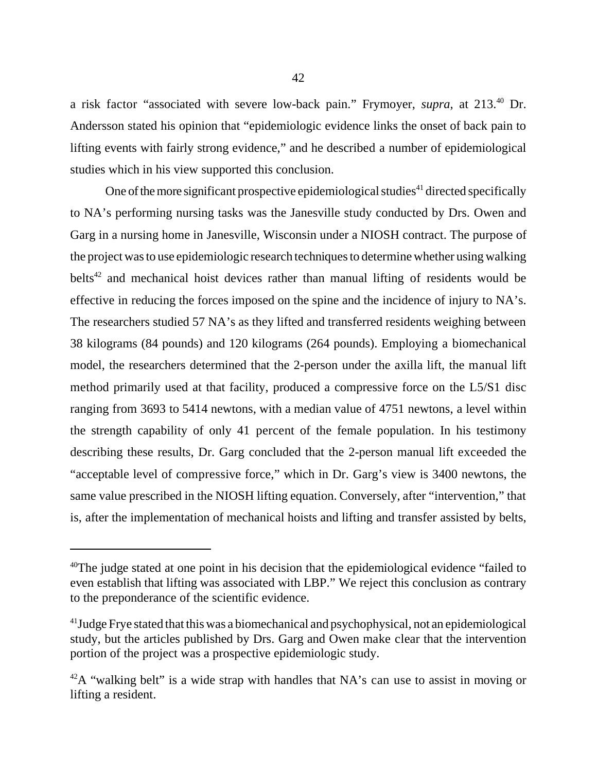a risk factor "associated with severe low-back pain." Frymoyer, *supra*, at 213.40 Dr. Andersson stated his opinion that "epidemiologic evidence links the onset of back pain to lifting events with fairly strong evidence," and he described a number of epidemiological studies which in his view supported this conclusion.

One of the more significant prospective epidemiological studies<sup>41</sup> directed specifically to NA's performing nursing tasks was the Janesville study conducted by Drs. Owen and Garg in a nursing home in Janesville, Wisconsin under a NIOSH contract. The purpose of the project was to use epidemiologic research techniques to determine whether using walking belts<sup>42</sup> and mechanical hoist devices rather than manual lifting of residents would be effective in reducing the forces imposed on the spine and the incidence of injury to NA's. The researchers studied 57 NA's as they lifted and transferred residents weighing between 38 kilograms (84 pounds) and 120 kilograms (264 pounds). Employing a biomechanical model, the researchers determined that the 2-person under the axilla lift, the manual lift method primarily used at that facility, produced a compressive force on the L5/S1 disc ranging from 3693 to 5414 newtons, with a median value of 4751 newtons, a level within the strength capability of only 41 percent of the female population. In his testimony describing these results, Dr. Garg concluded that the 2-person manual lift exceeded the "acceptable level of compressive force," which in Dr. Garg's view is 3400 newtons, the same value prescribed in the NIOSH lifting equation. Conversely, after "intervention," that is, after the implementation of mechanical hoists and lifting and transfer assisted by belts,

 $40$ The judge stated at one point in his decision that the epidemiological evidence "failed to even establish that lifting was associated with LBP." We reject this conclusion as contrary to the preponderance of the scientific evidence.

 $41$  Judge Frye stated that this was a biomechanical and psychophysical, not an epidemiological study, but the articles published by Drs. Garg and Owen make clear that the intervention portion of the project was a prospective epidemiologic study.

 $42A$  "walking belt" is a wide strap with handles that NA's can use to assist in moving or lifting a resident.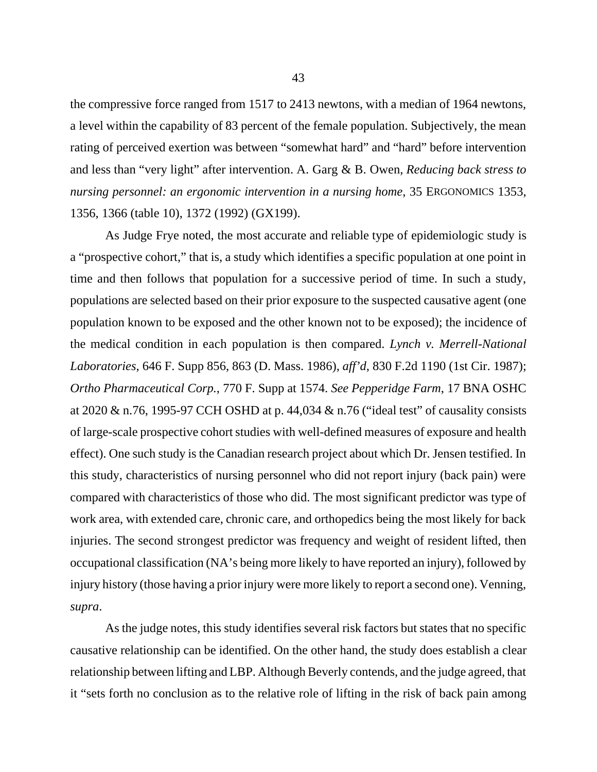the compressive force ranged from 1517 to 2413 newtons, with a median of 1964 newtons, a level within the capability of 83 percent of the female population. Subjectively, the mean rating of perceived exertion was between "somewhat hard" and "hard" before intervention and less than "very light" after intervention. A. Garg & B. Owen, *Reducing back stress to nursing personnel: an ergonomic intervention in a nursing home*, 35 ERGONOMICS 1353, 1356, 1366 (table 10), 1372 (1992) (GX199).

As Judge Frye noted, the most accurate and reliable type of epidemiologic study is a "prospective cohort," that is, a study which identifies a specific population at one point in time and then follows that population for a successive period of time. In such a study, populations are selected based on their prior exposure to the suspected causative agent (one population known to be exposed and the other known not to be exposed); the incidence of the medical condition in each population is then compared. *Lynch v. Merrell-National Laboratories*, 646 F. Supp 856, 863 (D. Mass. 1986), *aff'd*, 830 F.2d 1190 (1st Cir. 1987); *Ortho Pharmaceutical Corp.*, 770 F. Supp at 1574. *See Pepperidge Farm*, 17 BNA OSHC at 2020 & n.76, 1995-97 CCH OSHD at p. 44,034 & n.76 ("ideal test" of causality consists of large-scale prospective cohort studies with well-defined measures of exposure and health effect). One such study is the Canadian research project about which Dr. Jensen testified. In this study, characteristics of nursing personnel who did not report injury (back pain) were compared with characteristics of those who did. The most significant predictor was type of work area, with extended care, chronic care, and orthopedics being the most likely for back injuries. The second strongest predictor was frequency and weight of resident lifted, then occupational classification (NA's being more likely to have reported an injury), followed by injury history (those having a prior injury were more likely to report a second one). Venning, *supra*.

As the judge notes, this study identifies several risk factors but states that no specific causative relationship can be identified. On the other hand, the study does establish a clear relationship between lifting and LBP. Although Beverly contends, and the judge agreed, that it "sets forth no conclusion as to the relative role of lifting in the risk of back pain among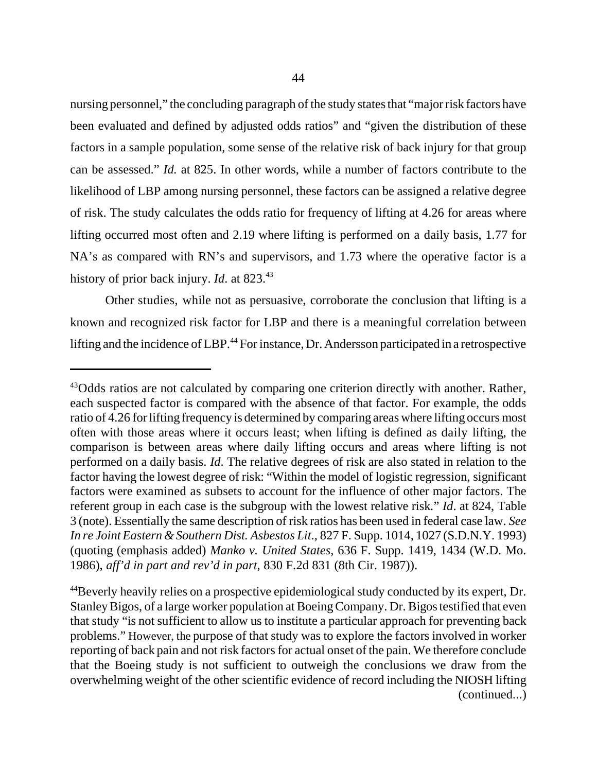nursing personnel," the concluding paragraph of the study states that "major risk factors have been evaluated and defined by adjusted odds ratios" and "given the distribution of these factors in a sample population, some sense of the relative risk of back injury for that group

can be assessed." *Id.* at 825. In other words, while a number of factors contribute to the likelihood of LBP among nursing personnel, these factors can be assigned a relative degree of risk. The study calculates the odds ratio for frequency of lifting at 4.26 for areas where lifting occurred most often and 2.19 where lifting is performed on a daily basis, 1.77 for NA's as compared with RN's and supervisors, and 1.73 where the operative factor is a history of prior back injury. *Id*. at 823.<sup>43</sup>

Other studies, while not as persuasive, corroborate the conclusion that lifting is a known and recognized risk factor for LBP and there is a meaningful correlation between lifting and the incidence of LBP.<sup>44</sup> For instance, Dr. Andersson participated in a retrospective

<sup>&</sup>lt;sup>43</sup>Odds ratios are not calculated by comparing one criterion directly with another. Rather, each suspected factor is compared with the absence of that factor. For example, the odds ratio of 4.26 for lifting frequency is determined by comparing areas where lifting occurs most often with those areas where it occurs least; when lifting is defined as daily lifting, the comparison is between areas where daily lifting occurs and areas where lifting is not performed on a daily basis. *Id*. The relative degrees of risk are also stated in relation to the factor having the lowest degree of risk: "Within the model of logistic regression, significant factors were examined as subsets to account for the influence of other major factors. The referent group in each case is the subgroup with the lowest relative risk." *Id*. at 824, Table 3 (note). Essentially the same description of risk ratios has been used in federal case law. *See In re Joint Eastern & Southern Dist. Asbestos Lit*., 827 F. Supp. 1014, 1027 (S.D.N.Y. 1993) (quoting (emphasis added) *Manko v. United States*, 636 F. Supp. 1419, 1434 (W.D. Mo. 1986), *aff'd in part and rev'd in part*, 830 F.2d 831 (8th Cir. 1987)).

<sup>&</sup>lt;sup>44</sup>Beverly heavily relies on a prospective epidemiological study conducted by its expert, Dr. Stanley Bigos, of a large worker population at Boeing Company. Dr. Bigos testified that even that study "is not sufficient to allow us to institute a particular approach for preventing back problems." However, the purpose of that study was to explore the factors involved in worker reporting of back pain and not risk factors for actual onset of the pain. We therefore conclude that the Boeing study is not sufficient to outweigh the conclusions we draw from the overwhelming weight of the other scientific evidence of record including the NIOSH lifting (continued...)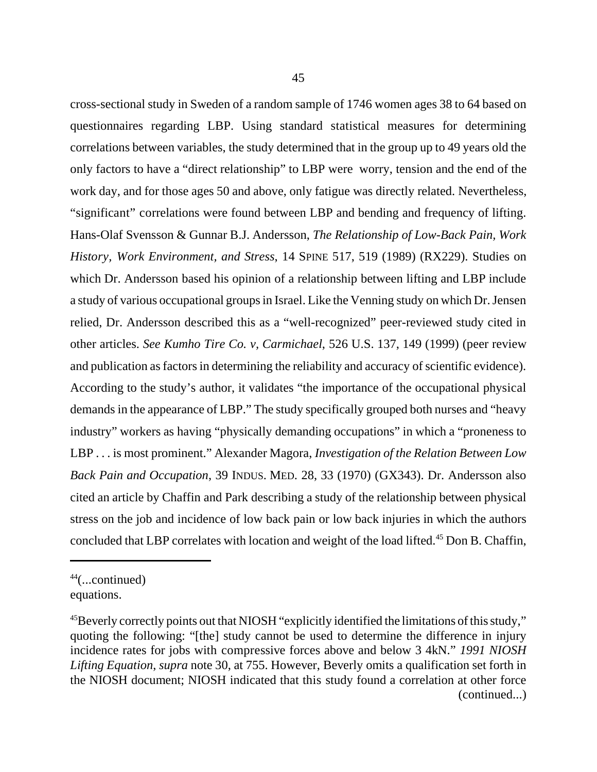cross-sectional study in Sweden of a random sample of 1746 women ages 38 to 64 based on questionnaires regarding LBP. Using standard statistical measures for determining correlations between variables, the study determined that in the group up to 49 years old the only factors to have a "direct relationship" to LBP were worry, tension and the end of the work day, and for those ages 50 and above, only fatigue was directly related. Nevertheless, "significant" correlations were found between LBP and bending and frequency of lifting. Hans-Olaf Svensson & Gunnar B.J. Andersson, *The Relationship of Low-Back Pain, Work History, Work Environment, and Stress*, 14 SPINE 517, 519 (1989) (RX229). Studies on which Dr. Andersson based his opinion of a relationship between lifting and LBP include a study of various occupational groups in Israel. Like the Venning study on which Dr. Jensen relied, Dr. Andersson described this as a "well-recognized" peer-reviewed study cited in other articles. *See Kumho Tire Co. v, Carmichael*, 526 U.S. 137, 149 (1999) (peer review and publication as factors in determining the reliability and accuracy of scientific evidence). According to the study's author, it validates "the importance of the occupational physical demands in the appearance of LBP." The study specifically grouped both nurses and "heavy industry" workers as having "physically demanding occupations" in which a "proneness to LBP . . . is most prominent." Alexander Magora, *Investigation of the Relation Between Low Back Pain and Occupation*, 39 INDUS. MED. 28, 33 (1970) (GX343). Dr. Andersson also cited an article by Chaffin and Park describing a study of the relationship between physical stress on the job and incidence of low back pain or low back injuries in which the authors concluded that LBP correlates with location and weight of the load lifted.<sup>45</sup> Don B. Chaffin,

 $44$ (...continued) equations.

<sup>&</sup>lt;sup>45</sup>Beverly correctly points out that NIOSH "explicitly identified the limitations of this study," quoting the following: "[the] study cannot be used to determine the difference in injury incidence rates for jobs with compressive forces above and below 3 4kN." *1991 NIOSH Lifting Equation*, *supra* note 30, at 755. However, Beverly omits a qualification set forth in the NIOSH document; NIOSH indicated that this study found a correlation at other force (continued...)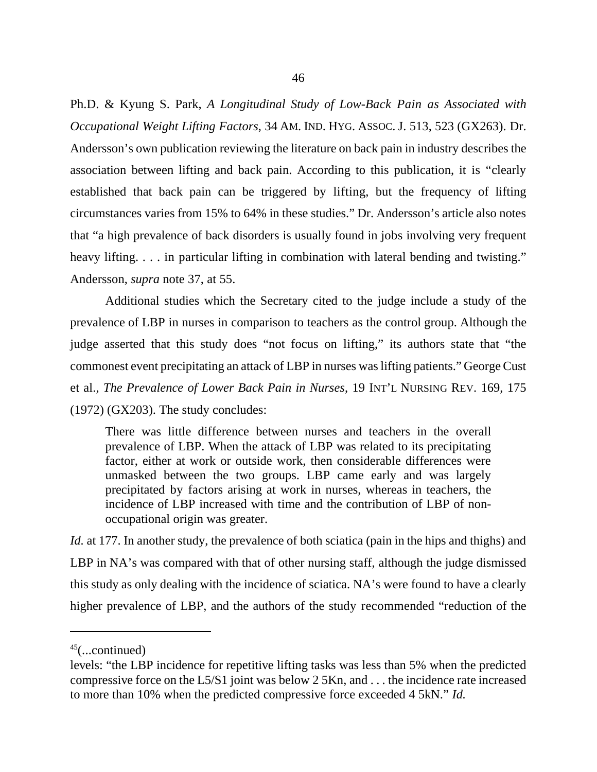Ph.D. & Kyung S. Park, *A Longitudinal Study of Low-Back Pain as Associated with Occupational Weight Lifting Factors*, 34 AM. IND. HYG. ASSOC. J. 513, 523 (GX263). Dr. Andersson's own publication reviewing the literature on back pain in industry describes the association between lifting and back pain. According to this publication, it is "clearly established that back pain can be triggered by lifting, but the frequency of lifting circumstances varies from 15% to 64% in these studies." Dr. Andersson's article also notes that "a high prevalence of back disorders is usually found in jobs involving very frequent heavy lifting. . . . in particular lifting in combination with lateral bending and twisting." Andersson, *supra* note 37, at 55.

Additional studies which the Secretary cited to the judge include a study of the prevalence of LBP in nurses in comparison to teachers as the control group. Although the judge asserted that this study does "not focus on lifting," its authors state that "the commonest event precipitating an attack of LBP in nurses was lifting patients." George Cust et al., *The Prevalence of Lower Back Pain in Nurses*, 19 INT'L NURSING REV. 169, 175 (1972) (GX203). The study concludes:

There was little difference between nurses and teachers in the overall prevalence of LBP. When the attack of LBP was related to its precipitating factor, either at work or outside work, then considerable differences were unmasked between the two groups. LBP came early and was largely precipitated by factors arising at work in nurses, whereas in teachers, the incidence of LBP increased with time and the contribution of LBP of nonoccupational origin was greater.

*Id.* at 177. In another study, the prevalence of both sciatica (pain in the hips and thighs) and LBP in NA's was compared with that of other nursing staff, although the judge dismissed this study as only dealing with the incidence of sciatica. NA's were found to have a clearly higher prevalence of LBP, and the authors of the study recommended "reduction of the

 $45$ (...continued)

levels: "the LBP incidence for repetitive lifting tasks was less than 5% when the predicted compressive force on the L5/S1 joint was below 2 5Kn, and . . . the incidence rate increased to more than 10% when the predicted compressive force exceeded 4 5kN." *Id.*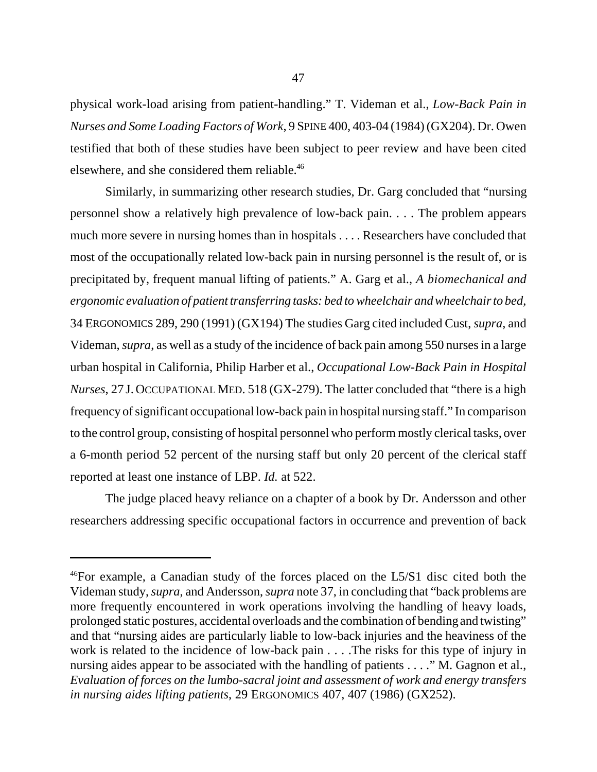physical work-load arising from patient-handling." T. Videman et al., *Low-Back Pain in Nurses and Some Loading Factors of Work*, 9 SPINE 400, 403-04 (1984) (GX204). Dr. Owen testified that both of these studies have been subject to peer review and have been cited elsewhere, and she considered them reliable.46

Similarly, in summarizing other research studies, Dr. Garg concluded that "nursing personnel show a relatively high prevalence of low-back pain. . . . The problem appears much more severe in nursing homes than in hospitals . . . . Researchers have concluded that most of the occupationally related low-back pain in nursing personnel is the result of, or is precipitated by, frequent manual lifting of patients." A. Garg et al., *A biomechanical and ergonomic evaluation of patient transferring tasks: bed to wheelchair and wheelchair to bed*, 34 ERGONOMICS 289, 290 (1991) (GX194) The studies Garg cited included Cust, *supra*, and Videman, *supra*, as well as a study of the incidence of back pain among 550 nurses in a large urban hospital in California, Philip Harber et al., *Occupational Low-Back Pain in Hospital Nurses*, 27 J. OCCUPATIONAL MED. 518 (GX-279). The latter concluded that "there is a high frequency of significant occupational low-back pain in hospital nursing staff." In comparison to the control group, consisting of hospital personnel who perform mostly clerical tasks, over a 6-month period 52 percent of the nursing staff but only 20 percent of the clerical staff reported at least one instance of LBP. *Id.* at 522.

The judge placed heavy reliance on a chapter of a book by Dr. Andersson and other researchers addressing specific occupational factors in occurrence and prevention of back

<sup>46</sup>For example, a Canadian study of the forces placed on the L5/S1 disc cited both the Videman study, *supra*, and Andersson, *supra* note 37, in concluding that "back problems are more frequently encountered in work operations involving the handling of heavy loads, prolonged static postures, accidental overloads and the combination of bending and twisting" and that "nursing aides are particularly liable to low-back injuries and the heaviness of the work is related to the incidence of low-back pain . . . .The risks for this type of injury in nursing aides appear to be associated with the handling of patients . . . ." M. Gagnon et al., *Evaluation of forces on the lumbo-sacral joint and assessment of work and energy transfers in nursing aides lifting patients*, 29 ERGONOMICS 407, 407 (1986) (GX252).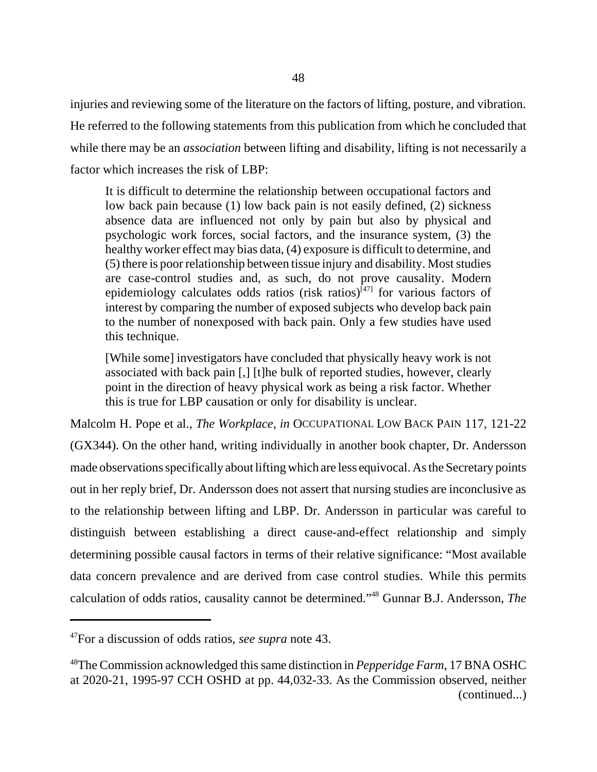injuries and reviewing some of the literature on the factors of lifting, posture, and vibration. He referred to the following statements from this publication from which he concluded that while there may be an *association* between lifting and disability, lifting is not necessarily a factor which increases the risk of LBP:

It is difficult to determine the relationship between occupational factors and low back pain because (1) low back pain is not easily defined, (2) sickness absence data are influenced not only by pain but also by physical and psychologic work forces, social factors, and the insurance system, (3) the healthy worker effect may bias data, (4) exposure is difficult to determine, and (5) there is poor relationship between tissue injury and disability. Most studies are case-control studies and, as such, do not prove causality. Modern epidemiology calculates odds ratios (risk ratios) $^{[47]}$  for various factors of interest by comparing the number of exposed subjects who develop back pain to the number of nonexposed with back pain. Only a few studies have used this technique.

[While some] investigators have concluded that physically heavy work is not associated with back pain [,] [t]he bulk of reported studies, however, clearly point in the direction of heavy physical work as being a risk factor. Whether this is true for LBP causation or only for disability is unclear.

Malcolm H. Pope et al., *The Workplace, in* OCCUPATIONAL LOW BACK PAIN 117, 121-22 (GX344). On the other hand, writing individually in another book chapter, Dr. Andersson made observations specifically about lifting which are less equivocal. As the Secretary points out in her reply brief, Dr. Andersson does not assert that nursing studies are inconclusive as to the relationship between lifting and LBP. Dr. Andersson in particular was careful to distinguish between establishing a direct cause-and-effect relationship and simply determining possible causal factors in terms of their relative significance: "Most available data concern prevalence and are derived from case control studies. While this permits calculation of odds ratios, causality cannot be determined."48 Gunnar B.J. Andersson, *The*

<sup>47</sup>For a discussion of odds ratios, *see supra* note 43.

<sup>48</sup>The Commission acknowledged this same distinction in *Pepperidge Farm*, 17 BNA OSHC at 2020-21, 1995-97 CCH OSHD at pp. 44,032-33. As the Commission observed, neither (continued...)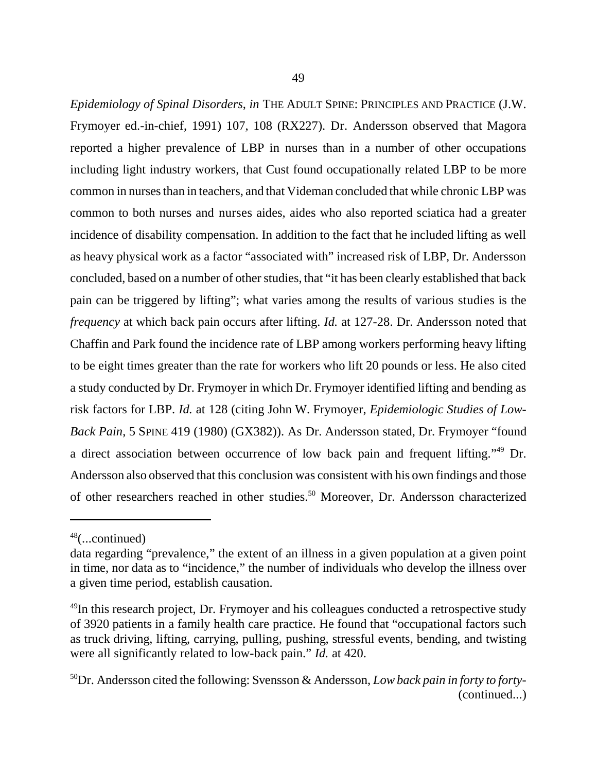*Epidemiology of Spinal Disorders*, *in* THE ADULT SPINE: PRINCIPLES AND PRACTICE (J.W. Frymoyer ed.-in-chief, 1991) 107, 108 (RX227). Dr. Andersson observed that Magora reported a higher prevalence of LBP in nurses than in a number of other occupations including light industry workers, that Cust found occupationally related LBP to be more common in nurses than in teachers, and that Videman concluded that while chronic LBP was common to both nurses and nurses aides, aides who also reported sciatica had a greater incidence of disability compensation. In addition to the fact that he included lifting as well as heavy physical work as a factor "associated with" increased risk of LBP, Dr. Andersson concluded, based on a number of other studies, that "it has been clearly established that back pain can be triggered by lifting"; what varies among the results of various studies is the *frequency* at which back pain occurs after lifting. *Id.* at 127-28. Dr. Andersson noted that Chaffin and Park found the incidence rate of LBP among workers performing heavy lifting to be eight times greater than the rate for workers who lift 20 pounds or less. He also cited a study conducted by Dr. Frymoyer in which Dr. Frymoyer identified lifting and bending as risk factors for LBP. *Id.* at 128 (citing John W. Frymoyer, *Epidemiologic Studies of Low-Back Pain*, 5 SPINE 419 (1980) (GX382)). As Dr. Andersson stated, Dr. Frymoyer "found a direct association between occurrence of low back pain and frequent lifting."49 Dr. Andersson also observed that this conclusion was consistent with his own findings and those of other researchers reached in other studies.<sup>50</sup> Moreover, Dr. Andersson characterized

 $48$ (...continued)

data regarding "prevalence," the extent of an illness in a given population at a given point in time, nor data as to "incidence," the number of individuals who develop the illness over a given time period, establish causation.

<sup>&</sup>lt;sup>49</sup>In this research project, Dr. Frymoyer and his colleagues conducted a retrospective study of 3920 patients in a family health care practice. He found that "occupational factors such as truck driving, lifting, carrying, pulling, pushing, stressful events, bending, and twisting were all significantly related to low-back pain." *Id.* at 420.

<sup>50</sup>Dr. Andersson cited the following: Svensson & Andersson, *Low back pain in forty to forty-* (continued...)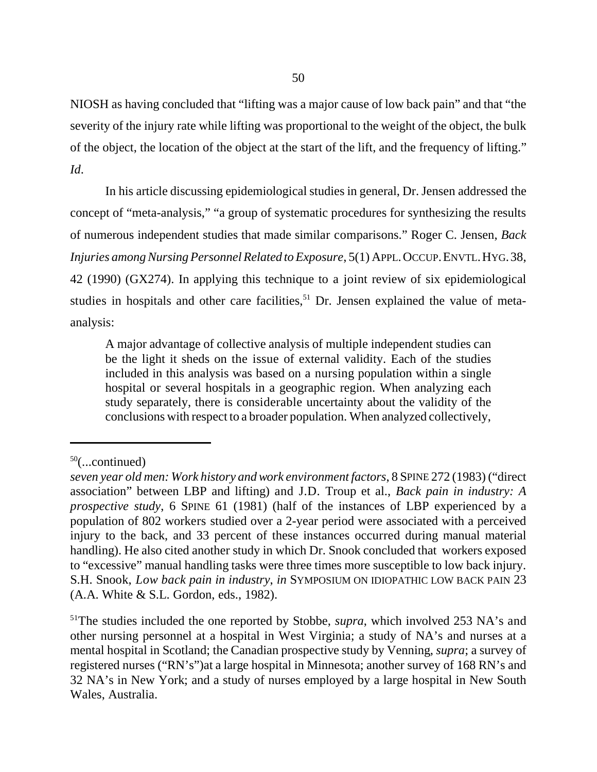NIOSH as having concluded that "lifting was a major cause of low back pain" and that "the severity of the injury rate while lifting was proportional to the weight of the object, the bulk of the object, the location of the object at the start of the lift, and the frequency of lifting." *Id*.

 In his article discussing epidemiological studies in general, Dr. Jensen addressed the concept of "meta-analysis," "a group of systematic procedures for synthesizing the results of numerous independent studies that made similar comparisons." Roger C. Jensen, *Back Injuries among Nursing Personnel Related to Exposure*, 5(1) APPL.OCCUP.ENVTL.HYG.38, 42 (1990) (GX274). In applying this technique to a joint review of six epidemiological studies in hospitals and other care facilities,  $51$  Dr. Jensen explained the value of metaanalysis:

A major advantage of collective analysis of multiple independent studies can be the light it sheds on the issue of external validity. Each of the studies included in this analysis was based on a nursing population within a single hospital or several hospitals in a geographic region. When analyzing each study separately, there is considerable uncertainty about the validity of the conclusions with respect to a broader population. When analyzed collectively,

 $50$ (...continued)

*seven year old men: Work history and work environment factors*, 8 SPINE 272 (1983) ("direct association" between LBP and lifting) and J.D. Troup et al., *Back pain in industry: A prospective study*, 6 SPINE 61 (1981) (half of the instances of LBP experienced by a population of 802 workers studied over a 2-year period were associated with a perceived injury to the back, and 33 percent of these instances occurred during manual material handling). He also cited another study in which Dr. Snook concluded that workers exposed to "excessive" manual handling tasks were three times more susceptible to low back injury. S.H. Snook, *Low back pain in industry*, *in* SYMPOSIUM ON IDIOPATHIC LOW BACK PAIN 23 (A.A. White & S.L. Gordon, eds., 1982).

<sup>&</sup>lt;sup>51</sup>The studies included the one reported by Stobbe, *supra*, which involved 253 NA's and other nursing personnel at a hospital in West Virginia; a study of NA's and nurses at a mental hospital in Scotland; the Canadian prospective study by Venning, *supra*; a survey of registered nurses ("RN's")at a large hospital in Minnesota; another survey of 168 RN's and 32 NA's in New York; and a study of nurses employed by a large hospital in New South Wales, Australia.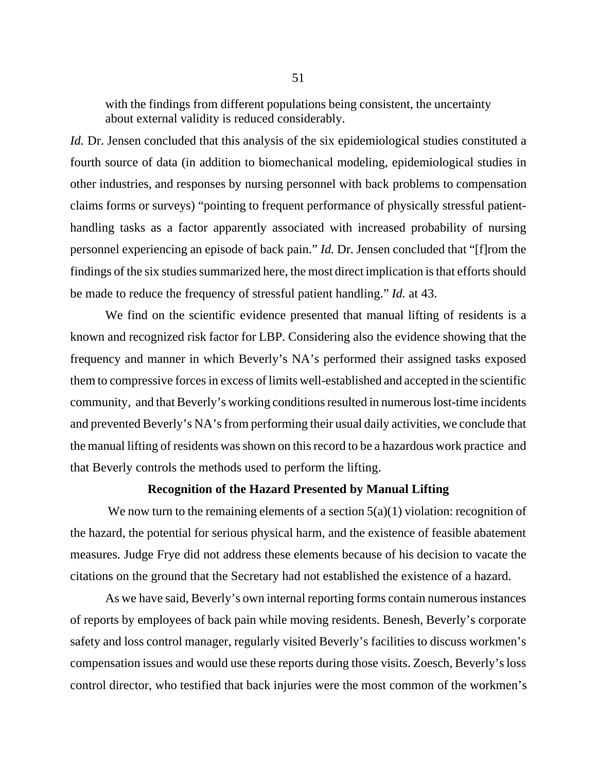with the findings from different populations being consistent, the uncertainty about external validity is reduced considerably.

*Id.* Dr. Jensen concluded that this analysis of the six epidemiological studies constituted a fourth source of data (in addition to biomechanical modeling, epidemiological studies in other industries, and responses by nursing personnel with back problems to compensation claims forms or surveys) "pointing to frequent performance of physically stressful patienthandling tasks as a factor apparently associated with increased probability of nursing personnel experiencing an episode of back pain." *Id.* Dr. Jensen concluded that "[f]rom the findings of the six studies summarized here, the most direct implication is that efforts should be made to reduce the frequency of stressful patient handling." *Id.* at 43.

We find on the scientific evidence presented that manual lifting of residents is a known and recognized risk factor for LBP. Considering also the evidence showing that the frequency and manner in which Beverly's NA's performed their assigned tasks exposed them to compressive forces in excess of limits well-established and accepted in the scientific community, and that Beverly's working conditions resulted in numerous lost-time incidents and prevented Beverly's NA's from performing their usual daily activities, we conclude that the manual lifting of residents was shown on this record to be a hazardous work practice and that Beverly controls the methods used to perform the lifting.

#### **Recognition of the Hazard Presented by Manual Lifting**

We now turn to the remaining elements of a section  $5(a)(1)$  violation: recognition of the hazard, the potential for serious physical harm, and the existence of feasible abatement measures. Judge Frye did not address these elements because of his decision to vacate the citations on the ground that the Secretary had not established the existence of a hazard.

As we have said, Beverly's own internal reporting forms contain numerous instances of reports by employees of back pain while moving residents. Benesh, Beverly's corporate safety and loss control manager, regularly visited Beverly's facilities to discuss workmen's compensation issues and would use these reports during those visits. Zoesch, Beverly's loss control director, who testified that back injuries were the most common of the workmen's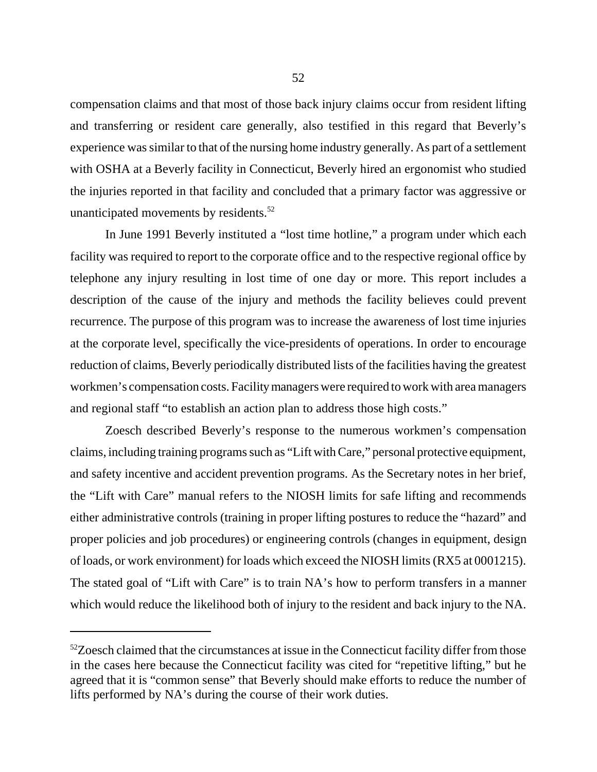compensation claims and that most of those back injury claims occur from resident lifting and transferring or resident care generally, also testified in this regard that Beverly's experience was similar to that of the nursing home industry generally. As part of a settlement with OSHA at a Beverly facility in Connecticut, Beverly hired an ergonomist who studied the injuries reported in that facility and concluded that a primary factor was aggressive or unanticipated movements by residents.<sup>52</sup>

In June 1991 Beverly instituted a "lost time hotline," a program under which each facility was required to report to the corporate office and to the respective regional office by telephone any injury resulting in lost time of one day or more. This report includes a description of the cause of the injury and methods the facility believes could prevent recurrence. The purpose of this program was to increase the awareness of lost time injuries at the corporate level, specifically the vice-presidents of operations. In order to encourage reduction of claims, Beverly periodically distributed lists of the facilities having the greatest workmen's compensation costs. Facility managers were required to work with area managers and regional staff "to establish an action plan to address those high costs."

Zoesch described Beverly's response to the numerous workmen's compensation claims, including training programs such as "Lift with Care," personal protective equipment, and safety incentive and accident prevention programs. As the Secretary notes in her brief, the "Lift with Care" manual refers to the NIOSH limits for safe lifting and recommends either administrative controls (training in proper lifting postures to reduce the "hazard" and proper policies and job procedures) or engineering controls (changes in equipment, design of loads, or work environment) for loads which exceed the NIOSH limits (RX5 at 0001215). The stated goal of "Lift with Care" is to train NA's how to perform transfers in a manner which would reduce the likelihood both of injury to the resident and back injury to the NA.

 $52Z$ oesch claimed that the circumstances at issue in the Connecticut facility differ from those in the cases here because the Connecticut facility was cited for "repetitive lifting," but he agreed that it is "common sense" that Beverly should make efforts to reduce the number of lifts performed by NA's during the course of their work duties.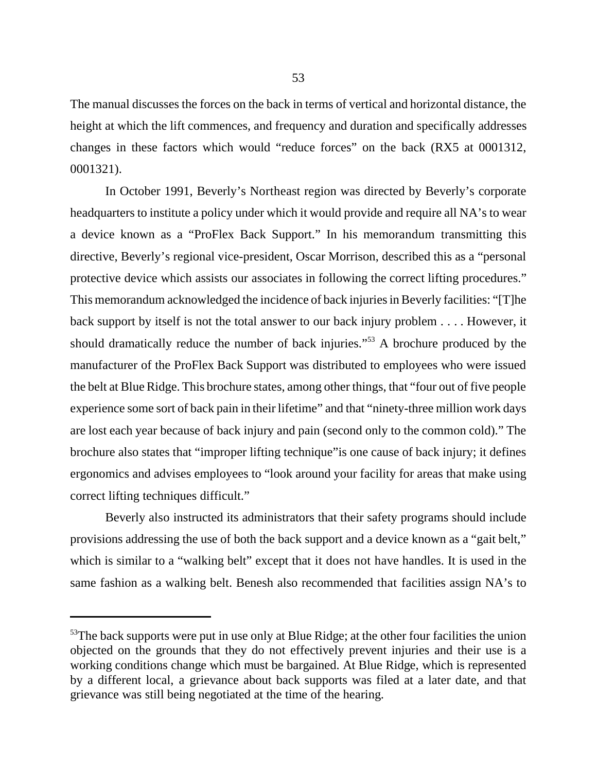The manual discusses the forces on the back in terms of vertical and horizontal distance, the height at which the lift commences, and frequency and duration and specifically addresses changes in these factors which would "reduce forces" on the back (RX5 at 0001312, 0001321).

In October 1991, Beverly's Northeast region was directed by Beverly's corporate headquarters to institute a policy under which it would provide and require all NA's to wear a device known as a "ProFlex Back Support." In his memorandum transmitting this directive, Beverly's regional vice-president, Oscar Morrison, described this as a "personal protective device which assists our associates in following the correct lifting procedures." This memorandum acknowledged the incidence of back injuries in Beverly facilities: "[T]he back support by itself is not the total answer to our back injury problem . . . . However, it should dramatically reduce the number of back injuries."53 A brochure produced by the manufacturer of the ProFlex Back Support was distributed to employees who were issued the belt at Blue Ridge. This brochure states, among other things, that "four out of five people experience some sort of back pain in their lifetime" and that "ninety-three million work days are lost each year because of back injury and pain (second only to the common cold)." The brochure also states that "improper lifting technique"is one cause of back injury; it defines ergonomics and advises employees to "look around your facility for areas that make using correct lifting techniques difficult."

Beverly also instructed its administrators that their safety programs should include provisions addressing the use of both the back support and a device known as a "gait belt," which is similar to a "walking belt" except that it does not have handles. It is used in the same fashion as a walking belt. Benesh also recommended that facilities assign NA's to

 $53$ The back supports were put in use only at Blue Ridge; at the other four facilities the union objected on the grounds that they do not effectively prevent injuries and their use is a working conditions change which must be bargained. At Blue Ridge, which is represented by a different local, a grievance about back supports was filed at a later date, and that grievance was still being negotiated at the time of the hearing.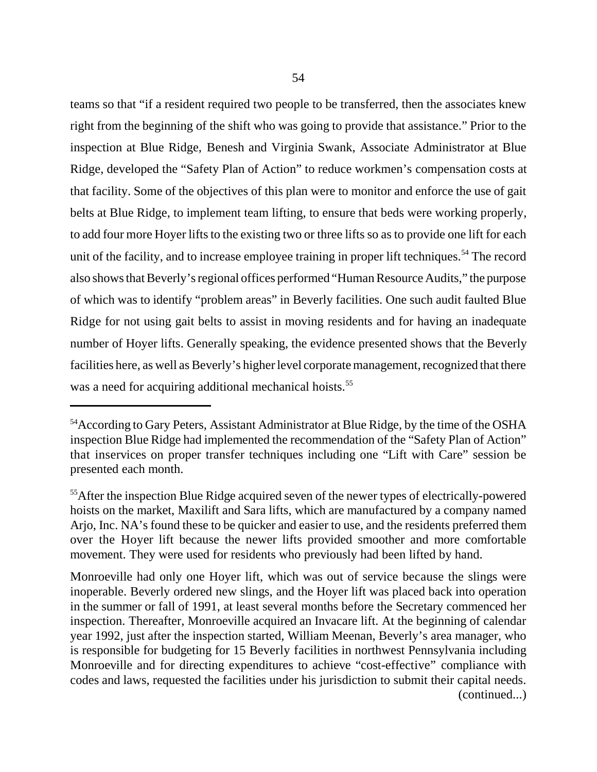teams so that "if a resident required two people to be transferred, then the associates knew right from the beginning of the shift who was going to provide that assistance." Prior to the inspection at Blue Ridge, Benesh and Virginia Swank, Associate Administrator at Blue Ridge, developed the "Safety Plan of Action" to reduce workmen's compensation costs at that facility. Some of the objectives of this plan were to monitor and enforce the use of gait belts at Blue Ridge, to implement team lifting, to ensure that beds were working properly, to add four more Hoyer lifts to the existing two or three lifts so as to provide one lift for each unit of the facility, and to increase employee training in proper lift techniques.<sup>54</sup> The record also shows that Beverly's regional offices performed "Human Resource Audits," the purpose of which was to identify "problem areas" in Beverly facilities. One such audit faulted Blue Ridge for not using gait belts to assist in moving residents and for having an inadequate number of Hoyer lifts. Generally speaking, the evidence presented shows that the Beverly facilities here, as well as Beverly's higher level corporate management, recognized that there was a need for acquiring additional mechanical hoists.<sup>55</sup>

Monroeville had only one Hoyer lift, which was out of service because the slings were inoperable. Beverly ordered new slings, and the Hoyer lift was placed back into operation in the summer or fall of 1991, at least several months before the Secretary commenced her inspection. Thereafter, Monroeville acquired an Invacare lift. At the beginning of calendar year 1992, just after the inspection started, William Meenan, Beverly's area manager, who is responsible for budgeting for 15 Beverly facilities in northwest Pennsylvania including Monroeville and for directing expenditures to achieve "cost-effective" compliance with codes and laws, requested the facilities under his jurisdiction to submit their capital needs. (continued...)

<sup>&</sup>lt;sup>54</sup>According to Gary Peters, Assistant Administrator at Blue Ridge, by the time of the OSHA inspection Blue Ridge had implemented the recommendation of the "Safety Plan of Action" that inservices on proper transfer techniques including one "Lift with Care" session be presented each month.

<sup>&</sup>lt;sup>55</sup>After the inspection Blue Ridge acquired seven of the newer types of electrically-powered hoists on the market, Maxilift and Sara lifts, which are manufactured by a company named Arjo, Inc. NA's found these to be quicker and easier to use, and the residents preferred them over the Hoyer lift because the newer lifts provided smoother and more comfortable movement. They were used for residents who previously had been lifted by hand.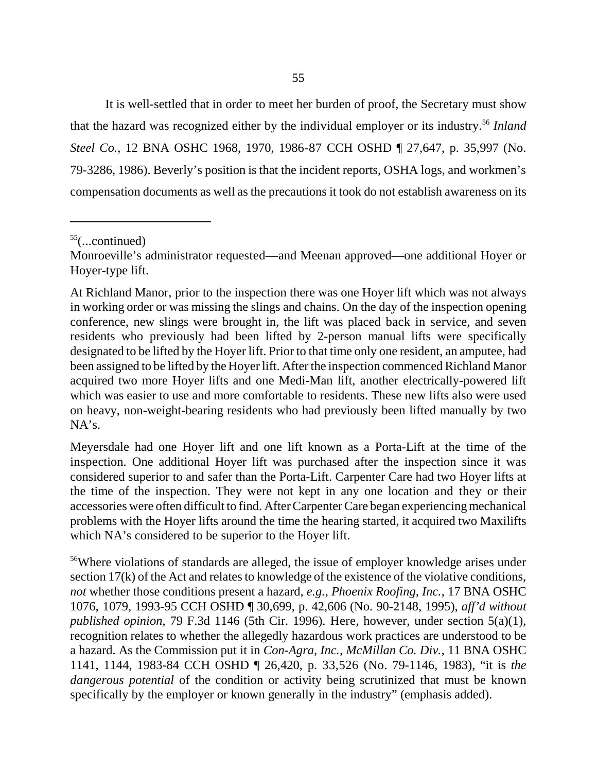It is well-settled that in order to meet her burden of proof, the Secretary must show that the hazard was recognized either by the individual employer or its industry.<sup>56</sup> *Inland Steel Co.*, 12 BNA OSHC 1968, 1970, 1986-87 CCH OSHD ¶ 27,647, p. 35,997 (No. 79-3286, 1986). Beverly's position is that the incident reports, OSHA logs, and workmen's compensation documents as well as the precautions it took do not establish awareness on its

 $55$ (...continued)

Monroeville's administrator requested—and Meenan approved—one additional Hoyer or Hoyer-type lift.

At Richland Manor, prior to the inspection there was one Hoyer lift which was not always in working order or was missing the slings and chains. On the day of the inspection opening conference, new slings were brought in, the lift was placed back in service, and seven residents who previously had been lifted by 2-person manual lifts were specifically designated to be lifted by the Hoyer lift. Prior to that time only one resident, an amputee, had been assigned to be lifted by the Hoyer lift. After the inspection commenced Richland Manor acquired two more Hoyer lifts and one Medi-Man lift, another electrically-powered lift which was easier to use and more comfortable to residents. These new lifts also were used on heavy, non-weight-bearing residents who had previously been lifted manually by two  $NA's.$ 

Meyersdale had one Hoyer lift and one lift known as a Porta-Lift at the time of the inspection. One additional Hoyer lift was purchased after the inspection since it was considered superior to and safer than the Porta-Lift. Carpenter Care had two Hoyer lifts at the time of the inspection. They were not kept in any one location and they or their accessories were often difficult to find. After Carpenter Care began experiencing mechanical problems with the Hoyer lifts around the time the hearing started, it acquired two Maxilifts which NA's considered to be superior to the Hoyer lift.

<sup>&</sup>lt;sup>56</sup>Where violations of standards are alleged, the issue of employer knowledge arises under section 17(k) of the Act and relates to knowledge of the existence of the violative conditions, *not* whether those conditions present a hazard, *e.g.*, *Phoenix Roofing, Inc.*, 17 BNA OSHC 1076, 1079, 1993-95 CCH OSHD ¶ 30,699, p. 42,606 (No. 90-2148, 1995), *aff'd without published opinion*, 79 F.3d 1146 (5th Cir. 1996). Here, however, under section 5(a)(1), recognition relates to whether the allegedly hazardous work practices are understood to be a hazard. As the Commission put it in *Con-Agra, Inc., McMillan Co. Div.*, 11 BNA OSHC 1141, 1144, 1983-84 CCH OSHD ¶ 26,420, p. 33,526 (No. 79-1146, 1983), "it is *the dangerous potential* of the condition or activity being scrutinized that must be known specifically by the employer or known generally in the industry" (emphasis added).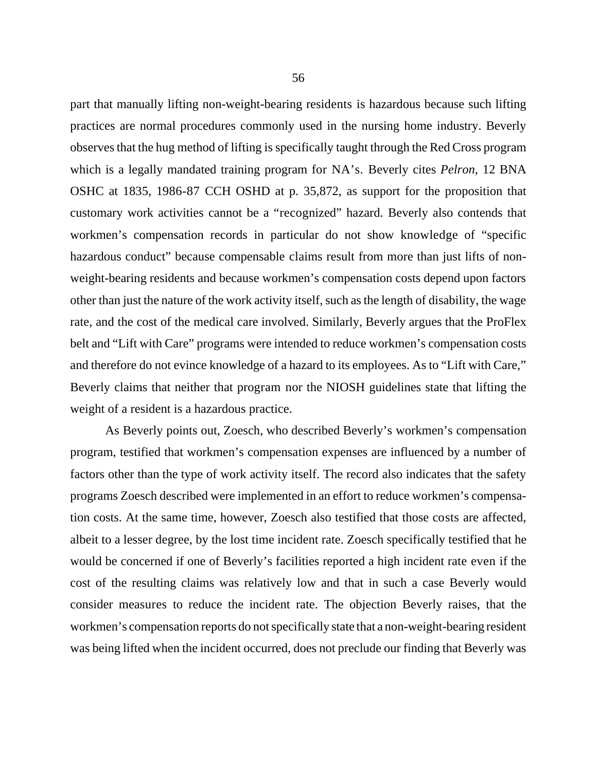part that manually lifting non-weight-bearing residents is hazardous because such lifting practices are normal procedures commonly used in the nursing home industry. Beverly observes that the hug method of lifting is specifically taught through the Red Cross program which is a legally mandated training program for NA's. Beverly cites *Pelron*, 12 BNA OSHC at 1835, 1986-87 CCH OSHD at p. 35,872, as support for the proposition that customary work activities cannot be a "recognized" hazard. Beverly also contends that workmen's compensation records in particular do not show knowledge of "specific hazardous conduct" because compensable claims result from more than just lifts of nonweight-bearing residents and because workmen's compensation costs depend upon factors other than just the nature of the work activity itself, such as the length of disability, the wage rate, and the cost of the medical care involved. Similarly, Beverly argues that the ProFlex belt and "Lift with Care" programs were intended to reduce workmen's compensation costs and therefore do not evince knowledge of a hazard to its employees. As to "Lift with Care," Beverly claims that neither that program nor the NIOSH guidelines state that lifting the weight of a resident is a hazardous practice.

As Beverly points out, Zoesch, who described Beverly's workmen's compensation program, testified that workmen's compensation expenses are influenced by a number of factors other than the type of work activity itself. The record also indicates that the safety programs Zoesch described were implemented in an effort to reduce workmen's compensation costs. At the same time, however, Zoesch also testified that those costs are affected, albeit to a lesser degree, by the lost time incident rate. Zoesch specifically testified that he would be concerned if one of Beverly's facilities reported a high incident rate even if the cost of the resulting claims was relatively low and that in such a case Beverly would consider measures to reduce the incident rate. The objection Beverly raises, that the workmen's compensation reports do not specifically state that a non-weight-bearing resident was being lifted when the incident occurred, does not preclude our finding that Beverly was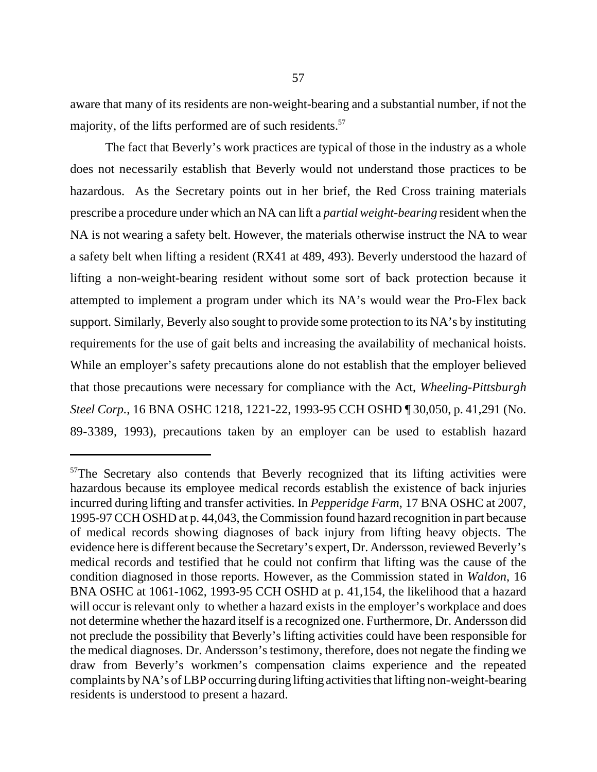aware that many of its residents are non-weight-bearing and a substantial number, if not the majority, of the lifts performed are of such residents.<sup>57</sup>

The fact that Beverly's work practices are typical of those in the industry as a whole does not necessarily establish that Beverly would not understand those practices to be hazardous. As the Secretary points out in her brief, the Red Cross training materials prescribe a procedure under which an NA can lift a *partial weight-bearing* resident when the NA is not wearing a safety belt. However, the materials otherwise instruct the NA to wear a safety belt when lifting a resident (RX41 at 489, 493). Beverly understood the hazard of lifting a non-weight-bearing resident without some sort of back protection because it attempted to implement a program under which its NA's would wear the Pro-Flex back support. Similarly, Beverly also sought to provide some protection to its NA's by instituting requirements for the use of gait belts and increasing the availability of mechanical hoists. While an employer's safety precautions alone do not establish that the employer believed that those precautions were necessary for compliance with the Act, *Wheeling-Pittsburgh Steel Corp.*, 16 BNA OSHC 1218, 1221-22, 1993-95 CCH OSHD ¶ 30,050, p. 41,291 (No. 89-3389, 1993), precautions taken by an employer can be used to establish hazard

<sup>&</sup>lt;sup>57</sup>The Secretary also contends that Beverly recognized that its lifting activities were hazardous because its employee medical records establish the existence of back injuries incurred during lifting and transfer activities. In *Pepperidge Farm*, 17 BNA OSHC at 2007, 1995-97 CCH OSHD at p. 44,043, the Commission found hazard recognition in part because of medical records showing diagnoses of back injury from lifting heavy objects. The evidence here is different because the Secretary's expert, Dr. Andersson, reviewed Beverly's medical records and testified that he could not confirm that lifting was the cause of the condition diagnosed in those reports. However, as the Commission stated in *Waldon*, 16 BNA OSHC at 1061-1062, 1993-95 CCH OSHD at p. 41,154, the likelihood that a hazard will occur is relevant only to whether a hazard exists in the employer's workplace and does not determine whether the hazard itself is a recognized one. Furthermore, Dr. Andersson did not preclude the possibility that Beverly's lifting activities could have been responsible for the medical diagnoses. Dr. Andersson's testimony, therefore, does not negate the finding we draw from Beverly's workmen's compensation claims experience and the repeated complaints by NA's of LBP occurring during lifting activities that lifting non-weight-bearing residents is understood to present a hazard.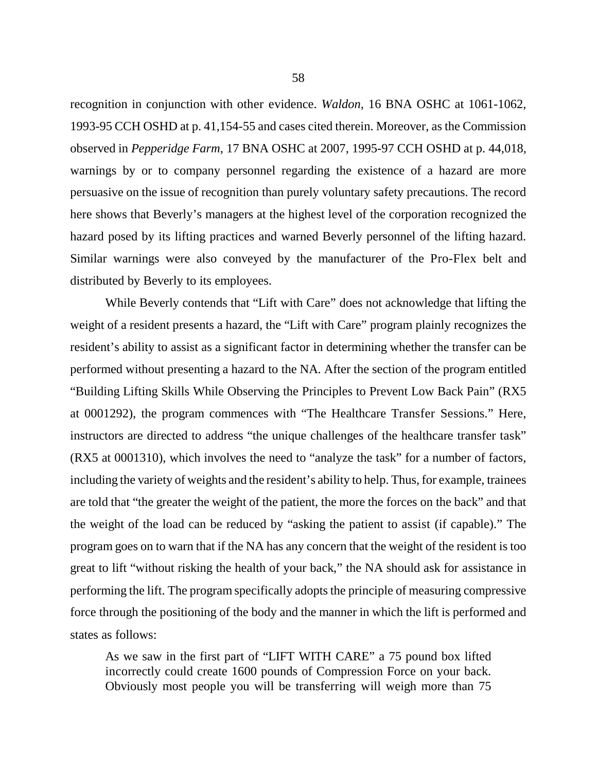recognition in conjunction with other evidence. *Waldon*, 16 BNA OSHC at 1061-1062, 1993-95 CCH OSHD at p. 41,154-55 and cases cited therein. Moreover, as the Commission observed in *Pepperidge Farm*, 17 BNA OSHC at 2007, 1995-97 CCH OSHD at p. 44,018, warnings by or to company personnel regarding the existence of a hazard are more persuasive on the issue of recognition than purely voluntary safety precautions. The record here shows that Beverly's managers at the highest level of the corporation recognized the hazard posed by its lifting practices and warned Beverly personnel of the lifting hazard. Similar warnings were also conveyed by the manufacturer of the Pro-Flex belt and distributed by Beverly to its employees.

While Beverly contends that "Lift with Care" does not acknowledge that lifting the weight of a resident presents a hazard, the "Lift with Care" program plainly recognizes the resident's ability to assist as a significant factor in determining whether the transfer can be performed without presenting a hazard to the NA. After the section of the program entitled "Building Lifting Skills While Observing the Principles to Prevent Low Back Pain" (RX5 at 0001292), the program commences with "The Healthcare Transfer Sessions." Here, instructors are directed to address "the unique challenges of the healthcare transfer task" (RX5 at 0001310), which involves the need to "analyze the task" for a number of factors, including the variety of weights and the resident's ability to help. Thus, for example, trainees are told that "the greater the weight of the patient, the more the forces on the back" and that the weight of the load can be reduced by "asking the patient to assist (if capable)." The program goes on to warn that if the NA has any concern that the weight of the resident is too great to lift "without risking the health of your back," the NA should ask for assistance in performing the lift. The program specifically adopts the principle of measuring compressive force through the positioning of the body and the manner in which the lift is performed and states as follows:

As we saw in the first part of "LIFT WITH CARE" a 75 pound box lifted incorrectly could create 1600 pounds of Compression Force on your back. Obviously most people you will be transferring will weigh more than 75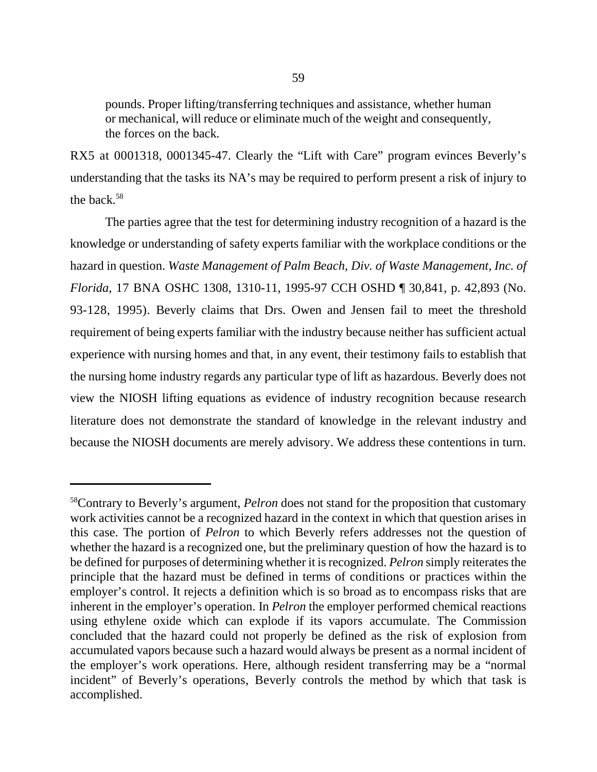pounds. Proper lifting/transferring techniques and assistance, whether human or mechanical, will reduce or eliminate much of the weight and consequently, the forces on the back.

RX5 at 0001318, 0001345-47. Clearly the "Lift with Care" program evinces Beverly's understanding that the tasks its NA's may be required to perform present a risk of injury to the back.58

The parties agree that the test for determining industry recognition of a hazard is the knowledge or understanding of safety experts familiar with the workplace conditions or the hazard in question. *Waste Management of Palm Beach, Div. of Waste Management, Inc. of Florida*, 17 BNA OSHC 1308, 1310-11, 1995-97 CCH OSHD ¶ 30,841, p. 42,893 (No. 93-128, 1995). Beverly claims that Drs. Owen and Jensen fail to meet the threshold requirement of being experts familiar with the industry because neither has sufficient actual experience with nursing homes and that, in any event, their testimony fails to establish that the nursing home industry regards any particular type of lift as hazardous. Beverly does not view the NIOSH lifting equations as evidence of industry recognition because research literature does not demonstrate the standard of knowledge in the relevant industry and because the NIOSH documents are merely advisory. We address these contentions in turn.

<sup>58</sup>Contrary to Beverly's argument, *Pelron* does not stand for the proposition that customary work activities cannot be a recognized hazard in the context in which that question arises in this case. The portion of *Pelron* to which Beverly refers addresses not the question of whether the hazard is a recognized one, but the preliminary question of how the hazard is to be defined for purposes of determining whether it is recognized. *Pelron* simply reiterates the principle that the hazard must be defined in terms of conditions or practices within the employer's control. It rejects a definition which is so broad as to encompass risks that are inherent in the employer's operation. In *Pelron* the employer performed chemical reactions using ethylene oxide which can explode if its vapors accumulate. The Commission concluded that the hazard could not properly be defined as the risk of explosion from accumulated vapors because such a hazard would always be present as a normal incident of the employer's work operations. Here, although resident transferring may be a "normal incident" of Beverly's operations, Beverly controls the method by which that task is accomplished.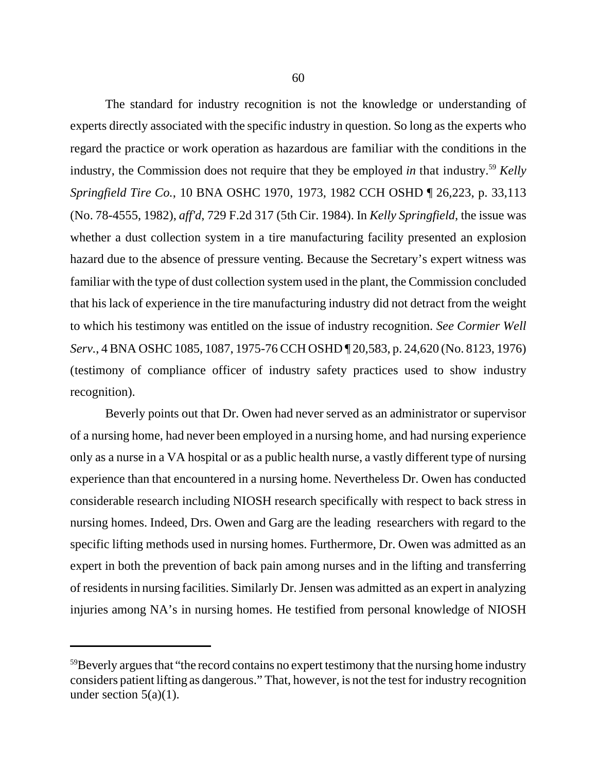The standard for industry recognition is not the knowledge or understanding of experts directly associated with the specific industry in question. So long as the experts who regard the practice or work operation as hazardous are familiar with the conditions in the industry, the Commission does not require that they be employed *in* that industry.59 *Kelly Springfield Tire Co.*, 10 BNA OSHC 1970, 1973, 1982 CCH OSHD ¶ 26,223, p. 33,113 (No. 78-4555, 1982), *aff'd*, 729 F.2d 317 (5th Cir. 1984). In *Kelly Springfield*, the issue was whether a dust collection system in a tire manufacturing facility presented an explosion hazard due to the absence of pressure venting. Because the Secretary's expert witness was familiar with the type of dust collection system used in the plant, the Commission concluded that his lack of experience in the tire manufacturing industry did not detract from the weight to which his testimony was entitled on the issue of industry recognition. *See Cormier Well Serv.*, 4 BNA OSHC 1085, 1087, 1975-76 CCH OSHD ¶ 20,583, p. 24,620 (No. 8123, 1976) (testimony of compliance officer of industry safety practices used to show industry recognition).

Beverly points out that Dr. Owen had never served as an administrator or supervisor of a nursing home, had never been employed in a nursing home, and had nursing experience only as a nurse in a VA hospital or as a public health nurse, a vastly different type of nursing experience than that encountered in a nursing home. Nevertheless Dr. Owen has conducted considerable research including NIOSH research specifically with respect to back stress in nursing homes. Indeed, Drs. Owen and Garg are the leading researchers with regard to the specific lifting methods used in nursing homes. Furthermore, Dr. Owen was admitted as an expert in both the prevention of back pain among nurses and in the lifting and transferring of residents in nursing facilities. Similarly Dr. Jensen was admitted as an expert in analyzing injuries among NA's in nursing homes. He testified from personal knowledge of NIOSH

<sup>&</sup>lt;sup>59</sup>Beverly argues that "the record contains no expert testimony that the nursing home industry considers patient lifting as dangerous." That, however, is not the test for industry recognition under section  $5(a)(1)$ .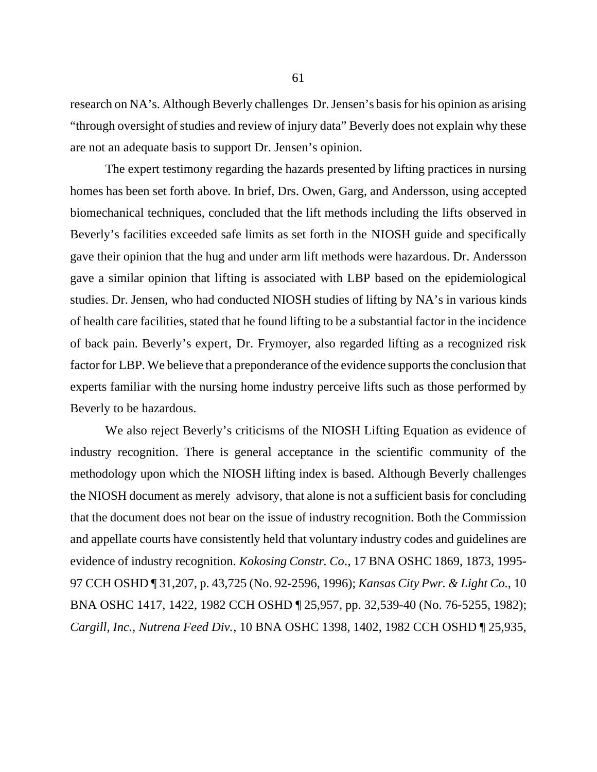research on NA's. Although Beverly challenges Dr. Jensen's basis for his opinion as arising "through oversight of studies and review of injury data" Beverly does not explain why these are not an adequate basis to support Dr. Jensen's opinion.

The expert testimony regarding the hazards presented by lifting practices in nursing homes has been set forth above. In brief, Drs. Owen, Garg, and Andersson, using accepted biomechanical techniques, concluded that the lift methods including the lifts observed in Beverly's facilities exceeded safe limits as set forth in the NIOSH guide and specifically gave their opinion that the hug and under arm lift methods were hazardous. Dr. Andersson gave a similar opinion that lifting is associated with LBP based on the epidemiological studies. Dr. Jensen, who had conducted NIOSH studies of lifting by NA's in various kinds of health care facilities, stated that he found lifting to be a substantial factor in the incidence of back pain. Beverly's expert, Dr. Frymoyer, also regarded lifting as a recognized risk factor for LBP. We believe that a preponderance of the evidence supports the conclusion that experts familiar with the nursing home industry perceive lifts such as those performed by Beverly to be hazardous.

We also reject Beverly's criticisms of the NIOSH Lifting Equation as evidence of industry recognition. There is general acceptance in the scientific community of the methodology upon which the NIOSH lifting index is based. Although Beverly challenges the NIOSH document as merely advisory, that alone is not a sufficient basis for concluding that the document does not bear on the issue of industry recognition. Both the Commission and appellate courts have consistently held that voluntary industry codes and guidelines are evidence of industry recognition. *Kokosing Constr. Co*., 17 BNA OSHC 1869, 1873, 1995- 97 CCH OSHD ¶ 31,207, p. 43,725 (No. 92-2596, 1996); *Kansas City Pwr. & Light Co.*, 10 BNA OSHC 1417, 1422, 1982 CCH OSHD ¶ 25,957, pp. 32,539-40 (No. 76-5255, 1982); *Cargill, Inc., Nutrena Feed Div.*, 10 BNA OSHC 1398, 1402, 1982 CCH OSHD ¶ 25,935,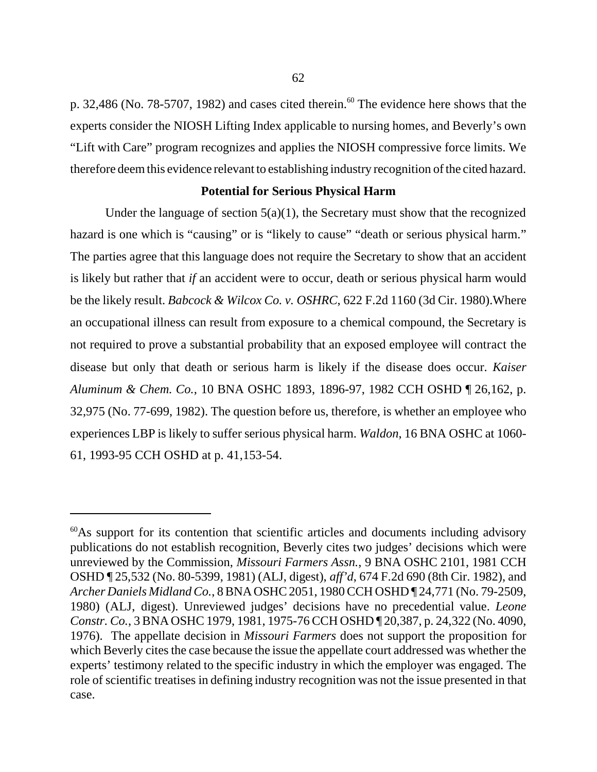p. 32,486 (No. 78-5707, 1982) and cases cited therein.<sup>60</sup> The evidence here shows that the experts consider the NIOSH Lifting Index applicable to nursing homes, and Beverly's own "Lift with Care" program recognizes and applies the NIOSH compressive force limits. We therefore deem this evidence relevant to establishing industry recognition of the cited hazard.

## **Potential for Serious Physical Harm**

Under the language of section  $5(a)(1)$ , the Secretary must show that the recognized hazard is one which is "causing" or is "likely to cause" "death or serious physical harm." The parties agree that this language does not require the Secretary to show that an accident is likely but rather that *if* an accident were to occur, death or serious physical harm would be the likely result. *Babcock & Wilcox Co. v. OSHRC*, 622 F.2d 1160 (3d Cir. 1980).Where an occupational illness can result from exposure to a chemical compound, the Secretary is not required to prove a substantial probability that an exposed employee will contract the disease but only that death or serious harm is likely if the disease does occur. *Kaiser Aluminum & Chem. Co.*, 10 BNA OSHC 1893, 1896-97, 1982 CCH OSHD ¶ 26,162, p. 32,975 (No. 77-699, 1982). The question before us, therefore, is whether an employee who experiences LBP is likely to suffer serious physical harm. *Waldon*, 16 BNA OSHC at 1060- 61, 1993-95 CCH OSHD at p. 41,153-54.

<sup>&</sup>lt;sup>60</sup>As support for its contention that scientific articles and documents including advisory publications do not establish recognition, Beverly cites two judges' decisions which were unreviewed by the Commission, *Missouri Farmers Assn.*, 9 BNA OSHC 2101, 1981 CCH OSHD ¶ 25,532 (No. 80-5399, 1981) (ALJ, digest), *aff'd*, 674 F.2d 690 (8th Cir. 1982), and *Archer Daniels Midland Co.*, 8 BNA OSHC 2051, 1980 CCH OSHD ¶ 24,771 (No. 79-2509, 1980) (ALJ, digest). Unreviewed judges' decisions have no precedential value. *Leone Constr. Co.*, 3 BNA OSHC 1979, 1981, 1975-76 CCH OSHD ¶ 20,387, p. 24,322 (No. 4090, 1976). The appellate decision in *Missouri Farmers* does not support the proposition for which Beverly cites the case because the issue the appellate court addressed was whether the experts' testimony related to the specific industry in which the employer was engaged. The role of scientific treatises in defining industry recognition was not the issue presented in that case.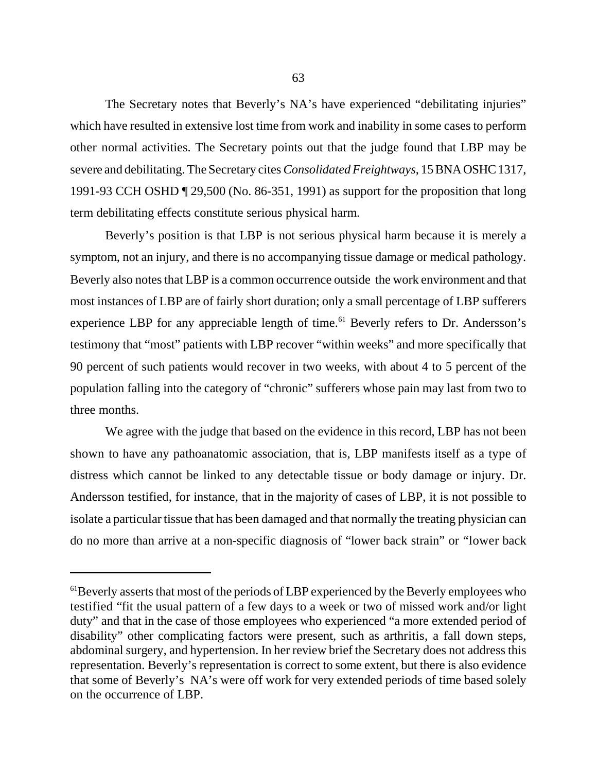The Secretary notes that Beverly's NA's have experienced "debilitating injuries" which have resulted in extensive lost time from work and inability in some cases to perform other normal activities. The Secretary points out that the judge found that LBP may be severe and debilitating. The Secretary cites *Consolidated Freightways*, 15 BNA OSHC 1317, 1991-93 CCH OSHD ¶ 29,500 (No. 86-351, 1991) as support for the proposition that long term debilitating effects constitute serious physical harm.

Beverly's position is that LBP is not serious physical harm because it is merely a symptom, not an injury, and there is no accompanying tissue damage or medical pathology. Beverly also notes that LBP is a common occurrence outside the work environment and that most instances of LBP are of fairly short duration; only a small percentage of LBP sufferers experience LBP for any appreciable length of time.<sup>61</sup> Beverly refers to Dr. Andersson's testimony that "most" patients with LBP recover "within weeks" and more specifically that 90 percent of such patients would recover in two weeks, with about 4 to 5 percent of the population falling into the category of "chronic" sufferers whose pain may last from two to three months.

We agree with the judge that based on the evidence in this record, LBP has not been shown to have any pathoanatomic association, that is, LBP manifests itself as a type of distress which cannot be linked to any detectable tissue or body damage or injury. Dr. Andersson testified, for instance, that in the majority of cases of LBP, it is not possible to isolate a particular tissue that has been damaged and that normally the treating physician can do no more than arrive at a non-specific diagnosis of "lower back strain" or "lower back

 $<sup>61</sup>Beverly asserts that most of the periods of LBP experienced by the Beverly employees who$ </sup> testified "fit the usual pattern of a few days to a week or two of missed work and/or light duty" and that in the case of those employees who experienced "a more extended period of disability" other complicating factors were present, such as arthritis, a fall down steps, abdominal surgery, and hypertension. In her review brief the Secretary does not address this representation. Beverly's representation is correct to some extent, but there is also evidence that some of Beverly's NA's were off work for very extended periods of time based solely on the occurrence of LBP.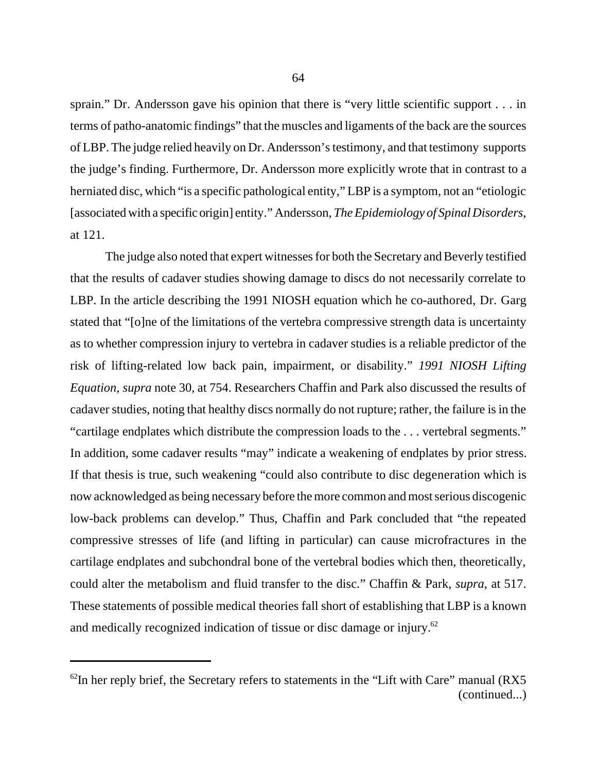sprain." Dr. Andersson gave his opinion that there is "very little scientific support . . . in terms of patho-anatomic findings" that the muscles and ligaments of the back are the sources of LBP. The judge relied heavily on Dr. Andersson's testimony, and that testimony supports the judge's finding. Furthermore, Dr. Andersson more explicitly wrote that in contrast to a herniated disc, which "is a specific pathological entity," LBP is a symptom, not an "etiologic [associated with a specific origin] entity." Andersson, *The Epidemiology of Spinal Disorders*, at 121.

The judge also noted that expert witnesses for both the Secretary and Beverly testified that the results of cadaver studies showing damage to discs do not necessarily correlate to LBP. In the article describing the 1991 NIOSH equation which he co-authored, Dr. Garg stated that "[o]ne of the limitations of the vertebra compressive strength data is uncertainty as to whether compression injury to vertebra in cadaver studies is a reliable predictor of the risk of lifting-related low back pain, impairment, or disability." *1991 NIOSH Lifting Equation*, *supra* note 30, at 754. Researchers Chaffin and Park also discussed the results of cadaver studies, noting that healthy discs normally do not rupture; rather, the failure is in the "cartilage endplates which distribute the compression loads to the . . . vertebral segments." In addition, some cadaver results "may" indicate a weakening of endplates by prior stress. If that thesis is true, such weakening "could also contribute to disc degeneration which is now acknowledged as being necessary before the more common and most serious discogenic low-back problems can develop." Thus, Chaffin and Park concluded that "the repeated compressive stresses of life (and lifting in particular) can cause microfractures in the cartilage endplates and subchondral bone of the vertebral bodies which then, theoretically, could alter the metabolism and fluid transfer to the disc." Chaffin & Park, *supra*, at 517. These statements of possible medical theories fall short of establishing that LBP is a known and medically recognized indication of tissue or disc damage or injury.62

 $62$ In her reply brief, the Secretary refers to statements in the "Lift with Care" manual (RX5 (continued...)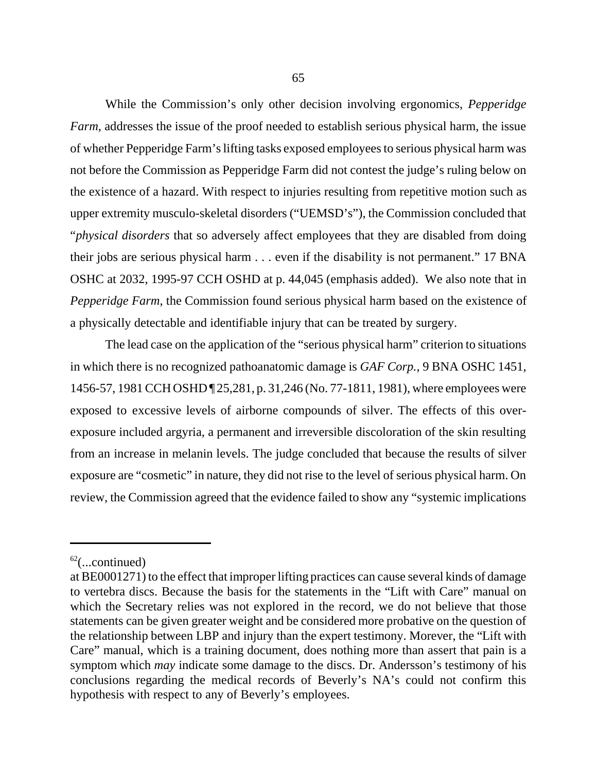While the Commission's only other decision involving ergonomics, *Pepperidge Farm*, addresses the issue of the proof needed to establish serious physical harm, the issue of whether Pepperidge Farm's lifting tasks exposed employees to serious physical harm was not before the Commission as Pepperidge Farm did not contest the judge's ruling below on the existence of a hazard. With respect to injuries resulting from repetitive motion such as upper extremity musculo-skeletal disorders ("UEMSD's"), the Commission concluded that "*physical disorders* that so adversely affect employees that they are disabled from doing their jobs are serious physical harm . . . even if the disability is not permanent." 17 BNA OSHC at 2032, 1995-97 CCH OSHD at p. 44,045 (emphasis added). We also note that in *Pepperidge Farm*, the Commission found serious physical harm based on the existence of a physically detectable and identifiable injury that can be treated by surgery.

The lead case on the application of the "serious physical harm" criterion to situations in which there is no recognized pathoanatomic damage is *GAF Corp.*, 9 BNA OSHC 1451, 1456-57, 1981 CCH OSHD ¶ 25,281, p. 31,246 (No. 77-1811, 1981), where employees were exposed to excessive levels of airborne compounds of silver. The effects of this overexposure included argyria, a permanent and irreversible discoloration of the skin resulting from an increase in melanin levels. The judge concluded that because the results of silver exposure are "cosmetic" in nature, they did not rise to the level of serious physical harm. On review, the Commission agreed that the evidence failed to show any "systemic implications

 $62$ (...continued)

at BE0001271) to the effect that improper lifting practices can cause several kinds of damage to vertebra discs. Because the basis for the statements in the "Lift with Care" manual on which the Secretary relies was not explored in the record, we do not believe that those statements can be given greater weight and be considered more probative on the question of the relationship between LBP and injury than the expert testimony. Morever, the "Lift with Care" manual, which is a training document, does nothing more than assert that pain is a symptom which *may* indicate some damage to the discs. Dr. Andersson's testimony of his conclusions regarding the medical records of Beverly's NA's could not confirm this hypothesis with respect to any of Beverly's employees.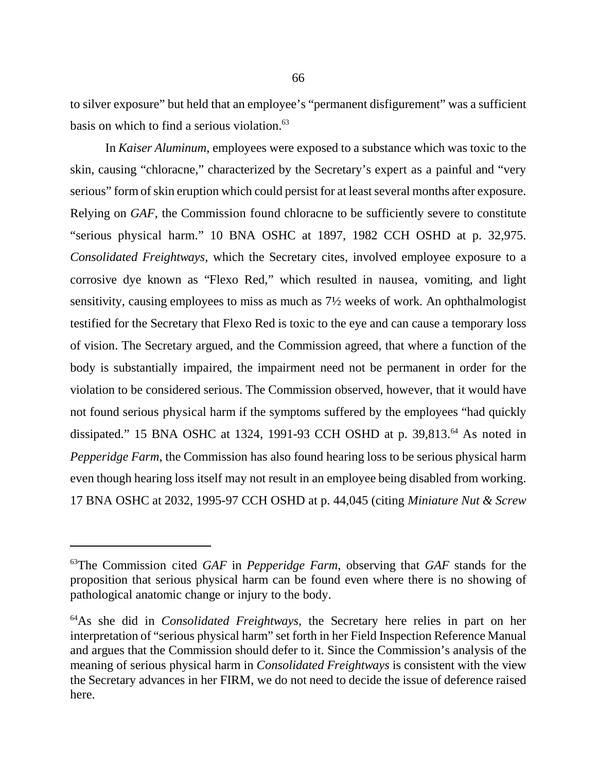to silver exposure" but held that an employee's "permanent disfigurement" was a sufficient basis on which to find a serious violation.<sup>63</sup>

In *Kaiser Aluminum*, employees were exposed to a substance which was toxic to the skin, causing "chloracne," characterized by the Secretary's expert as a painful and "very serious" form of skin eruption which could persist for at least several months after exposure. Relying on *GAF*, the Commission found chloracne to be sufficiently severe to constitute "serious physical harm." 10 BNA OSHC at 1897, 1982 CCH OSHD at p. 32,975. *Consolidated Freightways*, which the Secretary cites, involved employee exposure to a corrosive dye known as "Flexo Red," which resulted in nausea, vomiting, and light sensitivity, causing employees to miss as much as 7½ weeks of work. An ophthalmologist testified for the Secretary that Flexo Red is toxic to the eye and can cause a temporary loss of vision. The Secretary argued, and the Commission agreed, that where a function of the body is substantially impaired, the impairment need not be permanent in order for the violation to be considered serious. The Commission observed, however, that it would have not found serious physical harm if the symptoms suffered by the employees "had quickly dissipated." 15 BNA OSHC at 1324, 1991-93 CCH OSHD at p. 39,813.<sup>64</sup> As noted in *Pepperidge Farm*, the Commission has also found hearing loss to be serious physical harm even though hearing loss itself may not result in an employee being disabled from working. 17 BNA OSHC at 2032, 1995-97 CCH OSHD at p. 44,045 (citing *Miniature Nut & Screw*

<sup>63</sup>The Commission cited *GAF* in *Pepperidge Farm*, observing that *GAF* stands for the proposition that serious physical harm can be found even where there is no showing of pathological anatomic change or injury to the body.

<sup>64</sup>As she did in *Consolidated Freightways*, the Secretary here relies in part on her interpretation of "serious physical harm" set forth in her Field Inspection Reference Manual and argues that the Commission should defer to it. Since the Commission's analysis of the meaning of serious physical harm in *Consolidated Freightways* is consistent with the view the Secretary advances in her FIRM, we do not need to decide the issue of deference raised here.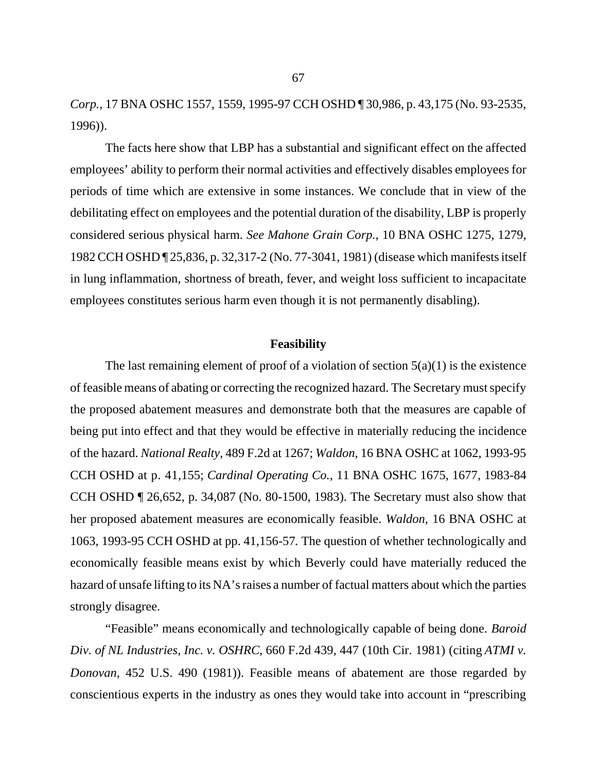*Corp.*, 17 BNA OSHC 1557, 1559, 1995-97 CCH OSHD ¶ 30,986, p. 43,175 (No. 93-2535, 1996)).

The facts here show that LBP has a substantial and significant effect on the affected employees' ability to perform their normal activities and effectively disables employees for periods of time which are extensive in some instances. We conclude that in view of the debilitating effect on employees and the potential duration of the disability, LBP is properly considered serious physical harm. *See Mahone Grain Corp.*, 10 BNA OSHC 1275, 1279, 1982 CCH OSHD ¶ 25,836, p. 32,317-2 (No. 77-3041, 1981) (disease which manifests itself in lung inflammation, shortness of breath, fever, and weight loss sufficient to incapacitate employees constitutes serious harm even though it is not permanently disabling).

#### **Feasibility**

The last remaining element of proof of a violation of section  $5(a)(1)$  is the existence of feasible means of abating or correcting the recognized hazard. The Secretary must specify the proposed abatement measures and demonstrate both that the measures are capable of being put into effect and that they would be effective in materially reducing the incidence of the hazard. *National Realty*, 489 F.2d at 1267; *Waldon*, 16 BNA OSHC at 1062, 1993-95 CCH OSHD at p. 41,155; *Cardinal Operating Co.*, 11 BNA OSHC 1675, 1677, 1983-84 CCH OSHD ¶ 26,652, p. 34,087 (No. 80-1500, 1983). The Secretary must also show that her proposed abatement measures are economically feasible. *Waldon*, 16 BNA OSHC at 1063, 1993-95 CCH OSHD at pp. 41,156-57*.* The question of whether technologically and economically feasible means exist by which Beverly could have materially reduced the hazard of unsafe lifting to its NA's raises a number of factual matters about which the parties strongly disagree.

"Feasible" means economically and technologically capable of being done. *Baroid Div. of NL Industries, Inc. v. OSHRC*, 660 F.2d 439, 447 (10th Cir. 1981) (citing *ATMI v. Donovan*, 452 U.S. 490 (1981)). Feasible means of abatement are those regarded by conscientious experts in the industry as ones they would take into account in "prescribing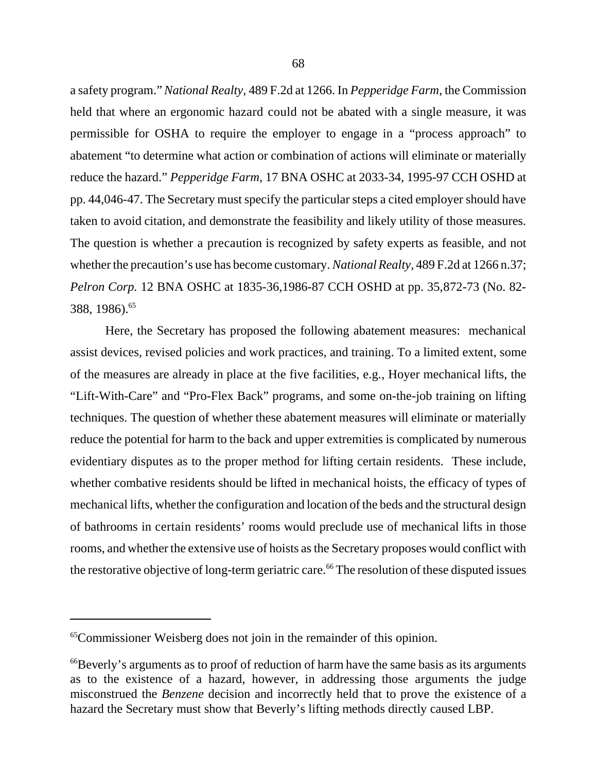a safety program." *National Realty,* 489 F.2d at 1266. In *Pepperidge Farm*, the Commission held that where an ergonomic hazard could not be abated with a single measure, it was permissible for OSHA to require the employer to engage in a "process approach" to abatement "to determine what action or combination of actions will eliminate or materially reduce the hazard." *Pepperidge Farm*, 17 BNA OSHC at 2033-34, 1995-97 CCH OSHD at pp. 44,046-47. The Secretary must specify the particular steps a cited employer should have taken to avoid citation, and demonstrate the feasibility and likely utility of those measures. The question is whether a precaution is recognized by safety experts as feasible, and not whether the precaution's use has become customary. *National Realty,* 489 F.2d at 1266 n.37; *Pelron Corp.* 12 BNA OSHC at 1835-36,1986-87 CCH OSHD at pp. 35,872-73 (No. 82- 388, 1986).65

Here, the Secretary has proposed the following abatement measures: mechanical assist devices, revised policies and work practices, and training. To a limited extent, some of the measures are already in place at the five facilities, e.g., Hoyer mechanical lifts, the "Lift-With-Care" and "Pro-Flex Back" programs, and some on-the-job training on lifting techniques. The question of whether these abatement measures will eliminate or materially reduce the potential for harm to the back and upper extremities is complicated by numerous evidentiary disputes as to the proper method for lifting certain residents. These include, whether combative residents should be lifted in mechanical hoists, the efficacy of types of mechanical lifts, whether the configuration and location of the beds and the structural design of bathrooms in certain residents' rooms would preclude use of mechanical lifts in those rooms, and whether the extensive use of hoists as the Secretary proposes would conflict with the restorative objective of long-term geriatric care.<sup>66</sup> The resolution of these disputed issues

<sup>65</sup>Commissioner Weisberg does not join in the remainder of this opinion.

<sup>&</sup>lt;sup>66</sup>Beverly's arguments as to proof of reduction of harm have the same basis as its arguments as to the existence of a hazard, however, in addressing those arguments the judge misconstrued the *Benzene* decision and incorrectly held that to prove the existence of a hazard the Secretary must show that Beverly's lifting methods directly caused LBP.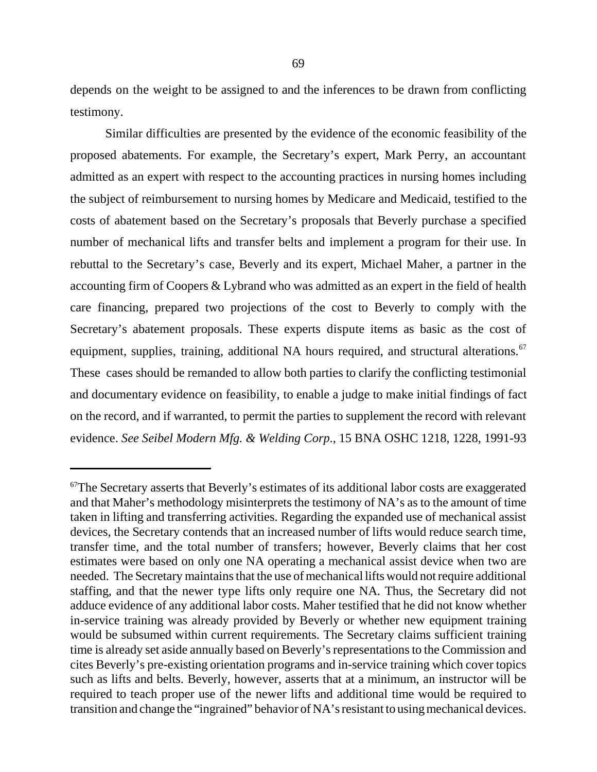depends on the weight to be assigned to and the inferences to be drawn from conflicting testimony.

Similar difficulties are presented by the evidence of the economic feasibility of the proposed abatements. For example, the Secretary's expert, Mark Perry, an accountant admitted as an expert with respect to the accounting practices in nursing homes including the subject of reimbursement to nursing homes by Medicare and Medicaid, testified to the costs of abatement based on the Secretary's proposals that Beverly purchase a specified number of mechanical lifts and transfer belts and implement a program for their use. In rebuttal to the Secretary's case, Beverly and its expert, Michael Maher, a partner in the accounting firm of Coopers & Lybrand who was admitted as an expert in the field of health care financing, prepared two projections of the cost to Beverly to comply with the Secretary's abatement proposals. These experts dispute items as basic as the cost of equipment, supplies, training, additional NA hours required, and structural alterations.<sup>67</sup> These cases should be remanded to allow both parties to clarify the conflicting testimonial and documentary evidence on feasibility, to enable a judge to make initial findings of fact on the record, and if warranted, to permit the parties to supplement the record with relevant evidence. *See Seibel Modern Mfg. & Welding Corp.*, 15 BNA OSHC 1218, 1228, 1991-93

 $67$ The Secretary asserts that Beverly's estimates of its additional labor costs are exaggerated and that Maher's methodology misinterprets the testimony of NA's as to the amount of time taken in lifting and transferring activities. Regarding the expanded use of mechanical assist devices, the Secretary contends that an increased number of lifts would reduce search time, transfer time, and the total number of transfers; however, Beverly claims that her cost estimates were based on only one NA operating a mechanical assist device when two are needed. The Secretary maintains that the use of mechanical lifts would not require additional staffing, and that the newer type lifts only require one NA. Thus, the Secretary did not adduce evidence of any additional labor costs. Maher testified that he did not know whether in-service training was already provided by Beverly or whether new equipment training would be subsumed within current requirements. The Secretary claims sufficient training time is already set aside annually based on Beverly's representations to the Commission and cites Beverly's pre-existing orientation programs and in-service training which cover topics such as lifts and belts. Beverly, however, asserts that at a minimum, an instructor will be required to teach proper use of the newer lifts and additional time would be required to transition and change the "ingrained" behavior of NA's resistant to using mechanical devices.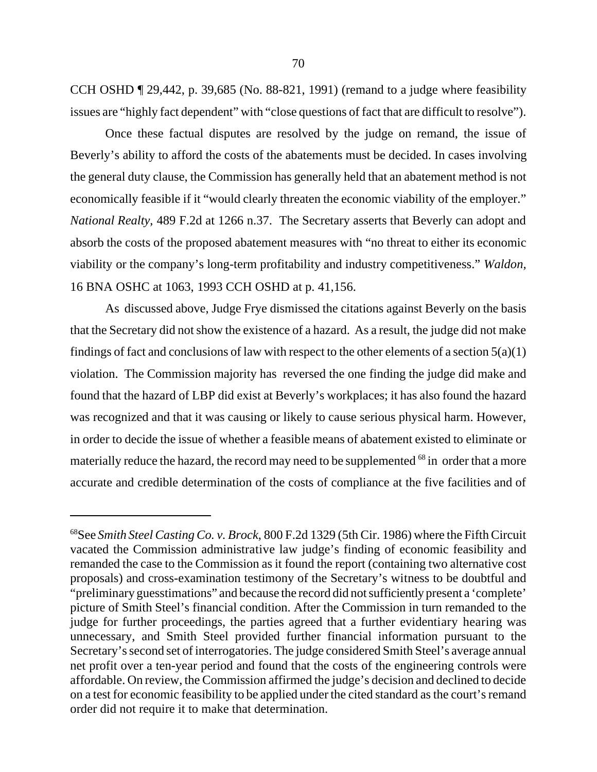CCH OSHD ¶ 29,442, p. 39,685 (No. 88-821, 1991) (remand to a judge where feasibility issues are "highly fact dependent" with "close questions of fact that are difficult to resolve").

Once these factual disputes are resolved by the judge on remand, the issue of Beverly's ability to afford the costs of the abatements must be decided. In cases involving the general duty clause, the Commission has generally held that an abatement method is not economically feasible if it "would clearly threaten the economic viability of the employer." *National Realty*, 489 F.2d at 1266 n.37. The Secretary asserts that Beverly can adopt and absorb the costs of the proposed abatement measures with "no threat to either its economic viability or the company's long-term profitability and industry competitiveness." *Waldon,* 16 BNA OSHC at 1063, 1993 CCH OSHD at p. 41,156.

As discussed above, Judge Frye dismissed the citations against Beverly on the basis that the Secretary did not show the existence of a hazard. As a result, the judge did not make findings of fact and conclusions of law with respect to the other elements of a section  $5(a)(1)$ violation. The Commission majority has reversed the one finding the judge did make and found that the hazard of LBP did exist at Beverly's workplaces; it has also found the hazard was recognized and that it was causing or likely to cause serious physical harm. However, in order to decide the issue of whether a feasible means of abatement existed to eliminate or materially reduce the hazard, the record may need to be supplemented <sup>68</sup> in order that a more accurate and credible determination of the costs of compliance at the five facilities and of

<sup>68</sup>See *Smith Steel Casting Co. v. Brock*, 800 F.2d 1329 (5th Cir. 1986) where the Fifth Circuit vacated the Commission administrative law judge's finding of economic feasibility and remanded the case to the Commission as it found the report (containing two alternative cost proposals) and cross-examination testimony of the Secretary's witness to be doubtful and "preliminary guesstimations" and because the record did not sufficiently present a 'complete' picture of Smith Steel's financial condition. After the Commission in turn remanded to the judge for further proceedings, the parties agreed that a further evidentiary hearing was unnecessary, and Smith Steel provided further financial information pursuant to the Secretary's second set of interrogatories. The judge considered Smith Steel's average annual net profit over a ten-year period and found that the costs of the engineering controls were affordable. On review, the Commission affirmed the judge's decision and declined to decide on a test for economic feasibility to be applied under the cited standard as the court's remand order did not require it to make that determination.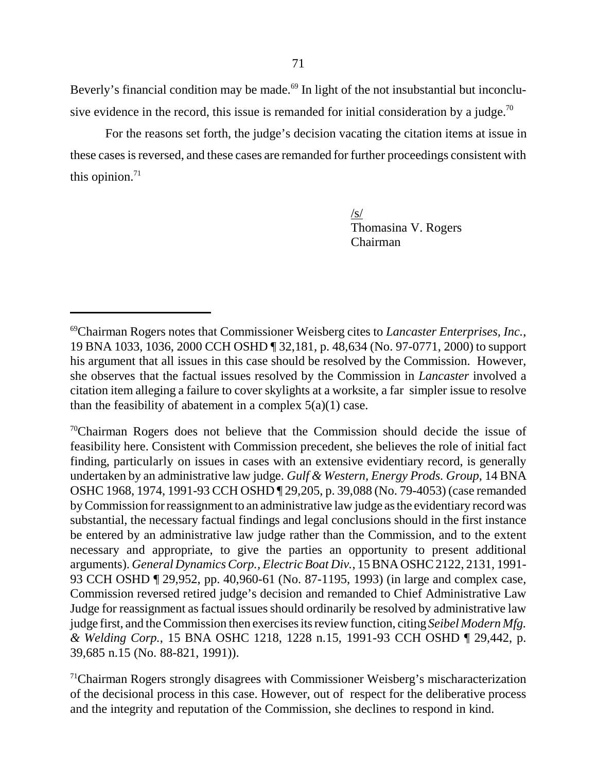Beverly's financial condition may be made.<sup>69</sup> In light of the not insubstantial but inconclusive evidence in the record, this issue is remanded for initial consideration by a judge.<sup>70</sup>

For the reasons set forth, the judge's decision vacating the citation items at issue in these cases is reversed, and these cases are remanded for further proceedings consistent with this opinion. $71$ 

> $\sqrt{s/2}$ Thomasina V. Rogers Chairman

 $\alpha$ <sup>70</sup>Chairman Rogers does not believe that the Commission should decide the issue of feasibility here. Consistent with Commission precedent, she believes the role of initial fact finding, particularly on issues in cases with an extensive evidentiary record, is generally undertaken by an administrative law judge. *Gulf & Western, Energy Prods. Group*, 14 BNA OSHC 1968, 1974, 1991-93 CCH OSHD ¶ 29,205, p. 39,088 (No. 79-4053) (case remanded by Commission for reassignment to an administrative law judge as the evidentiary record was substantial, the necessary factual findings and legal conclusions should in the first instance be entered by an administrative law judge rather than the Commission, and to the extent necessary and appropriate, to give the parties an opportunity to present additional arguments). *General Dynamics Corp., Electric Boat Div.*, 15 BNA OSHC 2122, 2131, 1991- 93 CCH OSHD ¶ 29,952, pp. 40,960-61 (No. 87-1195, 1993) (in large and complex case, Commission reversed retired judge's decision and remanded to Chief Administrative Law Judge for reassignment as factual issues should ordinarily be resolved by administrative law judge first, and the Commission then exercises its review function, citing *Seibel Modern Mfg. & Welding Corp.*, 15 BNA OSHC 1218, 1228 n.15, 1991-93 CCH OSHD ¶ 29,442, p. 39,685 n.15 (No. 88-821, 1991)).

 $<sup>71</sup>$ Chairman Rogers strongly disagrees with Commissioner Weisberg's mischaracterization</sup> of the decisional process in this case. However, out of respect for the deliberative process and the integrity and reputation of the Commission, she declines to respond in kind.

<sup>69</sup>Chairman Rogers notes that Commissioner Weisberg cites to *Lancaster Enterprises, Inc.*, 19 BNA 1033, 1036, 2000 CCH OSHD ¶ 32,181, p. 48,634 (No. 97-0771, 2000) to support his argument that all issues in this case should be resolved by the Commission. However, she observes that the factual issues resolved by the Commission in *Lancaster* involved a citation item alleging a failure to cover skylights at a worksite, a far simpler issue to resolve than the feasibility of abatement in a complex  $5(a)(1)$  case.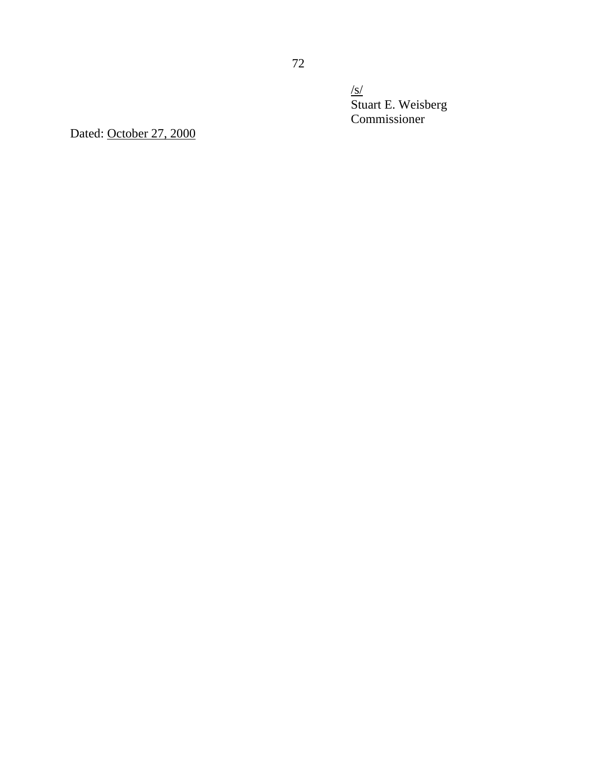$\sqrt{s/}$ Stuart E. Weisberg Commissioner

Dated: October 27, 2000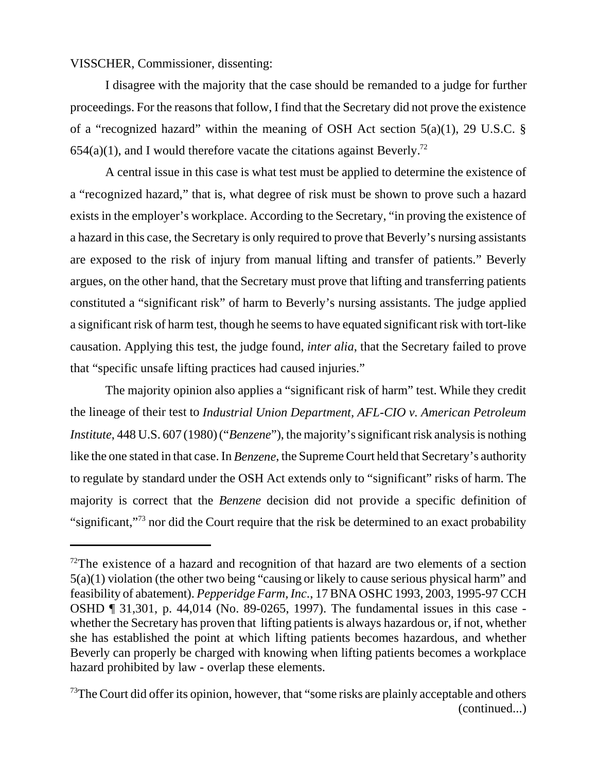VISSCHER, Commissioner, dissenting:

I disagree with the majority that the case should be remanded to a judge for further proceedings. For the reasons that follow, I find that the Secretary did not prove the existence of a "recognized hazard" within the meaning of OSH Act section 5(a)(1), 29 U.S.C. § 654(a)(1), and I would therefore vacate the citations against Beverly.<sup>72</sup>

A central issue in this case is what test must be applied to determine the existence of a "recognized hazard," that is, what degree of risk must be shown to prove such a hazard exists in the employer's workplace. According to the Secretary, "in proving the existence of a hazard in this case, the Secretary is only required to prove that Beverly's nursing assistants are exposed to the risk of injury from manual lifting and transfer of patients." Beverly argues, on the other hand, that the Secretary must prove that lifting and transferring patients constituted a "significant risk" of harm to Beverly's nursing assistants. The judge applied a significant risk of harm test, though he seems to have equated significant risk with tort-like causation. Applying this test, the judge found, *inter alia*, that the Secretary failed to prove that "specific unsafe lifting practices had caused injuries."

The majority opinion also applies a "significant risk of harm" test. While they credit the lineage of their test to *Industrial Union Department, AFL-CIO v. American Petroleum Institute*, 448 U.S. 607 (1980) ("*Benzene*"), the majority's significant risk analysis is nothing like the one stated in that case. In *Benzene*, the Supreme Court held that Secretary's authority to regulate by standard under the OSH Act extends only to "significant" risks of harm. The majority is correct that the *Benzene* decision did not provide a specific definition of "significant,"73 nor did the Court require that the risk be determined to an exact probability

 $72$ The existence of a hazard and recognition of that hazard are two elements of a section 5(a)(1) violation (the other two being "causing or likely to cause serious physical harm" and feasibility of abatement). *Pepperidge Farm, Inc*., 17 BNA OSHC 1993, 2003, 1995-97 CCH OSHD ¶ 31,301, p. 44,014 (No. 89-0265, 1997). The fundamental issues in this case whether the Secretary has proven that lifting patients is always hazardous or, if not, whether she has established the point at which lifting patients becomes hazardous, and whether Beverly can properly be charged with knowing when lifting patients becomes a workplace hazard prohibited by law - overlap these elements.

 $73$ The Court did offer its opinion, however, that "some risks are plainly acceptable and others (continued...)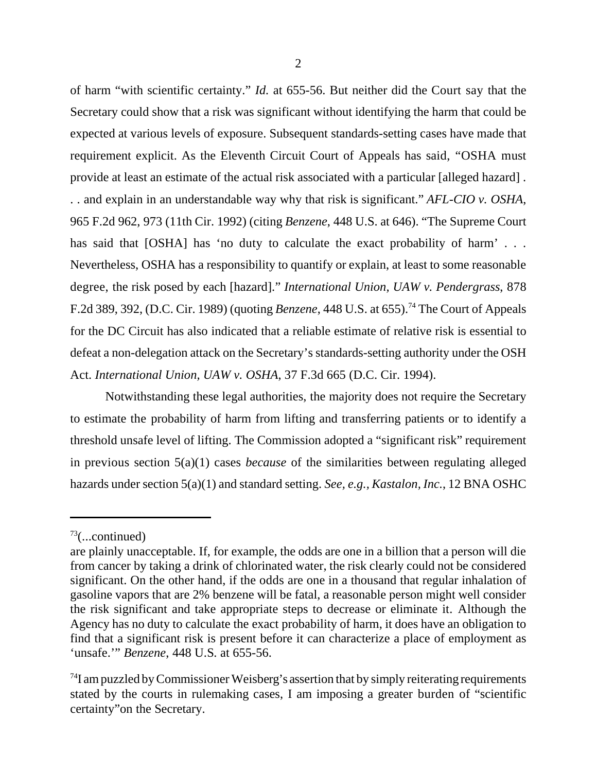of harm "with scientific certainty." *Id.* at 655-56. But neither did the Court say that the Secretary could show that a risk was significant without identifying the harm that could be expected at various levels of exposure. Subsequent standards-setting cases have made that requirement explicit. As the Eleventh Circuit Court of Appeals has said, "OSHA must provide at least an estimate of the actual risk associated with a particular [alleged hazard] . . . and explain in an understandable way why that risk is significant." *AFL-CIO v. OSHA*, 965 F.2d 962, 973 (11th Cir. 1992) (citing *Benzene*, 448 U.S. at 646). "The Supreme Court has said that [OSHA] has 'no duty to calculate the exact probability of harm' . . . Nevertheless, OSHA has a responsibility to quantify or explain, at least to some reasonable degree, the risk posed by each [hazard]." *International Union, UAW v. Pendergrass*, 878 F.2d 389, 392, (D.C. Cir. 1989) (quoting *Benzene*, 448 U.S. at 655).74 The Court of Appeals for the DC Circuit has also indicated that a reliable estimate of relative risk is essential to defeat a non-delegation attack on the Secretary's standards-setting authority under the OSH Act. *International Union, UAW v. OSHA*, 37 F.3d 665 (D.C. Cir. 1994).

Notwithstanding these legal authorities, the majority does not require the Secretary to estimate the probability of harm from lifting and transferring patients or to identify a threshold unsafe level of lifting. The Commission adopted a "significant risk" requirement in previous section 5(a)(1) cases *because* of the similarities between regulating alleged hazards under section 5(a)(1) and standard setting. *See, e.g., Kastalon, Inc.*, 12 BNA OSHC

 $73$ (...continued)

are plainly unacceptable. If, for example, the odds are one in a billion that a person will die from cancer by taking a drink of chlorinated water, the risk clearly could not be considered significant. On the other hand, if the odds are one in a thousand that regular inhalation of gasoline vapors that are 2% benzene will be fatal, a reasonable person might well consider the risk significant and take appropriate steps to decrease or eliminate it. Although the Agency has no duty to calculate the exact probability of harm, it does have an obligation to find that a significant risk is present before it can characterize a place of employment as 'unsafe.'" *Benzene*, 448 U.S. at 655-56.

 $^{74}$ I am puzzled by Commissioner Weisberg's assertion that by simply reiterating requirements stated by the courts in rulemaking cases, I am imposing a greater burden of "scientific certainty"on the Secretary.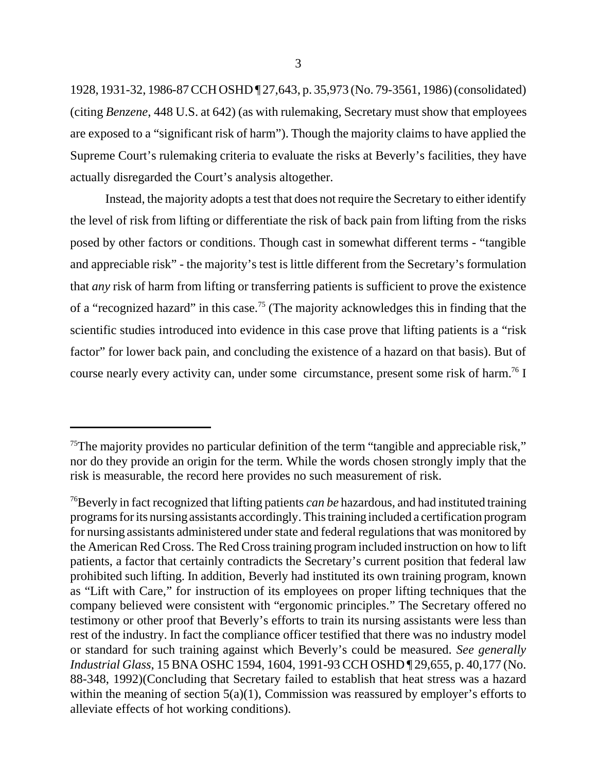1928, 1931-32, 1986-87 CCH OSHD ¶ 27,643, p. 35,973 (No. 79-3561, 1986) (consolidated) (citing *Benzene*, 448 U.S. at 642) (as with rulemaking, Secretary must show that employees are exposed to a "significant risk of harm"). Though the majority claims to have applied the Supreme Court's rulemaking criteria to evaluate the risks at Beverly's facilities, they have actually disregarded the Court's analysis altogether.

Instead, the majority adopts a test that does not require the Secretary to either identify the level of risk from lifting or differentiate the risk of back pain from lifting from the risks posed by other factors or conditions. Though cast in somewhat different terms - "tangible and appreciable risk" - the majority's test is little different from the Secretary's formulation that *any* risk of harm from lifting or transferring patients is sufficient to prove the existence of a "recognized hazard" in this case.<sup>75</sup> (The majority acknowledges this in finding that the scientific studies introduced into evidence in this case prove that lifting patients is a "risk factor" for lower back pain, and concluding the existence of a hazard on that basis). But of course nearly every activity can, under some circumstance, present some risk of harm.<sup>76</sup> I

<sup>&</sup>lt;sup>75</sup>The majority provides no particular definition of the term "tangible and appreciable risk," nor do they provide an origin for the term. While the words chosen strongly imply that the risk is measurable, the record here provides no such measurement of risk.

<sup>76</sup>Beverly in fact recognized that lifting patients *can be* hazardous, and had instituted training programs for its nursing assistants accordingly. This training included a certification program for nursing assistants administered under state and federal regulations that was monitored by the American Red Cross. The Red Cross training program included instruction on how to lift patients, a factor that certainly contradicts the Secretary's current position that federal law prohibited such lifting. In addition, Beverly had instituted its own training program, known as "Lift with Care," for instruction of its employees on proper lifting techniques that the company believed were consistent with "ergonomic principles." The Secretary offered no testimony or other proof that Beverly's efforts to train its nursing assistants were less than rest of the industry. In fact the compliance officer testified that there was no industry model or standard for such training against which Beverly's could be measured. *See generally Industrial Glass*, 15 BNA OSHC 1594, 1604, 1991-93 CCH OSHD ¶ 29,655, p. 40,177 (No. 88-348, 1992)(Concluding that Secretary failed to establish that heat stress was a hazard within the meaning of section  $5(a)(1)$ , Commission was reassured by employer's efforts to alleviate effects of hot working conditions).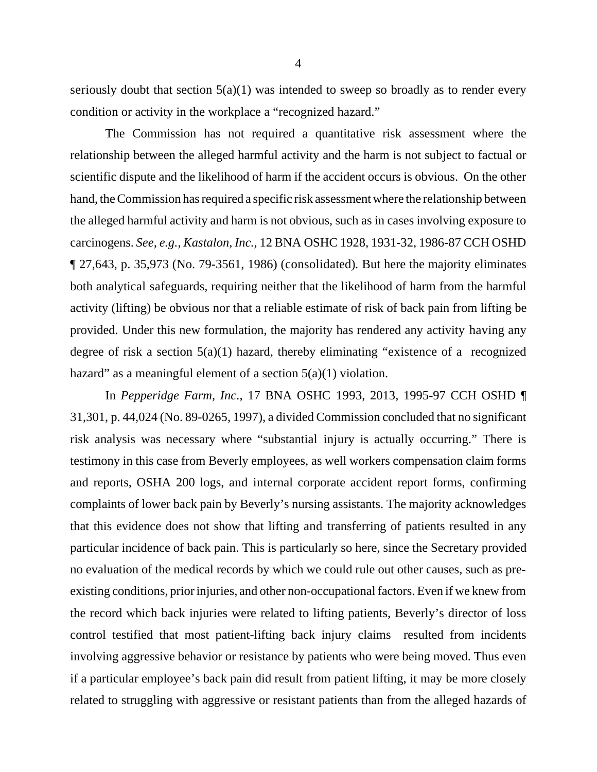seriously doubt that section  $5(a)(1)$  was intended to sweep so broadly as to render every condition or activity in the workplace a "recognized hazard."

The Commission has not required a quantitative risk assessment where the relationship between the alleged harmful activity and the harm is not subject to factual or scientific dispute and the likelihood of harm if the accident occurs is obvious. On the other hand, the Commission has required a specific risk assessment where the relationship between the alleged harmful activity and harm is not obvious, such as in cases involving exposure to carcinogens. *See, e.g.*, *Kastalon, Inc.*, 12 BNA OSHC 1928, 1931-32, 1986-87 CCH OSHD ¶ 27,643, p. 35,973 (No. 79-3561, 1986) (consolidated)*.* But here the majority eliminates both analytical safeguards, requiring neither that the likelihood of harm from the harmful activity (lifting) be obvious nor that a reliable estimate of risk of back pain from lifting be provided. Under this new formulation, the majority has rendered any activity having any degree of risk a section 5(a)(1) hazard, thereby eliminating "existence of a recognized hazard" as a meaningful element of a section  $5(a)(1)$  violation.

In *Pepperidge Farm, Inc*., 17 BNA OSHC 1993, 2013, 1995-97 CCH OSHD ¶ 31,301, p. 44,024 (No. 89-0265, 1997), a divided Commission concluded that no significant risk analysis was necessary where "substantial injury is actually occurring." There is testimony in this case from Beverly employees, as well workers compensation claim forms and reports, OSHA 200 logs, and internal corporate accident report forms, confirming complaints of lower back pain by Beverly's nursing assistants. The majority acknowledges that this evidence does not show that lifting and transferring of patients resulted in any particular incidence of back pain. This is particularly so here, since the Secretary provided no evaluation of the medical records by which we could rule out other causes, such as preexisting conditions, prior injuries, and other non-occupational factors. Even if we knew from the record which back injuries were related to lifting patients, Beverly's director of loss control testified that most patient-lifting back injury claims resulted from incidents involving aggressive behavior or resistance by patients who were being moved. Thus even if a particular employee's back pain did result from patient lifting, it may be more closely related to struggling with aggressive or resistant patients than from the alleged hazards of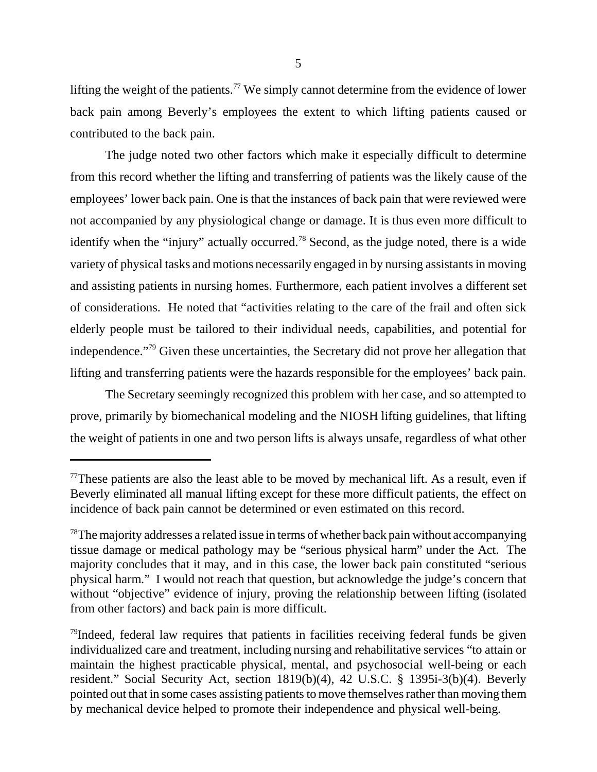lifting the weight of the patients.<sup>77</sup> We simply cannot determine from the evidence of lower back pain among Beverly's employees the extent to which lifting patients caused or contributed to the back pain.

The judge noted two other factors which make it especially difficult to determine from this record whether the lifting and transferring of patients was the likely cause of the employees' lower back pain. One is that the instances of back pain that were reviewed were not accompanied by any physiological change or damage. It is thus even more difficult to identify when the "injury" actually occurred.78 Second, as the judge noted, there is a wide variety of physical tasks and motions necessarily engaged in by nursing assistants in moving and assisting patients in nursing homes. Furthermore, each patient involves a different set of considerations. He noted that "activities relating to the care of the frail and often sick elderly people must be tailored to their individual needs, capabilities, and potential for independence."79 Given these uncertainties, the Secretary did not prove her allegation that lifting and transferring patients were the hazards responsible for the employees' back pain.

The Secretary seemingly recognized this problem with her case, and so attempted to prove, primarily by biomechanical modeling and the NIOSH lifting guidelines, that lifting the weight of patients in one and two person lifts is always unsafe, regardless of what other

 $77$ These patients are also the least able to be moved by mechanical lift. As a result, even if Beverly eliminated all manual lifting except for these more difficult patients, the effect on incidence of back pain cannot be determined or even estimated on this record.

 $78$ The majority addresses a related issue in terms of whether back pain without accompanying tissue damage or medical pathology may be "serious physical harm" under the Act. The majority concludes that it may, and in this case, the lower back pain constituted "serious physical harm." I would not reach that question, but acknowledge the judge's concern that without "objective" evidence of injury, proving the relationship between lifting (isolated from other factors) and back pain is more difficult.

<sup>&</sup>lt;sup>79</sup>Indeed, federal law requires that patients in facilities receiving federal funds be given individualized care and treatment, including nursing and rehabilitative services "to attain or maintain the highest practicable physical, mental, and psychosocial well-being or each resident." Social Security Act, section 1819(b)(4), 42 U.S.C. § 1395i-3(b)(4). Beverly pointed out that in some cases assisting patients to move themselves rather than moving them by mechanical device helped to promote their independence and physical well-being.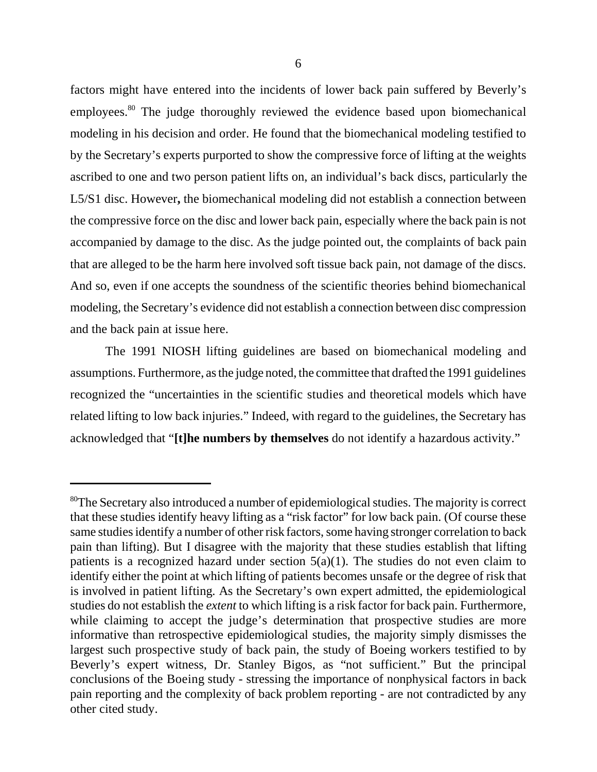factors might have entered into the incidents of lower back pain suffered by Beverly's employees.<sup>80</sup> The judge thoroughly reviewed the evidence based upon biomechanical modeling in his decision and order. He found that the biomechanical modeling testified to by the Secretary's experts purported to show the compressive force of lifting at the weights ascribed to one and two person patient lifts on, an individual's back discs, particularly the L5/S1 disc. However**,** the biomechanical modeling did not establish a connection between the compressive force on the disc and lower back pain, especially where the back pain is not accompanied by damage to the disc. As the judge pointed out, the complaints of back pain that are alleged to be the harm here involved soft tissue back pain, not damage of the discs. And so, even if one accepts the soundness of the scientific theories behind biomechanical modeling, the Secretary's evidence did not establish a connection between disc compression and the back pain at issue here.

The 1991 NIOSH lifting guidelines are based on biomechanical modeling and assumptions. Furthermore, as the judge noted, the committee that drafted the 1991 guidelines recognized the "uncertainties in the scientific studies and theoretical models which have related lifting to low back injuries." Indeed, with regard to the guidelines, the Secretary has acknowledged that "**[t]he numbers by themselves** do not identify a hazardous activity."

<sup>&</sup>lt;sup>80</sup>The Secretary also introduced a number of epidemiological studies. The majority is correct that these studies identify heavy lifting as a "risk factor" for low back pain. (Of course these same studies identify a number of other risk factors, some having stronger correlation to back pain than lifting). But I disagree with the majority that these studies establish that lifting patients is a recognized hazard under section  $5(a)(1)$ . The studies do not even claim to identify either the point at which lifting of patients becomes unsafe or the degree of risk that is involved in patient lifting. As the Secretary's own expert admitted, the epidemiological studies do not establish the *extent* to which lifting is a risk factor for back pain. Furthermore, while claiming to accept the judge's determination that prospective studies are more informative than retrospective epidemiological studies, the majority simply dismisses the largest such prospective study of back pain, the study of Boeing workers testified to by Beverly's expert witness, Dr. Stanley Bigos, as "not sufficient." But the principal conclusions of the Boeing study - stressing the importance of nonphysical factors in back pain reporting and the complexity of back problem reporting - are not contradicted by any other cited study.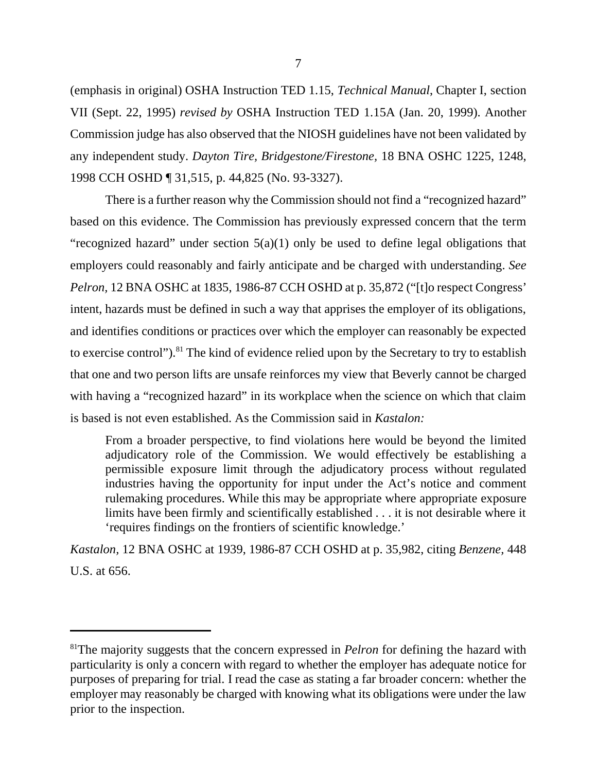(emphasis in original) OSHA Instruction TED 1.15, *Technical Manual*, Chapter I, section VII (Sept. 22, 1995) *revised by* OSHA Instruction TED 1.15A (Jan. 20, 1999). Another Commission judge has also observed that the NIOSH guidelines have not been validated by any independent study. *Dayton Tire, Bridgestone/Firestone,* 18 BNA OSHC 1225, 1248, 1998 CCH OSHD ¶ 31,515, p. 44,825 (No. 93-3327).

There is a further reason why the Commission should not find a "recognized hazard" based on this evidence. The Commission has previously expressed concern that the term "recognized hazard" under section 5(a)(1) only be used to define legal obligations that employers could reasonably and fairly anticipate and be charged with understanding. *See Pelron,* 12 BNA OSHC at 1835, 1986-87 CCH OSHD at p. 35,872 ("[t]o respect Congress' intent, hazards must be defined in such a way that apprises the employer of its obligations, and identifies conditions or practices over which the employer can reasonably be expected to exercise control").<sup>81</sup> The kind of evidence relied upon by the Secretary to try to establish that one and two person lifts are unsafe reinforces my view that Beverly cannot be charged with having a "recognized hazard" in its workplace when the science on which that claim is based is not even established. As the Commission said in *Kastalon:*

From a broader perspective, to find violations here would be beyond the limited adjudicatory role of the Commission. We would effectively be establishing a permissible exposure limit through the adjudicatory process without regulated industries having the opportunity for input under the Act's notice and comment rulemaking procedures. While this may be appropriate where appropriate exposure limits have been firmly and scientifically established . . . it is not desirable where it 'requires findings on the frontiers of scientific knowledge.'

*Kastalon,* 12 BNA OSHC at 1939, 1986-87 CCH OSHD at p. 35,982, citing *Benzene,* 448 U.S. at 656.

<sup>&</sup>lt;sup>81</sup>The majority suggests that the concern expressed in *Pelron* for defining the hazard with particularity is only a concern with regard to whether the employer has adequate notice for purposes of preparing for trial. I read the case as stating a far broader concern: whether the employer may reasonably be charged with knowing what its obligations were under the law prior to the inspection.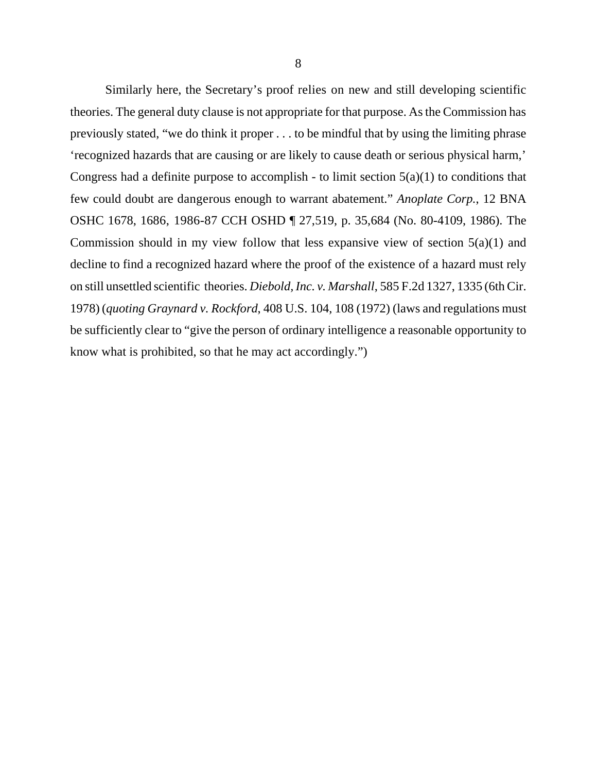Similarly here, the Secretary's proof relies on new and still developing scientific theories. The general duty clause is not appropriate for that purpose. As the Commission has previously stated, "we do think it proper . . . to be mindful that by using the limiting phrase 'recognized hazards that are causing or are likely to cause death or serious physical harm,' Congress had a definite purpose to accomplish - to limit section  $5(a)(1)$  to conditions that few could doubt are dangerous enough to warrant abatement." *Anoplate Corp.*, 12 BNA OSHC 1678, 1686, 1986-87 CCH OSHD ¶ 27,519, p. 35,684 (No. 80-4109, 1986). The Commission should in my view follow that less expansive view of section  $5(a)(1)$  and decline to find a recognized hazard where the proof of the existence of a hazard must rely on still unsettled scientific theories. *Diebold, Inc. v. Marshall*, 585 F.2d 1327, 1335 (6th Cir. 1978) (*quoting Graynard v. Rockford*, 408 U.S. 104, 108 (1972) (laws and regulations must be sufficiently clear to "give the person of ordinary intelligence a reasonable opportunity to know what is prohibited, so that he may act accordingly.")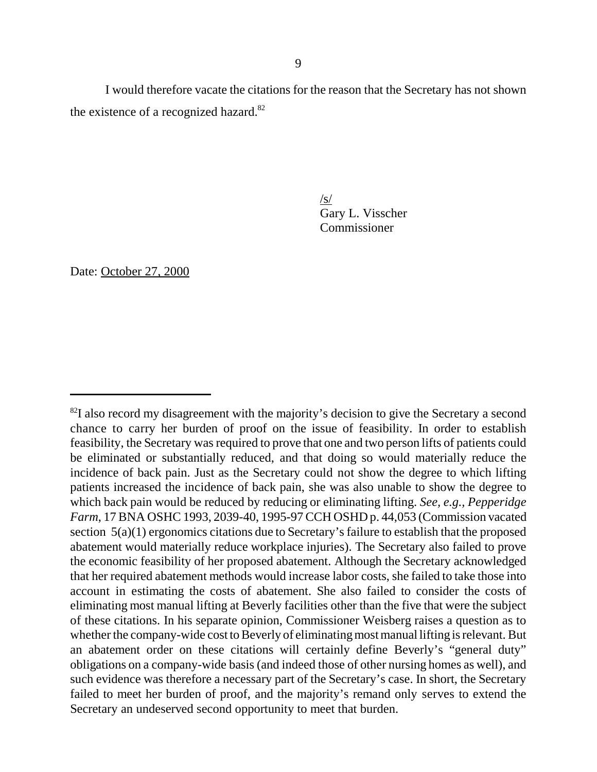I would therefore vacate the citations for the reason that the Secretary has not shown the existence of a recognized hazard.<sup>82</sup>

> $\sqrt{s}$ Gary L. Visscher Commissioner

Date: October 27, 2000

 $82I$  also record my disagreement with the majority's decision to give the Secretary a second chance to carry her burden of proof on the issue of feasibility. In order to establish feasibility, the Secretary was required to prove that one and two person lifts of patients could be eliminated or substantially reduced, and that doing so would materially reduce the incidence of back pain. Just as the Secretary could not show the degree to which lifting patients increased the incidence of back pain, she was also unable to show the degree to which back pain would be reduced by reducing or eliminating lifting. *See, e.g., Pepperidge Farm*, 17 BNA OSHC 1993, 2039-40, 1995-97 CCH OSHD p. 44,053 (Commission vacated section 5(a)(1) ergonomics citations due to Secretary's failure to establish that the proposed abatement would materially reduce workplace injuries). The Secretary also failed to prove the economic feasibility of her proposed abatement. Although the Secretary acknowledged that her required abatement methods would increase labor costs, she failed to take those into account in estimating the costs of abatement. She also failed to consider the costs of eliminating most manual lifting at Beverly facilities other than the five that were the subject of these citations. In his separate opinion, Commissioner Weisberg raises a question as to whether the company-wide cost to Beverly of eliminating most manual lifting is relevant. But an abatement order on these citations will certainly define Beverly's "general duty" obligations on a company-wide basis (and indeed those of other nursing homes as well), and such evidence was therefore a necessary part of the Secretary's case. In short, the Secretary failed to meet her burden of proof, and the majority's remand only serves to extend the Secretary an undeserved second opportunity to meet that burden.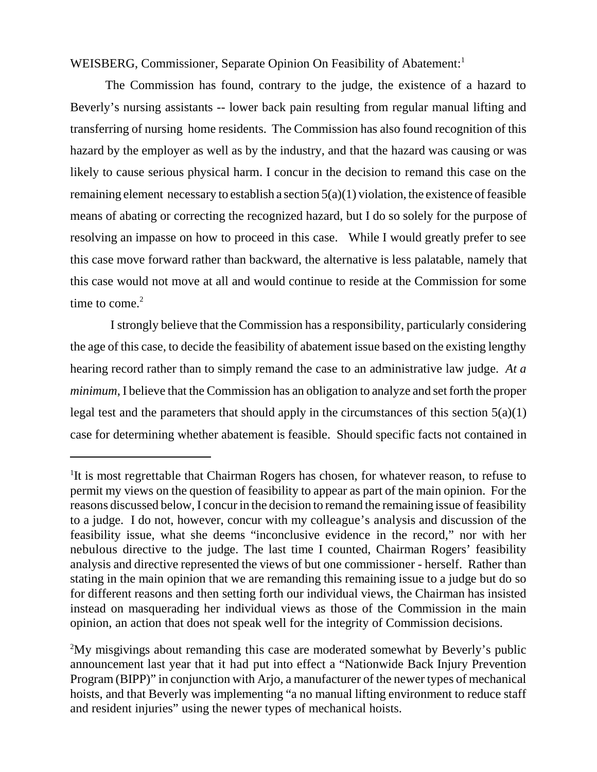WEISBERG, Commissioner, Separate Opinion On Feasibility of Abatement:<sup>1</sup>

The Commission has found, contrary to the judge, the existence of a hazard to Beverly's nursing assistants -- lower back pain resulting from regular manual lifting and transferring of nursing home residents. The Commission has also found recognition of this hazard by the employer as well as by the industry, and that the hazard was causing or was likely to cause serious physical harm. I concur in the decision to remand this case on the remaining element necessary to establish a section  $5(a)(1)$  violation, the existence of feasible means of abating or correcting the recognized hazard, but I do so solely for the purpose of resolving an impasse on how to proceed in this case. While I would greatly prefer to see this case move forward rather than backward, the alternative is less palatable, namely that this case would not move at all and would continue to reside at the Commission for some time to come. $2$ 

 I strongly believe that the Commission has a responsibility, particularly considering the age of this case, to decide the feasibility of abatement issue based on the existing lengthy hearing record rather than to simply remand the case to an administrative law judge. *At a minimum*, I believe that the Commission has an obligation to analyze and set forth the proper legal test and the parameters that should apply in the circumstances of this section  $5(a)(1)$ case for determining whether abatement is feasible. Should specific facts not contained in

<sup>&</sup>lt;sup>1</sup>It is most regrettable that Chairman Rogers has chosen, for whatever reason, to refuse to permit my views on the question of feasibility to appear as part of the main opinion. For the reasons discussed below, I concur in the decision to remand the remaining issue of feasibility to a judge. I do not, however, concur with my colleague's analysis and discussion of the feasibility issue, what she deems "inconclusive evidence in the record," nor with her nebulous directive to the judge. The last time I counted, Chairman Rogers' feasibility analysis and directive represented the views of but one commissioner - herself. Rather than stating in the main opinion that we are remanding this remaining issue to a judge but do so for different reasons and then setting forth our individual views, the Chairman has insisted instead on masquerading her individual views as those of the Commission in the main opinion, an action that does not speak well for the integrity of Commission decisions.

<sup>&</sup>lt;sup>2</sup>My misgivings about remanding this case are moderated somewhat by Beverly's public announcement last year that it had put into effect a "Nationwide Back Injury Prevention Program (BIPP)" in conjunction with Arjo, a manufacturer of the newer types of mechanical hoists, and that Beverly was implementing "a no manual lifting environment to reduce staff and resident injuries" using the newer types of mechanical hoists.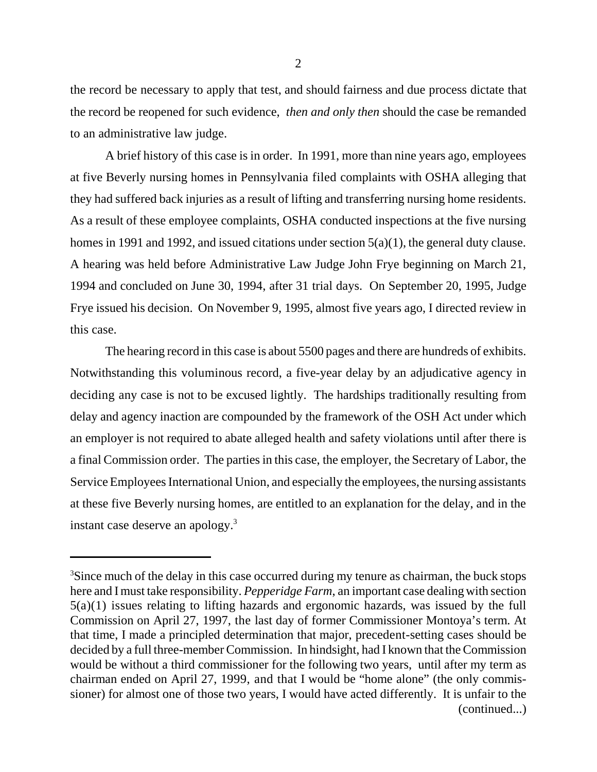the record be necessary to apply that test, and should fairness and due process dictate that the record be reopened for such evidence, *then and only then* should the case be remanded to an administrative law judge.

A brief history of this case is in order. In 1991, more than nine years ago, employees at five Beverly nursing homes in Pennsylvania filed complaints with OSHA alleging that they had suffered back injuries as a result of lifting and transferring nursing home residents. As a result of these employee complaints, OSHA conducted inspections at the five nursing homes in 1991 and 1992, and issued citations under section 5(a)(1), the general duty clause. A hearing was held before Administrative Law Judge John Frye beginning on March 21, 1994 and concluded on June 30, 1994, after 31 trial days. On September 20, 1995, Judge Frye issued his decision. On November 9, 1995, almost five years ago, I directed review in this case.

The hearing record in this case is about 5500 pages and there are hundreds of exhibits. Notwithstanding this voluminous record, a five-year delay by an adjudicative agency in deciding any case is not to be excused lightly. The hardships traditionally resulting from delay and agency inaction are compounded by the framework of the OSH Act under which an employer is not required to abate alleged health and safety violations until after there is a final Commission order. The parties in this case, the employer, the Secretary of Labor, the Service Employees International Union, and especially the employees, the nursing assistants at these five Beverly nursing homes, are entitled to an explanation for the delay, and in the instant case deserve an apology. $3$ 

<sup>&</sup>lt;sup>3</sup>Since much of the delay in this case occurred during my tenure as chairman, the buck stops here and I must take responsibility. *Pepperidge Farm*, an important case dealing with section 5(a)(1) issues relating to lifting hazards and ergonomic hazards, was issued by the full Commission on April 27, 1997, the last day of former Commissioner Montoya's term. At that time, I made a principled determination that major, precedent-setting cases should be decided by a full three-member Commission. In hindsight, had I known that the Commission would be without a third commissioner for the following two years, until after my term as chairman ended on April 27, 1999, and that I would be "home alone" (the only commissioner) for almost one of those two years, I would have acted differently. It is unfair to the (continued...)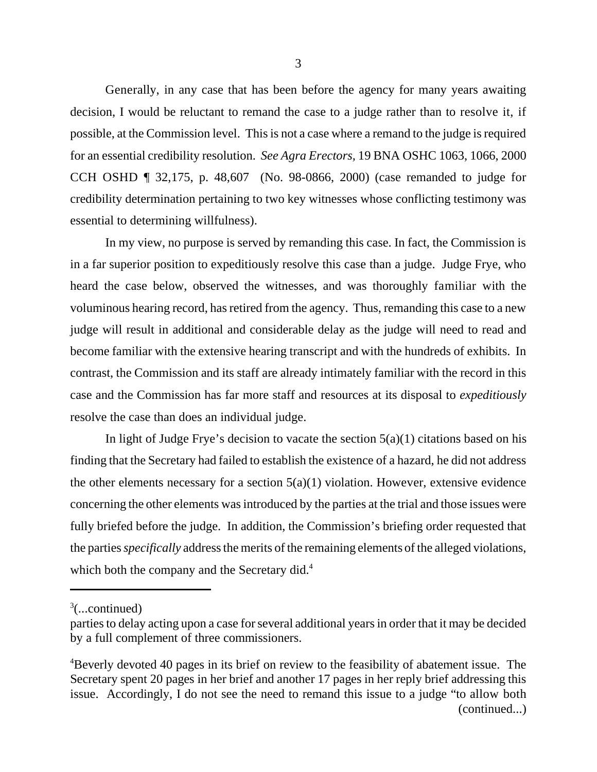Generally, in any case that has been before the agency for many years awaiting decision, I would be reluctant to remand the case to a judge rather than to resolve it, if possible, at the Commission level. This is not a case where a remand to the judge is required for an essential credibility resolution. *See Agra Erectors,* 19 BNA OSHC 1063, 1066, 2000 CCH OSHD ¶ 32,175, p. 48,607 (No. 98-0866, 2000) (case remanded to judge for credibility determination pertaining to two key witnesses whose conflicting testimony was essential to determining willfulness).

In my view, no purpose is served by remanding this case. In fact, the Commission is in a far superior position to expeditiously resolve this case than a judge. Judge Frye, who heard the case below, observed the witnesses, and was thoroughly familiar with the voluminous hearing record, has retired from the agency. Thus, remanding this case to a new judge will result in additional and considerable delay as the judge will need to read and become familiar with the extensive hearing transcript and with the hundreds of exhibits. In contrast, the Commission and its staff are already intimately familiar with the record in this case and the Commission has far more staff and resources at its disposal to *expeditiously* resolve the case than does an individual judge.

In light of Judge Frye's decision to vacate the section  $5(a)(1)$  citations based on his finding that the Secretary had failed to establish the existence of a hazard, he did not address the other elements necessary for a section  $5(a)(1)$  violation. However, extensive evidence concerning the other elements was introduced by the parties at the trial and those issues were fully briefed before the judge. In addition, the Commission's briefing order requested that the parties *specifically* address the merits of the remaining elements of the alleged violations, which both the company and the Secretary did. $4$ 

 $3$ (...continued)

parties to delay acting upon a case for several additional years in order that it may be decided by a full complement of three commissioners.

<sup>&</sup>lt;sup>4</sup>Beverly devoted 40 pages in its brief on review to the feasibility of abatement issue. The Secretary spent 20 pages in her brief and another 17 pages in her reply brief addressing this issue. Accordingly, I do not see the need to remand this issue to a judge "to allow both (continued...)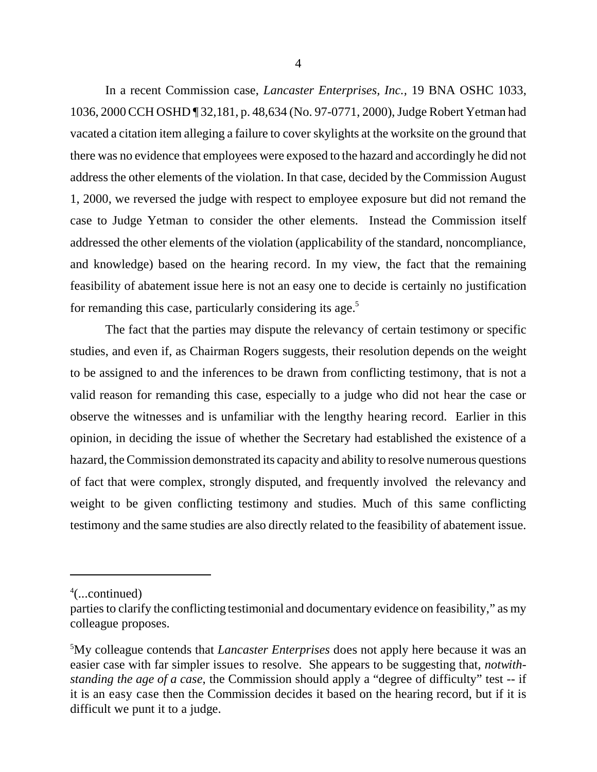4

In a recent Commission case, *Lancaster Enterprises, Inc.,* 19 BNA OSHC 1033, 1036, 2000 CCH OSHD ¶ 32,181, p. 48,634 (No. 97-0771, 2000), Judge Robert Yetman had vacated a citation item alleging a failure to cover skylights at the worksite on the ground that there was no evidence that employees were exposed to the hazard and accordingly he did not address the other elements of the violation. In that case, decided by the Commission August 1, 2000, we reversed the judge with respect to employee exposure but did not remand the case to Judge Yetman to consider the other elements. Instead the Commission itself addressed the other elements of the violation (applicability of the standard, noncompliance, and knowledge) based on the hearing record. In my view, the fact that the remaining feasibility of abatement issue here is not an easy one to decide is certainly no justification for remanding this case, particularly considering its age.<sup>5</sup>

The fact that the parties may dispute the relevancy of certain testimony or specific studies, and even if, as Chairman Rogers suggests, their resolution depends on the weight to be assigned to and the inferences to be drawn from conflicting testimony, that is not a valid reason for remanding this case, especially to a judge who did not hear the case or observe the witnesses and is unfamiliar with the lengthy hearing record. Earlier in this opinion, in deciding the issue of whether the Secretary had established the existence of a hazard, the Commission demonstrated its capacity and ability to resolve numerous questions of fact that were complex, strongly disputed, and frequently involved the relevancy and weight to be given conflicting testimony and studies. Much of this same conflicting testimony and the same studies are also directly related to the feasibility of abatement issue.

<sup>4</sup> (...continued)

parties to clarify the conflicting testimonial and documentary evidence on feasibility," as my colleague proposes.

<sup>5</sup> My colleague contends that *Lancaster Enterprises* does not apply here because it was an easier case with far simpler issues to resolve. She appears to be suggesting that, *notwithstanding the age of a case*, the Commission should apply a "degree of difficulty" test -- if it is an easy case then the Commission decides it based on the hearing record, but if it is difficult we punt it to a judge.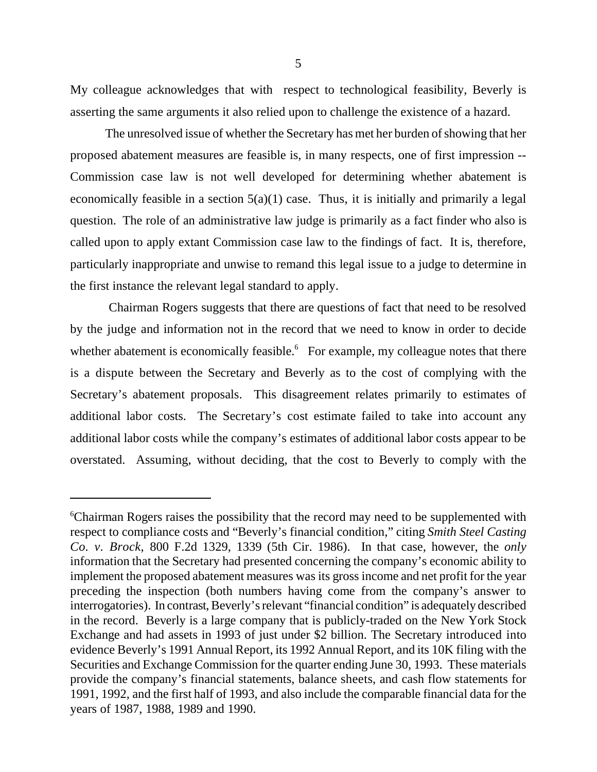My colleague acknowledges that with respect to technological feasibility, Beverly is asserting the same arguments it also relied upon to challenge the existence of a hazard.

The unresolved issue of whether the Secretary has met her burden of showing that her proposed abatement measures are feasible is, in many respects, one of first impression -- Commission case law is not well developed for determining whether abatement is economically feasible in a section  $5(a)(1)$  case. Thus, it is initially and primarily a legal question. The role of an administrative law judge is primarily as a fact finder who also is called upon to apply extant Commission case law to the findings of fact. It is, therefore, particularly inappropriate and unwise to remand this legal issue to a judge to determine in the first instance the relevant legal standard to apply.

 Chairman Rogers suggests that there are questions of fact that need to be resolved by the judge and information not in the record that we need to know in order to decide whether abatement is economically feasible. $6$  For example, my colleague notes that there is a dispute between the Secretary and Beverly as to the cost of complying with the Secretary's abatement proposals. This disagreement relates primarily to estimates of additional labor costs. The Secretary's cost estimate failed to take into account any additional labor costs while the company's estimates of additional labor costs appear to be overstated. Assuming, without deciding, that the cost to Beverly to comply with the

<sup>6</sup> Chairman Rogers raises the possibility that the record may need to be supplemented with respect to compliance costs and "Beverly's financial condition," citing *Smith Steel Casting Co. v. Brock*, 800 F.2d 1329, 1339 (5th Cir. 1986). In that case, however, the *only* information that the Secretary had presented concerning the company's economic ability to implement the proposed abatement measures was its gross income and net profit for the year preceding the inspection (both numbers having come from the company's answer to interrogatories). In contrast, Beverly's relevant "financial condition" is adequately described in the record. Beverly is a large company that is publicly-traded on the New York Stock Exchange and had assets in 1993 of just under \$2 billion. The Secretary introduced into evidence Beverly's 1991 Annual Report, its 1992 Annual Report, and its 10K filing with the Securities and Exchange Commission for the quarter ending June 30, 1993. These materials provide the company's financial statements, balance sheets, and cash flow statements for 1991, 1992, and the first half of 1993, and also include the comparable financial data for the years of 1987, 1988, 1989 and 1990.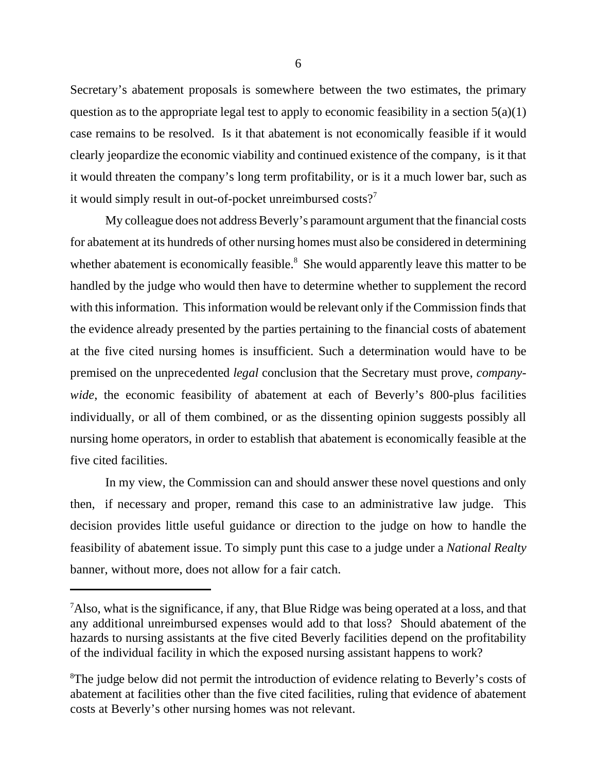Secretary's abatement proposals is somewhere between the two estimates, the primary question as to the appropriate legal test to apply to economic feasibility in a section  $5(a)(1)$ case remains to be resolved. Is it that abatement is not economically feasible if it would clearly jeopardize the economic viability and continued existence of the company, is it that it would threaten the company's long term profitability, or is it a much lower bar, such as it would simply result in out-of-pocket unreimbursed costs?<sup>7</sup>

My colleague does not address Beverly's paramount argument that the financial costs for abatement at its hundreds of other nursing homes must also be considered in determining whether abatement is economically feasible. $8$  She would apparently leave this matter to be handled by the judge who would then have to determine whether to supplement the record with this information. This information would be relevant only if the Commission finds that the evidence already presented by the parties pertaining to the financial costs of abatement at the five cited nursing homes is insufficient. Such a determination would have to be premised on the unprecedented *legal* conclusion that the Secretary must prove, *companywide*, the economic feasibility of abatement at each of Beverly's 800-plus facilities individually, or all of them combined, or as the dissenting opinion suggests possibly all nursing home operators, in order to establish that abatement is economically feasible at the five cited facilities.

In my view, the Commission can and should answer these novel questions and only then, if necessary and proper, remand this case to an administrative law judge. This decision provides little useful guidance or direction to the judge on how to handle the feasibility of abatement issue. To simply punt this case to a judge under a *National Realty* banner, without more, does not allow for a fair catch.

 $^7$ Also, what is the significance, if any, that Blue Ridge was being operated at a loss, and that any additional unreimbursed expenses would add to that loss? Should abatement of the hazards to nursing assistants at the five cited Beverly facilities depend on the profitability of the individual facility in which the exposed nursing assistant happens to work?

<sup>&</sup>lt;sup>8</sup>The judge below did not permit the introduction of evidence relating to Beverly's costs of abatement at facilities other than the five cited facilities, ruling that evidence of abatement costs at Beverly's other nursing homes was not relevant.